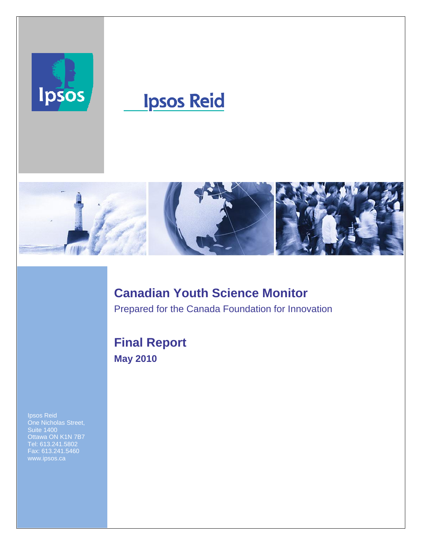

# **Ipsos Reid**



# **Canadian Youth Science Monitor**

Prepared for the Canada Foundation for Innovation

### **Final Report May 2010**

Ottawa ON K1N 7B7 Tel: 613.241.5802 Fax: 613.241.5460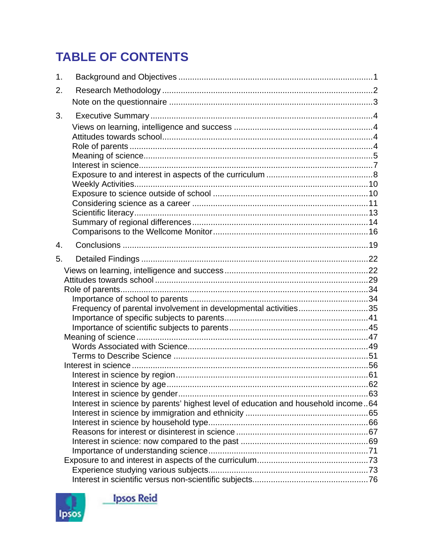# **TABLE OF CONTENTS**

| 2.<br>3.                                                                          |  |
|-----------------------------------------------------------------------------------|--|
|                                                                                   |  |
|                                                                                   |  |
|                                                                                   |  |
|                                                                                   |  |
|                                                                                   |  |
|                                                                                   |  |
|                                                                                   |  |
|                                                                                   |  |
|                                                                                   |  |
|                                                                                   |  |
|                                                                                   |  |
|                                                                                   |  |
|                                                                                   |  |
|                                                                                   |  |
|                                                                                   |  |
| $\overline{4}$ .                                                                  |  |
| 5.                                                                                |  |
|                                                                                   |  |
|                                                                                   |  |
|                                                                                   |  |
|                                                                                   |  |
| Frequency of parental involvement in developmental activities35                   |  |
|                                                                                   |  |
|                                                                                   |  |
|                                                                                   |  |
|                                                                                   |  |
|                                                                                   |  |
|                                                                                   |  |
|                                                                                   |  |
|                                                                                   |  |
|                                                                                   |  |
| Interest in science by parents' highest level of education and household income64 |  |
|                                                                                   |  |
|                                                                                   |  |
|                                                                                   |  |
|                                                                                   |  |
|                                                                                   |  |
|                                                                                   |  |
|                                                                                   |  |



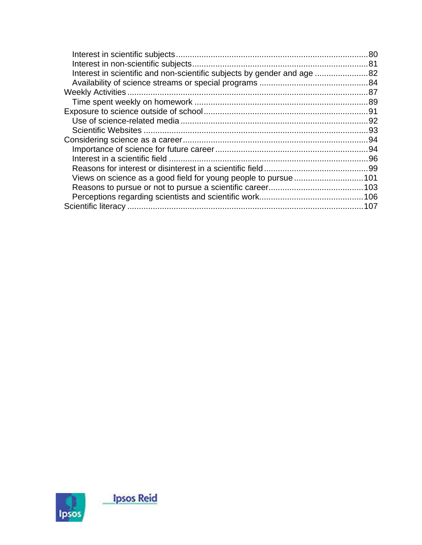| Interest in scientific and non-scientific subjects by gender and age 82 |  |
|-------------------------------------------------------------------------|--|
|                                                                         |  |
|                                                                         |  |
|                                                                         |  |
|                                                                         |  |
|                                                                         |  |
|                                                                         |  |
|                                                                         |  |
|                                                                         |  |
|                                                                         |  |
|                                                                         |  |
|                                                                         |  |
|                                                                         |  |
|                                                                         |  |
|                                                                         |  |

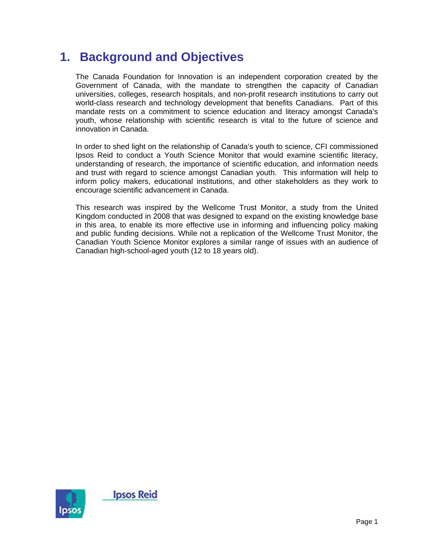### **1. Background and Objectives**

The Canada Foundation for Innovation is an independent corporation created by the Government of Canada, with the mandate to strengthen the capacity of Canadian universities, colleges, research hospitals, and non-profit research institutions to carry out world-class research and technology development that benefits Canadians. Part of this mandate rests on a commitment to science education and literacy amongst Canada's youth, whose relationship with scientific research is vital to the future of science and innovation in Canada.

In order to shed light on the relationship of Canada's youth to science, CFI commissioned Ipsos Reid to conduct a Youth Science Monitor that would examine scientific literacy, understanding of research, the importance of scientific education, and information needs and trust with regard to science amongst Canadian youth. This information will help to inform policy makers, educational institutions, and other stakeholders as they work to encourage scientific advancement in Canada.

This research was inspired by the Wellcome Trust Monitor, a study from the United Kingdom conducted in 2008 that was designed to expand on the existing knowledge base in this area, to enable its more effective use in informing and influencing policy making and public funding decisions. While not a replication of the Wellcome Trust Monitor, the Canadian Youth Science Monitor explores a similar range of issues with an audience of Canadian high-school-aged youth (12 to 18 years old).

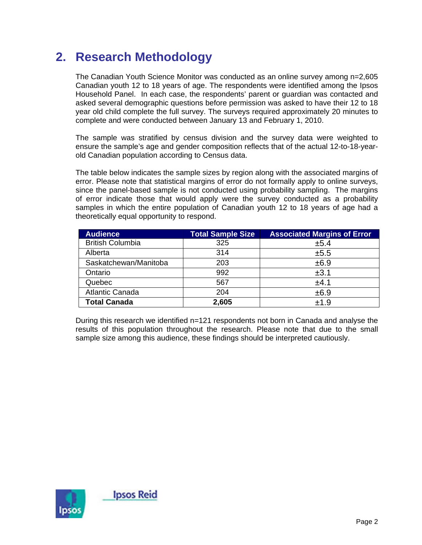# **2. Research Methodology**

The Canadian Youth Science Monitor was conducted as an online survey among n=2,605 Canadian youth 12 to 18 years of age. The respondents were identified among the Ipsos Household Panel. In each case, the respondents' parent or guardian was contacted and asked several demographic questions before permission was asked to have their 12 to 18 year old child complete the full survey. The surveys required approximately 20 minutes to complete and were conducted between January 13 and February 1, 2010.

The sample was stratified by census division and the survey data were weighted to ensure the sample's age and gender composition reflects that of the actual 12-to-18-yearold Canadian population according to Census data.

The table below indicates the sample sizes by region along with the associated margins of error. Please note that statistical margins of error do not formally apply to online surveys, since the panel-based sample is not conducted using probability sampling. The margins of error indicate those that would apply were the survey conducted as a probability samples in which the entire population of Canadian youth 12 to 18 years of age had a theoretically equal opportunity to respond.

| <b>Audience</b>         | <b>Total Sample Size</b> | <b>Associated Margins of Error</b> |
|-------------------------|--------------------------|------------------------------------|
| <b>British Columbia</b> | 325                      | ±5.4                               |
| Alberta                 | 314                      | ±5.5                               |
| Saskatchewan/Manitoba   | 203                      | ±6.9                               |
| Ontario                 | 992                      | ±3.1                               |
| Quebec                  | 567                      | ±4.1                               |
| <b>Atlantic Canada</b>  | 204                      | ±6.9                               |
| <b>Total Canada</b>     | 2,605                    | ±1.9                               |

During this research we identified n=121 respondents not born in Canada and analyse the results of this population throughout the research. Please note that due to the small sample size among this audience, these findings should be interpreted cautiously.

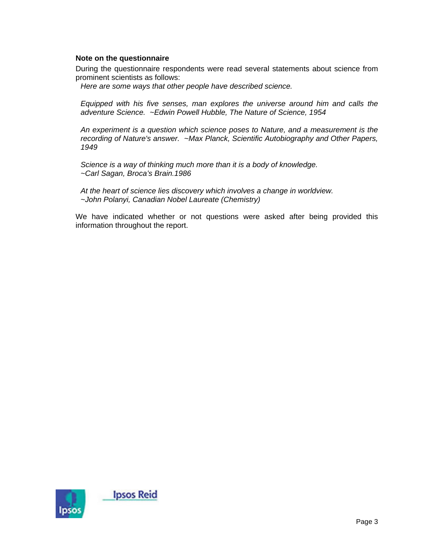#### **Note on the questionnaire**

During the questionnaire respondents were read several statements about science from prominent scientists as follows:

*Here are some ways that other people have described science.* 

*Equipped with his five senses, man explores the universe around him and calls the adventure Science. ~Edwin Powell Hubble, The Nature of Science, 1954* 

*An experiment is a question which science poses to Nature, and a measurement is the recording of Nature's answer. ~Max Planck, Scientific Autobiography and Other Papers, 1949* 

*Science is a way of thinking much more than it is a body of knowledge. ~Carl Sagan, Broca's Brain.1986* 

*At the heart of science lies discovery which involves a change in worldview. ~John Polanyi, Canadian Nobel Laureate (Chemistry)* 

We have indicated whether or not questions were asked after being provided this information throughout the report.

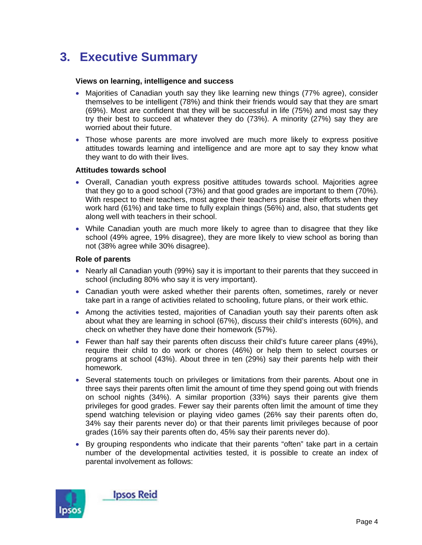# **3. Executive Summary**

#### **Views on learning, intelligence and success**

- Majorities of Canadian youth say they like learning new things (77% agree), consider themselves to be intelligent (78%) and think their friends would say that they are smart (69%). Most are confident that they will be successful in life (75%) and most say they try their best to succeed at whatever they do (73%). A minority (27%) say they are worried about their future.
- Those whose parents are more involved are much more likely to express positive attitudes towards learning and intelligence and are more apt to say they know what they want to do with their lives.

#### **Attitudes towards school**

- Overall, Canadian youth express positive attitudes towards school. Majorities agree that they go to a good school (73%) and that good grades are important to them (70%). With respect to their teachers, most agree their teachers praise their efforts when they work hard (61%) and take time to fully explain things (56%) and, also, that students get along well with teachers in their school.
- While Canadian youth are much more likely to agree than to disagree that they like school (49% agree, 19% disagree), they are more likely to view school as boring than not (38% agree while 30% disagree).

#### **Role of parents**

- Nearly all Canadian youth (99%) say it is important to their parents that they succeed in school (including 80% who say it is very important).
- Canadian youth were asked whether their parents often, sometimes, rarely or never take part in a range of activities related to schooling, future plans, or their work ethic.
- Among the activities tested, majorities of Canadian youth say their parents often ask about what they are learning in school (67%), discuss their child's interests (60%), and check on whether they have done their homework (57%).
- Fewer than half say their parents often discuss their child's future career plans (49%), require their child to do work or chores (46%) or help them to select courses or programs at school (43%). About three in ten (29%) say their parents help with their homework.
- Several statements touch on privileges or limitations from their parents. About one in three says their parents often limit the amount of time they spend going out with friends on school nights (34%). A similar proportion (33%) says their parents give them privileges for good grades. Fewer say their parents often limit the amount of time they spend watching television or playing video games (26% say their parents often do, 34% say their parents never do) or that their parents limit privileges because of poor grades (16% say their parents often do, 45% say their parents never do).
- By grouping respondents who indicate that their parents "often" take part in a certain number of the developmental activities tested, it is possible to create an index of parental involvement as follows:

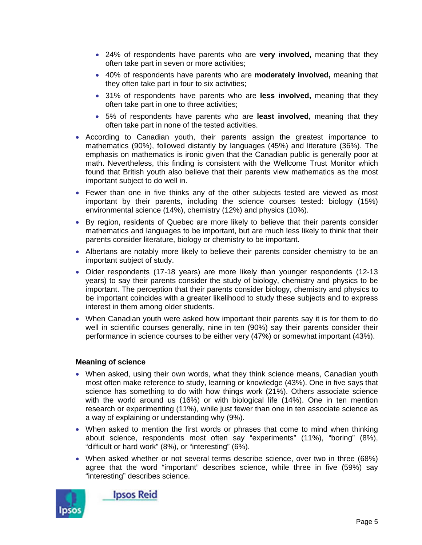- 24% of respondents have parents who are **very involved,** meaning that they often take part in seven or more activities;
- 40% of respondents have parents who are **moderately involved,** meaning that they often take part in four to six activities;
- 31% of respondents have parents who are **less involved,** meaning that they often take part in one to three activities;
- 5% of respondents have parents who are **least involved,** meaning that they often take part in none of the tested activities.
- According to Canadian youth, their parents assign the greatest importance to mathematics (90%), followed distantly by languages (45%) and literature (36%). The emphasis on mathematics is ironic given that the Canadian public is generally poor at math. Nevertheless, this finding is consistent with the Wellcome Trust Monitor which found that British youth also believe that their parents view mathematics as the most important subject to do well in.
- Fewer than one in five thinks any of the other subjects tested are viewed as most important by their parents, including the science courses tested: biology (15%) environmental science (14%), chemistry (12%) and physics (10%).
- By region, residents of Quebec are more likely to believe that their parents consider mathematics and languages to be important, but are much less likely to think that their parents consider literature, biology or chemistry to be important.
- Albertans are notably more likely to believe their parents consider chemistry to be an important subject of study.
- Older respondents (17-18 years) are more likely than younger respondents (12-13 years) to say their parents consider the study of biology, chemistry and physics to be important. The perception that their parents consider biology, chemistry and physics to be important coincides with a greater likelihood to study these subjects and to express interest in them among older students.
- When Canadian youth were asked how important their parents say it is for them to do well in scientific courses generally, nine in ten (90%) say their parents consider their performance in science courses to be either very (47%) or somewhat important (43%).

#### **Meaning of science**

- When asked, using their own words, what they think science means, Canadian youth most often make reference to study, learning or knowledge (43%). One in five says that science has something to do with how things work (21%). Others associate science with the world around us (16%) or with biological life (14%). One in ten mention research or experimenting (11%), while just fewer than one in ten associate science as a way of explaining or understanding why (9%).
- When asked to mention the first words or phrases that come to mind when thinking about science, respondents most often say "experiments" (11%), "boring" (8%), "difficult or hard work" (8%), or "interesting" (6%).
- When asked whether or not several terms describe science, over two in three (68%) agree that the word "important" describes science, while three in five (59%) say "interesting" describes science.



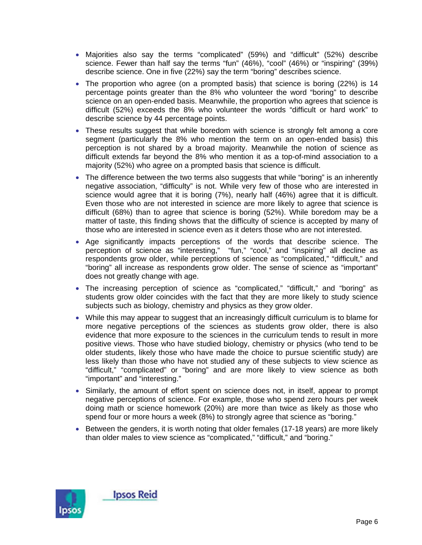- Majorities also say the terms "complicated" (59%) and "difficult" (52%) describe science. Fewer than half say the terms "fun" (46%), "cool" (46%) or "inspiring" (39%) describe science. One in five (22%) say the term "boring" describes science.
- The proportion who agree (on a prompted basis) that science is boring (22%) is 14 percentage points greater than the 8% who volunteer the word "boring" to describe science on an open-ended basis. Meanwhile, the proportion who agrees that science is difficult (52%) exceeds the 8% who volunteer the words "difficult or hard work" to describe science by 44 percentage points.
- These results suggest that while boredom with science is strongly felt among a core segment (particularly the 8% who mention the term on an open-ended basis) this perception is not shared by a broad majority. Meanwhile the notion of science as difficult extends far beyond the 8% who mention it as a top-of-mind association to a majority (52%) who agree on a prompted basis that science is difficult.
- The difference between the two terms also suggests that while "boring" is an inherently negative association, "difficulty" is not. While very few of those who are interested in science would agree that it is boring (7%), nearly half (46%) agree that it is difficult. Even those who are not interested in science are more likely to agree that science is difficult (68%) than to agree that science is boring (52%). While boredom may be a matter of taste, this finding shows that the difficulty of science is accepted by many of those who are interested in science even as it deters those who are not interested.
- Age significantly impacts perceptions of the words that describe science. The perception of science as "interesting," "fun," "cool," and "inspiring" all decline as respondents grow older, while perceptions of science as "complicated," "difficult," and "boring" all increase as respondents grow older. The sense of science as "important" does not greatly change with age.
- The increasing perception of science as "complicated," "difficult," and "boring" as students grow older coincides with the fact that they are more likely to study science subjects such as biology, chemistry and physics as they grow older.
- While this may appear to suggest that an increasingly difficult curriculum is to blame for more negative perceptions of the sciences as students grow older, there is also evidence that more exposure to the sciences in the curriculum tends to result in more positive views. Those who have studied biology, chemistry or physics (who tend to be older students, likely those who have made the choice to pursue scientific study) are less likely than those who have not studied any of these subjects to view science as "difficult," "complicated" or "boring" and are more likely to view science as both "important" and "interesting."
- Similarly, the amount of effort spent on science does not, in itself, appear to prompt negative perceptions of science. For example, those who spend zero hours per week doing math or science homework (20%) are more than twice as likely as those who spend four or more hours a week (8%) to strongly agree that science as "boring."
- Between the genders, it is worth noting that older females (17-18 years) are more likely than older males to view science as "complicated," "difficult," and "boring."

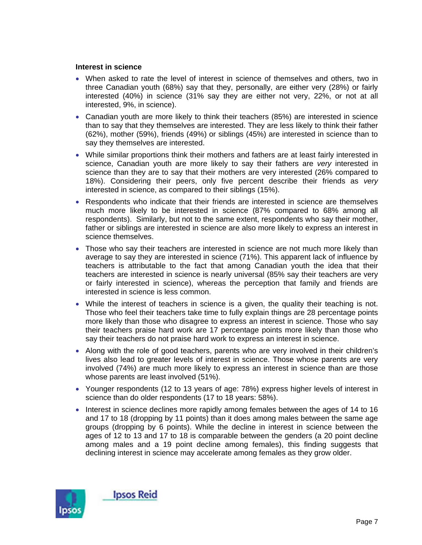#### **Interest in science**

- When asked to rate the level of interest in science of themselves and others, two in three Canadian youth (68%) say that they, personally, are either very (28%) or fairly interested (40%) in science (31% say they are either not very, 22%, or not at all interested, 9%, in science).
- Canadian youth are more likely to think their teachers (85%) are interested in science than to say that they themselves are interested. They are less likely to think their father (62%), mother (59%), friends (49%) or siblings (45%) are interested in science than to say they themselves are interested.
- While similar proportions think their mothers and fathers are at least fairly interested in science, Canadian youth are more likely to say their fathers are *very* interested in science than they are to say that their mothers are very interested (26% compared to 18%). Considering their peers, only five percent describe their friends as *very* interested in science, as compared to their siblings (15%).
- Respondents who indicate that their friends are interested in science are themselves much more likely to be interested in science (87% compared to 68% among all respondents). Similarly, but not to the same extent, respondents who say their mother, father or siblings are interested in science are also more likely to express an interest in science themselves.
- Those who say their teachers are interested in science are not much more likely than average to say they are interested in science (71%). This apparent lack of influence by teachers is attributable to the fact that among Canadian youth the idea that their teachers are interested in science is nearly universal (85% say their teachers are very or fairly interested in science), whereas the perception that family and friends are interested in science is less common.
- While the interest of teachers in science is a given, the quality their teaching is not. Those who feel their teachers take time to fully explain things are 28 percentage points more likely than those who disagree to express an interest in science. Those who say their teachers praise hard work are 17 percentage points more likely than those who say their teachers do not praise hard work to express an interest in science.
- Along with the role of good teachers, parents who are very involved in their children's lives also lead to greater levels of interest in science. Those whose parents are very involved (74%) are much more likely to express an interest in science than are those whose parents are least involved (51%).
- Younger respondents (12 to 13 years of age: 78%) express higher levels of interest in science than do older respondents (17 to 18 years: 58%).
- Interest in science declines more rapidly among females between the ages of 14 to 16 and 17 to 18 (dropping by 11 points) than it does among males between the same age groups (dropping by 6 points). While the decline in interest in science between the ages of 12 to 13 and 17 to 18 is comparable between the genders (a 20 point decline among males and a 19 point decline among females), this finding suggests that declining interest in science may accelerate among females as they grow older.

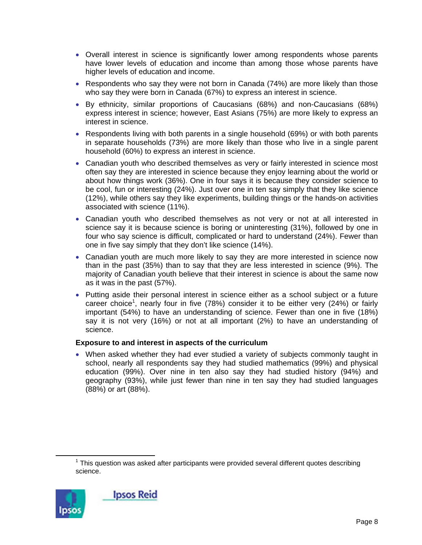- Overall interest in science is significantly lower among respondents whose parents have lower levels of education and income than among those whose parents have higher levels of education and income.
- Respondents who say they were not born in Canada (74%) are more likely than those who say they were born in Canada (67%) to express an interest in science.
- By ethnicity, similar proportions of Caucasians (68%) and non-Caucasians (68%) express interest in science; however, East Asians (75%) are more likely to express an interest in science.
- Respondents living with both parents in a single household (69%) or with both parents in separate households (73%) are more likely than those who live in a single parent household (60%) to express an interest in science.
- Canadian youth who described themselves as very or fairly interested in science most often say they are interested in science because they enjoy learning about the world or about how things work (36%). One in four says it is because they consider science to be cool, fun or interesting (24%). Just over one in ten say simply that they like science (12%), while others say they like experiments, building things or the hands-on activities associated with science (11%).
- Canadian youth who described themselves as not very or not at all interested in science say it is because science is boring or uninteresting (31%), followed by one in four who say science is difficult, complicated or hard to understand (24%). Fewer than one in five say simply that they don't like science (14%).
- Canadian youth are much more likely to say they are more interested in science now than in the past (35%) than to say that they are less interested in science (9%). The majority of Canadian youth believe that their interest in science is about the same now as it was in the past (57%).
- Putting aside their personal interest in science either as a school subject or a future career choice<sup>1</sup>, nearly four in five (78%) consider it to be either very (24%) or fairly important (54%) to have an understanding of science. Fewer than one in five (18%) say it is not very (16%) or not at all important (2%) to have an understanding of science.

#### **Exposure to and interest in aspects of the curriculum**

• When asked whether they had ever studied a variety of subjects commonly taught in school, nearly all respondents say they had studied mathematics (99%) and physical education (99%). Over nine in ten also say they had studied history (94%) and geography (93%), while just fewer than nine in ten say they had studied languages (88%) or art (88%).

 $\overline{\phantom{a}}$  $1$  This question was asked after participants were provided several different quotes describing science.

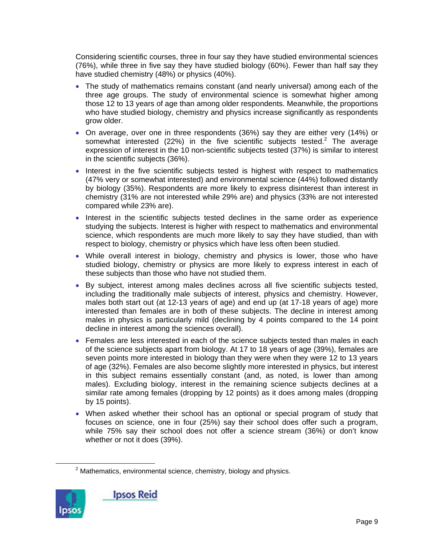Considering scientific courses, three in four say they have studied environmental sciences (76%), while three in five say they have studied biology (60%). Fewer than half say they have studied chemistry (48%) or physics (40%).

- The study of mathematics remains constant (and nearly universal) among each of the three age groups. The study of environmental science is somewhat higher among those 12 to 13 years of age than among older respondents. Meanwhile, the proportions who have studied biology, chemistry and physics increase significantly as respondents grow older.
- On average, over one in three respondents (36%) say they are either very (14%) or somewhat interested (22%) in the five scientific subjects tested.<sup>2</sup> The average expression of interest in the 10 non-scientific subjects tested (37%) is similar to interest in the scientific subjects (36%).
- Interest in the five scientific subjects tested is highest with respect to mathematics (47% very or somewhat interested) and environmental science (44%) followed distantly by biology (35%). Respondents are more likely to express disinterest than interest in chemistry (31% are not interested while 29% are) and physics (33% are not interested compared while 23% are).
- Interest in the scientific subjects tested declines in the same order as experience studying the subjects. Interest is higher with respect to mathematics and environmental science, which respondents are much more likely to say they have studied, than with respect to biology, chemistry or physics which have less often been studied.
- While overall interest in biology, chemistry and physics is lower, those who have studied biology, chemistry or physics are more likely to express interest in each of these subjects than those who have not studied them.
- By subject, interest among males declines across all five scientific subjects tested, including the traditionally male subjects of interest, physics and chemistry. However, males both start out (at 12-13 years of age) and end up (at 17-18 years of age) more interested than females are in both of these subjects. The decline in interest among males in physics is particularly mild (declining by 4 points compared to the 14 point decline in interest among the sciences overall).
- Females are less interested in each of the science subjects tested than males in each of the science subjects apart from biology. At 17 to 18 years of age (39%), females are seven points more interested in biology than they were when they were 12 to 13 years of age (32%). Females are also become slightly more interested in physics, but interest in this subject remains essentially constant (and, as noted, is lower than among males). Excluding biology, interest in the remaining science subjects declines at a similar rate among females (dropping by 12 points) as it does among males (dropping by 15 points).
- When asked whether their school has an optional or special program of study that focuses on science, one in four (25%) say their school does offer such a program, while 75% say their school does not offer a science stream (36%) or don't know whether or not it does (39%).

 $\overline{\phantom{a}}$  2  $2$  Mathematics, environmental science, chemistry, biology and physics.

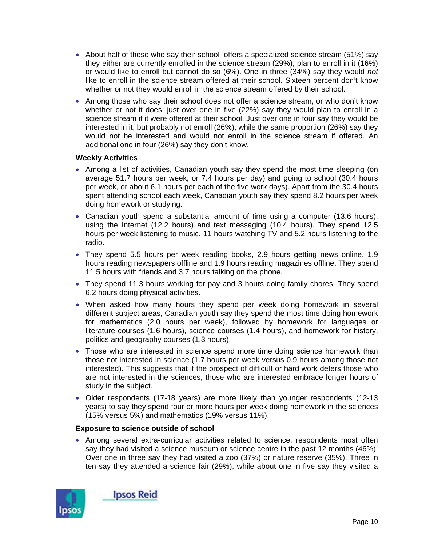- About half of those who say their school offers a specialized science stream (51%) say they either are currently enrolled in the science stream (29%), plan to enroll in it (16%) or would like to enroll but cannot do so (6%). One in three (34%) say they would *not* like to enroll in the science stream offered at their school. Sixteen percent don't know whether or not they would enroll in the science stream offered by their school.
- Among those who say their school does not offer a science stream, or who don't know whether or not it does, just over one in five (22%) say they would plan to enroll in a science stream if it were offered at their school. Just over one in four say they would be interested in it, but probably not enroll (26%), while the same proportion (26%) say they would not be interested and would not enroll in the science stream if offered. An additional one in four (26%) say they don't know.

#### **Weekly Activities**

- Among a list of activities, Canadian youth say they spend the most time sleeping (on average 51.7 hours per week, or 7.4 hours per day) and going to school (30.4 hours per week, or about 6.1 hours per each of the five work days). Apart from the 30.4 hours spent attending school each week, Canadian youth say they spend 8.2 hours per week doing homework or studying.
- Canadian youth spend a substantial amount of time using a computer (13.6 hours), using the Internet (12.2 hours) and text messaging (10.4 hours). They spend 12.5 hours per week listening to music, 11 hours watching TV and 5.2 hours listening to the radio.
- They spend 5.5 hours per week reading books, 2.9 hours getting news online, 1.9 hours reading newspapers offline and 1.9 hours reading magazines offline. They spend 11.5 hours with friends and 3.7 hours talking on the phone.
- They spend 11.3 hours working for pay and 3 hours doing family chores. They spend 6.2 hours doing physical activities.
- When asked how many hours they spend per week doing homework in several different subject areas, Canadian youth say they spend the most time doing homework for mathematics (2.0 hours per week), followed by homework for languages or literature courses (1.6 hours), science courses (1.4 hours), and homework for history, politics and geography courses (1.3 hours).
- Those who are interested in science spend more time doing science homework than those not interested in science (1.7 hours per week versus 0.9 hours among those not interested). This suggests that if the prospect of difficult or hard work deters those who are not interested in the sciences, those who are interested embrace longer hours of study in the subject.
- Older respondents (17-18 years) are more likely than younger respondents (12-13 years) to say they spend four or more hours per week doing homework in the sciences (15% versus 5%) and mathematics (19% versus 11%).

#### **Exposure to science outside of school**

• Among several extra-curricular activities related to science, respondents most often say they had visited a science museum or science centre in the past 12 months (46%). Over one in three say they had visited a zoo (37%) or nature reserve (35%). Three in ten say they attended a science fair (29%), while about one in five say they visited a

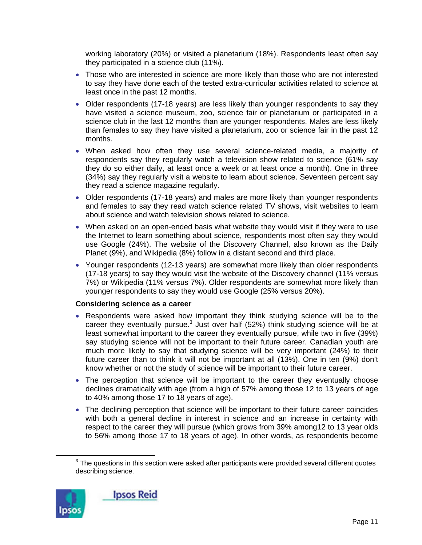working laboratory (20%) or visited a planetarium (18%). Respondents least often say they participated in a science club (11%).

- Those who are interested in science are more likely than those who are not interested to say they have done each of the tested extra-curricular activities related to science at least once in the past 12 months.
- Older respondents (17-18 years) are less likely than younger respondents to say they have visited a science museum, zoo, science fair or planetarium or participated in a science club in the last 12 months than are younger respondents. Males are less likely than females to say they have visited a planetarium, zoo or science fair in the past 12 months.
- When asked how often they use several science-related media, a majority of respondents say they regularly watch a television show related to science (61% say they do so either daily, at least once a week or at least once a month). One in three (34%) say they regularly visit a website to learn about science. Seventeen percent say they read a science magazine regularly.
- Older respondents (17-18 years) and males are more likely than younger respondents and females to say they read watch science related TV shows, visit websites to learn about science and watch television shows related to science.
- When asked on an open-ended basis what website they would visit if they were to use the Internet to learn something about science, respondents most often say they would use Google (24%). The website of the Discovery Channel, also known as the Daily Planet (9%), and Wikipedia (8%) follow in a distant second and third place.
- Younger respondents (12-13 years) are somewhat more likely than older respondents (17-18 years) to say they would visit the website of the Discovery channel (11% versus 7%) or Wikipedia (11% versus 7%). Older respondents are somewhat more likely than younger respondents to say they would use Google (25% versus 20%).

#### **Considering science as a career**

- Respondents were asked how important they think studying science will be to the career they eventually pursue. $3$  Just over half (52%) think studying science will be at least somewhat important to the career they eventually pursue, while two in five (39%) say studying science will not be important to their future career. Canadian youth are much more likely to say that studying science will be very important (24%) to their future career than to think it will not be important at all (13%). One in ten (9%) don't know whether or not the study of science will be important to their future career.
- The perception that science will be important to the career they eventually choose declines dramatically with age (from a high of 57% among those 12 to 13 years of age to 40% among those 17 to 18 years of age).
- The declining perception that science will be important to their future career coincides with both a general decline in interest in science and an increase in certainty with respect to the career they will pursue (which grows from 39% among12 to 13 year olds to 56% among those 17 to 18 years of age). In other words, as respondents become

 $\frac{1}{3}$  $3$  The questions in this section were asked after participants were provided several different quotes describing science.

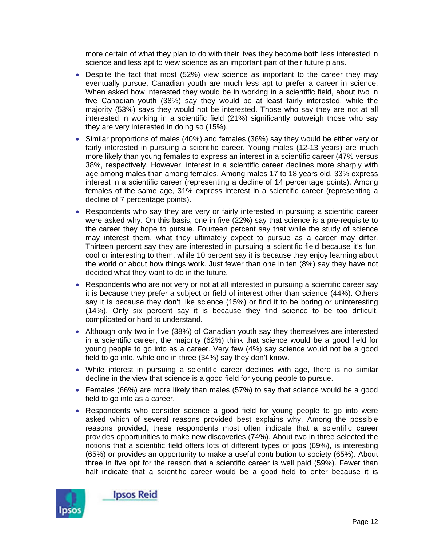more certain of what they plan to do with their lives they become both less interested in science and less apt to view science as an important part of their future plans.

- Despite the fact that most (52%) view science as important to the career they may eventually pursue, Canadian youth are much less apt to prefer a career in science. When asked how interested they would be in working in a scientific field, about two in five Canadian youth (38%) say they would be at least fairly interested, while the majority (53%) says they would not be interested. Those who say they are not at all interested in working in a scientific field (21%) significantly outweigh those who say they are very interested in doing so (15%).
- Similar proportions of males (40%) and females (36%) say they would be either very or fairly interested in pursuing a scientific career. Young males (12-13 years) are much more likely than young females to express an interest in a scientific career (47% versus 38%, respectively. However, interest in a scientific career declines more sharply with age among males than among females. Among males 17 to 18 years old, 33% express interest in a scientific career (representing a decline of 14 percentage points). Among females of the same age, 31% express interest in a scientific career (representing a decline of 7 percentage points).
- Respondents who say they are very or fairly interested in pursuing a scientific career were asked why. On this basis, one in five (22%) say that science is a pre-requisite to the career they hope to pursue. Fourteen percent say that while the study of science may interest them, what they ultimately expect to pursue as a career may differ. Thirteen percent say they are interested in pursuing a scientific field because it's fun, cool or interesting to them, while 10 percent say it is because they enjoy learning about the world or about how things work. Just fewer than one in ten (8%) say they have not decided what they want to do in the future.
- Respondents who are not very or not at all interested in pursuing a scientific career say it is because they prefer a subject or field of interest other than science (44%). Others say it is because they don't like science (15%) or find it to be boring or uninteresting (14%). Only six percent say it is because they find science to be too difficult, complicated or hard to understand.
- Although only two in five (38%) of Canadian youth say they themselves are interested in a scientific career, the majority (62%) think that science would be a good field for young people to go into as a career. Very few (4%) say science would not be a good field to go into, while one in three (34%) say they don't know.
- While interest in pursuing a scientific career declines with age, there is no similar decline in the view that science is a good field for young people to pursue.
- Females (66%) are more likely than males (57%) to say that science would be a good field to go into as a career.
- Respondents who consider science a good field for young people to go into were asked which of several reasons provided best explains why. Among the possible reasons provided, these respondents most often indicate that a scientific career provides opportunities to make new discoveries (74%). About two in three selected the notions that a scientific field offers lots of different types of jobs (69%), is interesting (65%) or provides an opportunity to make a useful contribution to society (65%). About three in five opt for the reason that a scientific career is well paid (59%). Fewer than half indicate that a scientific career would be a good field to enter because it is



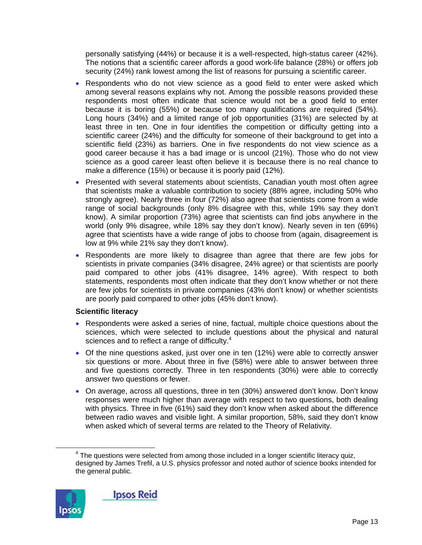personally satisfying (44%) or because it is a well-respected, high-status career (42%). The notions that a scientific career affords a good work-life balance (28%) or offers job security (24%) rank lowest among the list of reasons for pursuing a scientific career.

- Respondents who do not view science as a good field to enter were asked which among several reasons explains why not. Among the possible reasons provided these respondents most often indicate that science would not be a good field to enter because it is boring (55%) or because too many qualifications are required (54%). Long hours (34%) and a limited range of job opportunities (31%) are selected by at least three in ten. One in four identifies the competition or difficulty getting into a scientific career (24%) and the difficulty for someone of their background to get into a scientific field (23%) as barriers. One in five respondents do not view science as a good career because it has a bad image or is uncool (21%). Those who do not view science as a good career least often believe it is because there is no real chance to make a difference (15%) or because it is poorly paid (12%).
- Presented with several statements about scientists, Canadian youth most often agree that scientists make a valuable contribution to society (88% agree, including 50% who strongly agree). Nearly three in four (72%) also agree that scientists come from a wide range of social backgrounds (only 8% disagree with this, while 19% say they don't know). A similar proportion (73%) agree that scientists can find jobs anywhere in the world (only 9% disagree, while 18% say they don't know). Nearly seven in ten (69%) agree that scientists have a wide range of jobs to choose from (again, disagreement is low at 9% while 21% say they don't know).
- Respondents are more likely to disagree than agree that there are few jobs for scientists in private companies (34% disagree, 24% agree) or that scientists are poorly paid compared to other jobs (41% disagree, 14% agree). With respect to both statements, respondents most often indicate that they don't know whether or not there are few jobs for scientists in private companies (43% don't know) or whether scientists are poorly paid compared to other jobs (45% don't know).

#### **Scientific literacy**

- Respondents were asked a series of nine, factual, multiple choice questions about the sciences, which were selected to include questions about the physical and natural sciences and to reflect a range of difficulty. $4$
- Of the nine questions asked, just over one in ten (12%) were able to correctly answer six questions or more. About three in five (58%) were able to answer between three and five questions correctly. Three in ten respondents (30%) were able to correctly answer two questions or fewer.
- On average, across all questions, three in ten (30%) answered don't know. Don't know responses were much higher than average with respect to two questions, both dealing with physics. Three in five (61%) said they don't know when asked about the difference between radio waves and visible light. A similar proportion, 58%, said they don't know when asked which of several terms are related to the Theory of Relativity.

 $\overline{\phantom{a}}$  $4$  The questions were selected from among those included in a longer scientific literacy quiz, designed by James Trefil, a U.S. physics professor and noted author of science books intended for the general public.

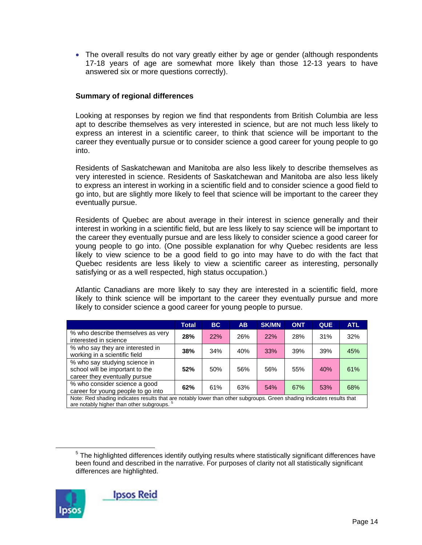• The overall results do not vary greatly either by age or gender (although respondents 17-18 years of age are somewhat more likely than those 12-13 years to have answered six or more questions correctly).

#### **Summary of regional differences**

Looking at responses by region we find that respondents from British Columbia are less apt to describe themselves as very interested in science, but are not much less likely to express an interest in a scientific career, to think that science will be important to the career they eventually pursue or to consider science a good career for young people to go into.

Residents of Saskatchewan and Manitoba are also less likely to describe themselves as very interested in science. Residents of Saskatchewan and Manitoba are also less likely to express an interest in working in a scientific field and to consider science a good field to go into, but are slightly more likely to feel that science will be important to the career they eventually pursue.

Residents of Quebec are about average in their interest in science generally and their interest in working in a scientific field, but are less likely to say science will be important to the career they eventually pursue and are less likely to consider science a good career for young people to go into. (One possible explanation for why Quebec residents are less likely to view science to be a good field to go into may have to do with the fact that Quebec residents are less likely to view a scientific career as interesting, personally satisfying or as a well respected, high status occupation.)

Atlantic Canadians are more likely to say they are interested in a scientific field, more likely to think science will be important to the career they eventually pursue and more likely to consider science a good career for young people to pursue.

|                                                                                                                                                                                | Total | <b>BC</b> | <b>AB</b> | <b>SK/MN</b> | <b>ONT</b> | <b>QUE</b> | <b>ATL</b> |  |  |
|--------------------------------------------------------------------------------------------------------------------------------------------------------------------------------|-------|-----------|-----------|--------------|------------|------------|------------|--|--|
| % who describe themselves as very<br>interested in science                                                                                                                     | 28%   | 22%       | 26%       | 22%          | 28%        | 31%        | 32%        |  |  |
| % who say they are interested in<br>working in a scientific field                                                                                                              | 38%   | 34%       | 40%       | 33%          | 39%        | 39%        | 45%        |  |  |
| % who say studying science in<br>school will be important to the<br>career they eventually pursue                                                                              | 52%   | 50%       | 56%       | 56%          | 55%        | 40%        | 61%        |  |  |
| % who consider science a good<br>career for young people to go into                                                                                                            | 62%   | 61%       | 63%       | 54%          | 67%        | 53%        | 68%        |  |  |
| Note: Red shading indicates results that are notably lower than other subgroups. Green shading indicates results that<br>are notably higher than other subgroups. <sup>5</sup> |       |           |           |              |            |            |            |  |  |

 $\frac{1}{5}$  $5$  The highlighted differences identify outlying results where statistically significant differences have been found and described in the narrative. For purposes of clarity not all statistically significant differences are highlighted.

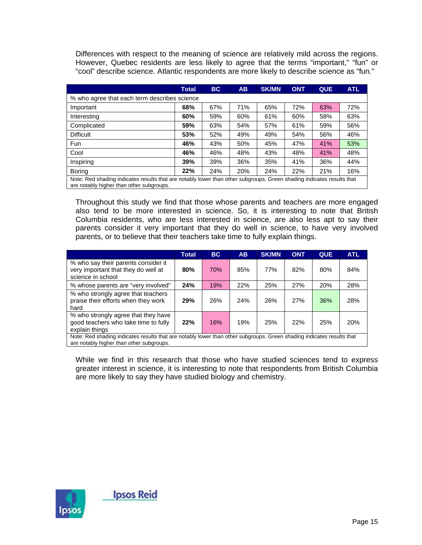Differences with respect to the meaning of science are relatively mild across the regions. However, Quebec residents are less likely to agree that the terms "important," "fun" or "cool" describe science. Atlantic respondents are more likely to describe science as "fun."

|                                                                                                                                                                   | Total | BC. | <b>AB</b> | <b>SK/MN</b> | <b>ONT</b> | <b>QUE</b> | <b>ATL</b> |  |  |  |  |
|-------------------------------------------------------------------------------------------------------------------------------------------------------------------|-------|-----|-----------|--------------|------------|------------|------------|--|--|--|--|
| % who agree that each term describes science                                                                                                                      |       |     |           |              |            |            |            |  |  |  |  |
| Important                                                                                                                                                         | 68%   | 67% | 71%       | 65%          | 72%        | 63%        | 72%        |  |  |  |  |
| Interesting                                                                                                                                                       | 60%   | 59% | 60%       | 61%          | 60%        | 58%        | 63%        |  |  |  |  |
| Complicated                                                                                                                                                       | 59%   | 63% | 54%       | 57%          | 61%        | 59%        | 56%        |  |  |  |  |
| <b>Difficult</b>                                                                                                                                                  | 53%   | 52% | 49%       | 49%          | 54%        | 56%        | 46%        |  |  |  |  |
| Fun                                                                                                                                                               | 46%   | 43% | 50%       | 45%          | 47%        | 41%        | 53%        |  |  |  |  |
| Cool                                                                                                                                                              | 46%   | 46% | 48%       | 43%          | 48%        | 41%        | 48%        |  |  |  |  |
| Inspiring                                                                                                                                                         | 39%   | 39% | 36%       | 35%          | 41%        | 36%        | 44%        |  |  |  |  |
| Boring                                                                                                                                                            | 22%   | 24% | 20%       | 24%          | 22%        | 21%        | 16%        |  |  |  |  |
| Note: Red shading indicates results that are notably lower than other subgroups. Green shading indicates results that<br>are notably higher than other subgroups. |       |     |           |              |            |            |            |  |  |  |  |

Throughout this study we find that those whose parents and teachers are more engaged also tend to be more interested in science. So, it is interesting to note that British Columbia residents, who are less interested in science, are also less apt to say their parents consider it very important that they do well in science, to have very involved parents, or to believe that their teachers take time to fully explain things.

|                                                                                                                                                                   | Total | BC. | <b>AB</b> | <b>SK/MN</b> | <b>ONT</b> | <b>QUE</b> | <b>ATL</b> |  |  |
|-------------------------------------------------------------------------------------------------------------------------------------------------------------------|-------|-----|-----------|--------------|------------|------------|------------|--|--|
| % who say their parents consider it<br>very important that they do well at<br>science in school                                                                   | 80%   | 70% | 85%       | 77%          | 82%        | 80%        | 84%        |  |  |
| % whose parents are "very involved"                                                                                                                               | 24%   | 19% | 22%       | 25%          | 27%        | 20%        | 28%        |  |  |
| % who strongly agree that teachers<br>praise their efforts when they work<br>hard                                                                                 | 29%   | 26% | 24%       | 26%          | 27%        | 36%        | 28%        |  |  |
| % who strongly agree that they have<br>good teachers who take time to fully<br>explain things                                                                     | 22%   | 16% | 19%       | 25%          | 22%        | 25%        | <b>20%</b> |  |  |
| Note: Red shading indicates results that are notably lower than other subgroups. Green shading indicates results that<br>are notably higher than other subgroups. |       |     |           |              |            |            |            |  |  |

While we find in this research that those who have studied sciences tend to express greater interest in science, it is interesting to note that respondents from British Columbia are more likely to say they have studied biology and chemistry.

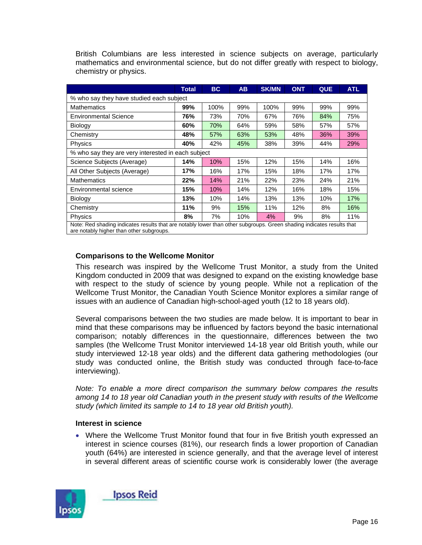|                                                                                                                                                                   | Total | <b>BC</b> | <b>AB</b> | <b>SK/MN</b> | <b>ONT</b> | <b>QUE</b> | <b>ATL</b> |  |  |  |  |
|-------------------------------------------------------------------------------------------------------------------------------------------------------------------|-------|-----------|-----------|--------------|------------|------------|------------|--|--|--|--|
| % who say they have studied each subject                                                                                                                          |       |           |           |              |            |            |            |  |  |  |  |
| <b>Mathematics</b>                                                                                                                                                | 99%   | 100%      | 99%       | 100%         | 99%        | 99%        | 99%        |  |  |  |  |
| <b>Environmental Science</b>                                                                                                                                      | 76%   | 73%       | 70%       | 67%          | 76%        | 84%        | 75%        |  |  |  |  |
| Biology                                                                                                                                                           | 60%   | 70%       | 64%       | 59%          | 58%        | 57%        | 57%        |  |  |  |  |
| Chemistry                                                                                                                                                         | 48%   | 57%       | 63%       | 53%          | 48%        | 36%        | 39%        |  |  |  |  |
| Physics                                                                                                                                                           | 40%   | 42%       | 45%       | 38%          | 39%        | 44%        | 29%        |  |  |  |  |
| % who say they are very interested in each subject                                                                                                                |       |           |           |              |            |            |            |  |  |  |  |
| Science Subjects (Average)                                                                                                                                        | 14%   | 10%       | 15%       | 12%          | 15%        | 14%        | 16%        |  |  |  |  |
| All Other Subjects (Average)                                                                                                                                      | 17%   | 16%       | 17%       | 15%          | 18%        | 17%        | 17%        |  |  |  |  |
| <b>Mathematics</b>                                                                                                                                                | 22%   | 14%       | 21%       | 22%          | 23%        | 24%        | 21%        |  |  |  |  |
| Environmental science                                                                                                                                             | 15%   | 10%       | 14%       | 12%          | 16%        | 18%        | 15%        |  |  |  |  |
| <b>Biology</b>                                                                                                                                                    | 13%   | 10%       | 14%       | 13%          | 13%        | 10%        | 17%        |  |  |  |  |
| Chemistry                                                                                                                                                         | 11%   | 9%        | 15%       | 11%          | 12%        | 8%         | 16%        |  |  |  |  |
| <b>Physics</b>                                                                                                                                                    | 8%    | 7%        | 10%       | 4%           | 9%         | 8%         | 11%        |  |  |  |  |
| Note: Red shading indicates results that are notably lower than other subgroups. Green shading indicates results that<br>are notably higher than other subgroups. |       |           |           |              |            |            |            |  |  |  |  |

British Columbians are less interested in science subjects on average, particularly mathematics and environmental science, but do not differ greatly with respect to biology, chemistry or physics.

#### **Comparisons to the Wellcome Monitor**

This research was inspired by the Wellcome Trust Monitor, a study from the United Kingdom conducted in 2009 that was designed to expand on the existing knowledge base with respect to the study of science by young people. While not a replication of the Wellcome Trust Monitor, the Canadian Youth Science Monitor explores a similar range of issues with an audience of Canadian high-school-aged youth (12 to 18 years old).

Several comparisons between the two studies are made below. It is important to bear in mind that these comparisons may be influenced by factors beyond the basic international comparison; notably differences in the questionnaire, differences between the two samples (the Wellcome Trust Monitor interviewed 14-18 year old British youth, while our study interviewed 12-18 year olds) and the different data gathering methodologies (our study was conducted online, the British study was conducted through face-to-face interviewing).

*Note: To enable a more direct comparison the summary below compares the results among 14 to 18 year old Canadian youth in the present study with results of the Wellcome study (which limited its sample to 14 to 18 year old British youth).* 

#### **Interest in science**

• Where the Wellcome Trust Monitor found that four in five British youth expressed an interest in science courses (81%), our research finds a lower proportion of Canadian youth (64%) are interested in science generally, and that the average level of interest in several different areas of scientific course work is considerably lower (the average

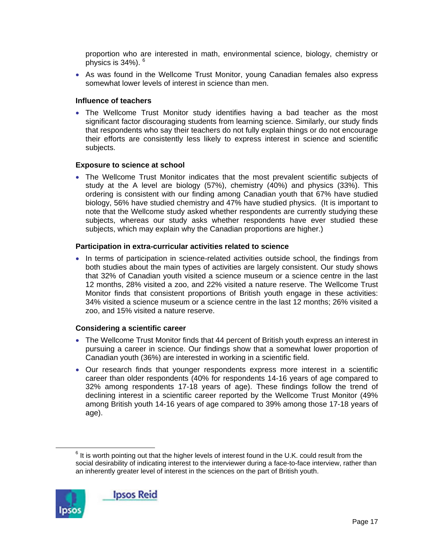proportion who are interested in math, environmental science, biology, chemistry or physics is  $34\%$ ).  $6$ 

• As was found in the Wellcome Trust Monitor, young Canadian females also express somewhat lower levels of interest in science than men.

#### **Influence of teachers**

• The Wellcome Trust Monitor study identifies having a bad teacher as the most significant factor discouraging students from learning science. Similarly, our study finds that respondents who say their teachers do not fully explain things or do not encourage their efforts are consistently less likely to express interest in science and scientific subjects.

#### **Exposure to science at school**

• The Wellcome Trust Monitor indicates that the most prevalent scientific subjects of study at the A level are biology (57%), chemistry (40%) and physics (33%). This ordering is consistent with our finding among Canadian youth that 67% have studied biology, 56% have studied chemistry and 47% have studied physics. (It is important to note that the Wellcome study asked whether respondents are currently studying these subjects, whereas our study asks whether respondents have ever studied these subjects, which may explain why the Canadian proportions are higher.)

#### **Participation in extra-curricular activities related to science**

• In terms of participation in science-related activities outside school, the findings from both studies about the main types of activities are largely consistent. Our study shows that 32% of Canadian youth visited a science museum or a science centre in the last 12 months, 28% visited a zoo, and 22% visited a nature reserve. The Wellcome Trust Monitor finds that consistent proportions of British youth engage in these activities: 34% visited a science museum or a science centre in the last 12 months; 26% visited a zoo, and 15% visited a nature reserve.

#### **Considering a scientific career**

- The Wellcome Trust Monitor finds that 44 percent of British youth express an interest in pursuing a career in science. Our findings show that a somewhat lower proportion of Canadian youth (36%) are interested in working in a scientific field.
- Our research finds that younger respondents express more interest in a scientific career than older respondents (40% for respondents 14-16 years of age compared to 32% among respondents 17-18 years of age). These findings follow the trend of declining interest in a scientific career reported by the Wellcome Trust Monitor (49% among British youth 14-16 years of age compared to 39% among those 17-18 years of age).

 <sup>6</sup>  $6$  It is worth pointing out that the higher levels of interest found in the U.K. could result from the social desirability of indicating interest to the interviewer during a face-to-face interview, rather than an inherently greater level of interest in the sciences on the part of British youth.

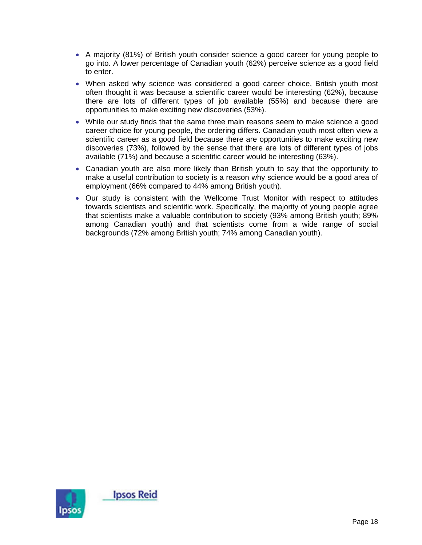- A majority (81%) of British youth consider science a good career for young people to go into. A lower percentage of Canadian youth (62%) perceive science as a good field to enter.
- When asked why science was considered a good career choice, British youth most often thought it was because a scientific career would be interesting (62%), because there are lots of different types of job available (55%) and because there are opportunities to make exciting new discoveries (53%).
- While our study finds that the same three main reasons seem to make science a good career choice for young people, the ordering differs. Canadian youth most often view a scientific career as a good field because there are opportunities to make exciting new discoveries (73%), followed by the sense that there are lots of different types of jobs available (71%) and because a scientific career would be interesting (63%).
- Canadian youth are also more likely than British youth to say that the opportunity to make a useful contribution to society is a reason why science would be a good area of employment (66% compared to 44% among British youth).
- Our study is consistent with the Wellcome Trust Monitor with respect to attitudes towards scientists and scientific work. Specifically, the majority of young people agree that scientists make a valuable contribution to society (93% among British youth; 89% among Canadian youth) and that scientists come from a wide range of social backgrounds (72% among British youth; 74% among Canadian youth).

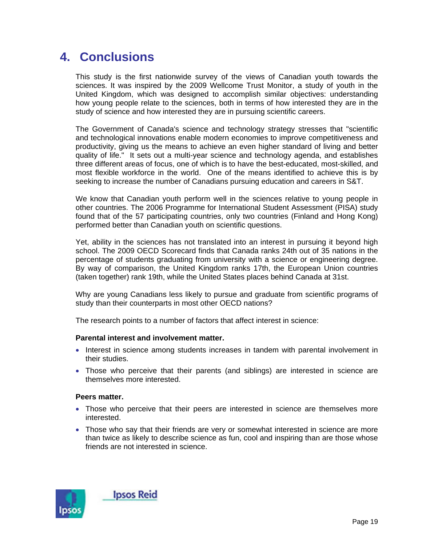### **4. Conclusions**

This study is the first nationwide survey of the views of Canadian youth towards the sciences. It was inspired by the 2009 Wellcome Trust Monitor, a study of youth in the United Kingdom, which was designed to accomplish similar objectives: understanding how young people relate to the sciences, both in terms of how interested they are in the study of science and how interested they are in pursuing scientific careers.

The Government of Canada's science and technology strategy stresses that "scientific and technological innovations enable modern economies to improve competitiveness and productivity, giving us the means to achieve an even higher standard of living and better quality of life." It sets out a multi-year science and technology agenda, and establishes three different areas of focus, one of which is to have the best-educated, most-skilled, and most flexible workforce in the world. One of the means identified to achieve this is by seeking to increase the number of Canadians pursuing education and careers in S&T.

We know that Canadian youth perform well in the sciences relative to young people in other countries. The 2006 Programme for International Student Assessment (PISA) study found that of the 57 participating countries, only two countries (Finland and Hong Kong) performed better than Canadian youth on scientific questions.

Yet, ability in the sciences has not translated into an interest in pursuing it beyond high school. The 2009 OECD Scorecard finds that Canada ranks 24th out of 35 nations in the percentage of students graduating from university with a science or engineering degree. By way of comparison, the United Kingdom ranks 17th, the European Union countries (taken together) rank 19th, while the United States places behind Canada at 31st.

Why are young Canadians less likely to pursue and graduate from scientific programs of study than their counterparts in most other OECD nations?

The research points to a number of factors that affect interest in science:

#### **Parental interest and involvement matter.**

- Interest in science among students increases in tandem with parental involvement in their studies.
- Those who perceive that their parents (and siblings) are interested in science are themselves more interested.

#### **Peers matter.**

- Those who perceive that their peers are interested in science are themselves more interested.
- Those who say that their friends are very or somewhat interested in science are more than twice as likely to describe science as fun, cool and inspiring than are those whose friends are not interested in science.

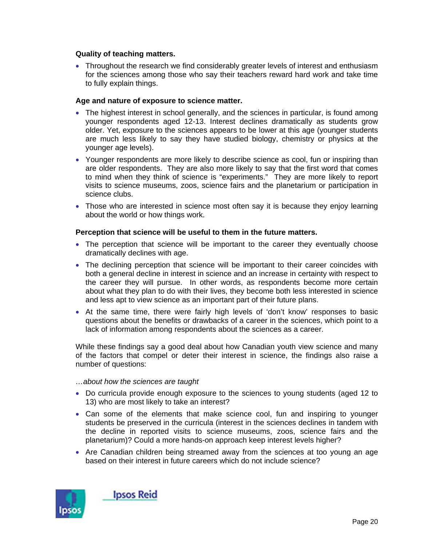#### **Quality of teaching matters.**

• Throughout the research we find considerably greater levels of interest and enthusiasm for the sciences among those who say their teachers reward hard work and take time to fully explain things.

#### **Age and nature of exposure to science matter.**

- The highest interest in school generally, and the sciences in particular, is found among younger respondents aged 12-13. Interest declines dramatically as students grow older. Yet, exposure to the sciences appears to be lower at this age (younger students are much less likely to say they have studied biology, chemistry or physics at the younger age levels).
- Younger respondents are more likely to describe science as cool, fun or inspiring than are older respondents. They are also more likely to say that the first word that comes to mind when they think of science is "experiments." They are more likely to report visits to science museums, zoos, science fairs and the planetarium or participation in science clubs.
- Those who are interested in science most often say it is because they enjoy learning about the world or how things work.

#### **Perception that science will be useful to them in the future matters.**

- The perception that science will be important to the career they eventually choose dramatically declines with age.
- The declining perception that science will be important to their career coincides with both a general decline in interest in science and an increase in certainty with respect to the career they will pursue. In other words, as respondents become more certain about what they plan to do with their lives, they become both less interested in science and less apt to view science as an important part of their future plans.
- At the same time, there were fairly high levels of 'don't know' responses to basic questions about the benefits or drawbacks of a career in the sciences, which point to a lack of information among respondents about the sciences as a career.

While these findings say a good deal about how Canadian youth view science and many of the factors that compel or deter their interest in science, the findings also raise a number of questions:

#### *…about how the sciences are taught*

- Do curricula provide enough exposure to the sciences to young students (aged 12 to 13) who are most likely to take an interest?
- Can some of the elements that make science cool, fun and inspiring to younger students be preserved in the curricula (interest in the sciences declines in tandem with the decline in reported visits to science museums, zoos, science fairs and the planetarium)? Could a more hands-on approach keep interest levels higher?
- Are Canadian children being streamed away from the sciences at too young an age based on their interest in future careers which do not include science?

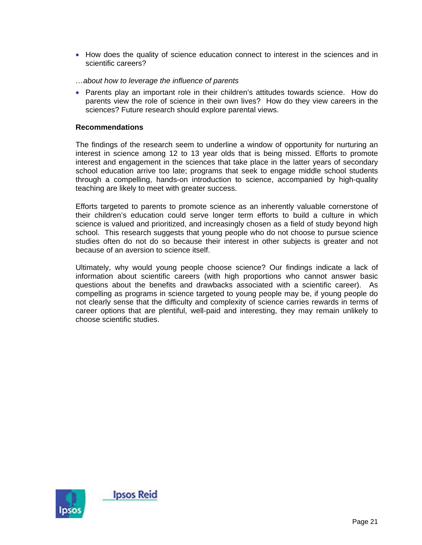- How does the quality of science education connect to interest in the sciences and in scientific careers?
- *…about how to leverage the influence of parents*
- Parents play an important role in their children's attitudes towards science. How do parents view the role of science in their own lives? How do they view careers in the sciences? Future research should explore parental views.

#### **Recommendations**

The findings of the research seem to underline a window of opportunity for nurturing an interest in science among 12 to 13 year olds that is being missed. Efforts to promote interest and engagement in the sciences that take place in the latter years of secondary school education arrive too late; programs that seek to engage middle school students through a compelling, hands-on introduction to science, accompanied by high-quality teaching are likely to meet with greater success.

Efforts targeted to parents to promote science as an inherently valuable cornerstone of their children's education could serve longer term efforts to build a culture in which science is valued and prioritized, and increasingly chosen as a field of study beyond high school. This research suggests that young people who do not choose to pursue science studies often do not do so because their interest in other subjects is greater and not because of an aversion to science itself.

Ultimately, why would young people choose science? Our findings indicate a lack of information about scientific careers (with high proportions who cannot answer basic questions about the benefits and drawbacks associated with a scientific career). As compelling as programs in science targeted to young people may be, if young people do not clearly sense that the difficulty and complexity of science carries rewards in terms of career options that are plentiful, well-paid and interesting, they may remain unlikely to choose scientific studies.

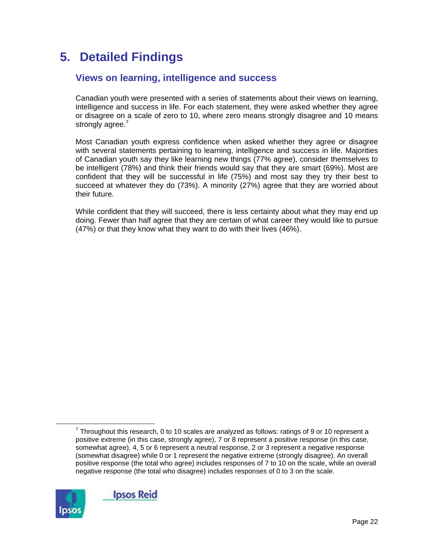# **5. Detailed Findings**

### **Views on learning, intelligence and success**

Canadian youth were presented with a series of statements about their views on learning, intelligence and success in life. For each statement, they were asked whether they agree or disagree on a scale of zero to 10, where zero means strongly disagree and 10 means strongly agree.<sup>7</sup>

Most Canadian youth express confidence when asked whether they agree or disagree with several statements pertaining to learning, intelligence and success in life. Majorities of Canadian youth say they like learning new things (77% agree), consider themselves to be intelligent (78%) and think their friends would say that they are smart (69%). Most are confident that they will be successful in life (75%) and most say they try their best to succeed at whatever they do (73%). A minority (27%) agree that they are worried about their future.

While confident that they will succeed, there is less certainty about what they may end up doing. Fewer than half agree that they are certain of what career they would like to pursue (47%) or that they know what they want to do with their lives (46%).

 $\frac{1}{7}$  $7$  Throughout this research, 0 to 10 scales are analyzed as follows: ratings of 9 or 10 represent a positive extreme (in this case, strongly agree), 7 or 8 represent a positive response (in this case, somewhat agree), 4, 5 or 6 represent a neutral response, 2 or 3 represent a negative response (somewhat disagree) while 0 or 1 represent the negative extreme (strongly disagree). An overall positive response (the total who agree) includes responses of 7 to 10 on the scale, while an overall negative response (the total who disagree) includes responses of 0 to 3 on the scale.

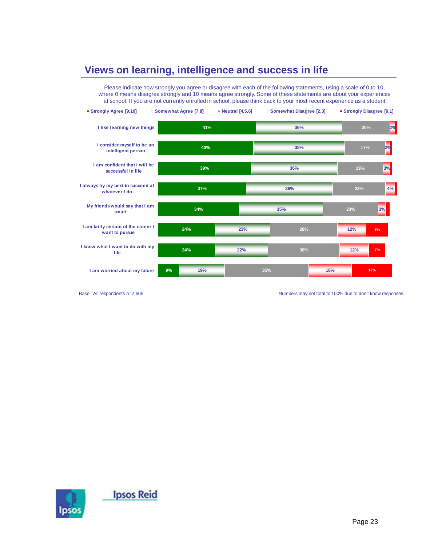### **Views on learning, intelligence and success in life**



Base: All respondents n=2,605 Numbers may not total to 100% due to don't know responses.

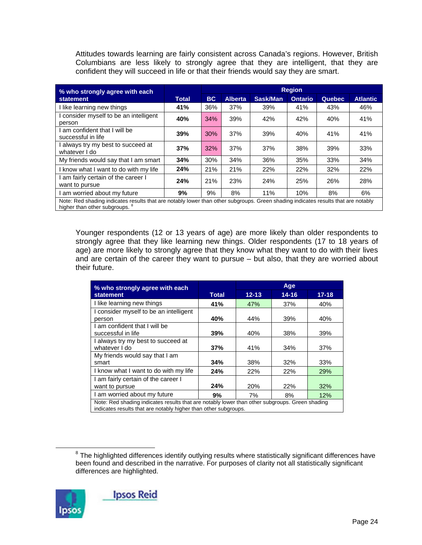Attitudes towards learning are fairly consistent across Canada's regions. However, British Columbians are less likely to strongly agree that they are intelligent, that they are confident they will succeed in life or that their friends would say they are smart.

| % who strongly agree with each                                                                                                                                                 | <b>Region</b> |           |                |          |                |         |                 |  |  |  |
|--------------------------------------------------------------------------------------------------------------------------------------------------------------------------------|---------------|-----------|----------------|----------|----------------|---------|-----------------|--|--|--|
| statement                                                                                                                                                                      | <b>Total</b>  | <b>BC</b> | <b>Alberta</b> | Sask/Man | <b>Ontario</b> | Quebec, | <b>Atlantic</b> |  |  |  |
| I like learning new things                                                                                                                                                     | 41%           | 36%       | 37%            | 39%      | 41%            | 43%     | 46%             |  |  |  |
| I consider myself to be an intelligent<br>person                                                                                                                               | 40%           | 34%       | 39%            | 42%      | 42%            | 40%     | 41%             |  |  |  |
| I am confident that I will be<br>successful in life                                                                                                                            | 39%           | 30%       | 37%            | 39%      | 40%            | 41%     | 41%             |  |  |  |
| I always try my best to succeed at<br>whatever I do                                                                                                                            | 37%           | 32%       | 37%            | 37%      | 38%            | 39%     | 33%             |  |  |  |
| My friends would say that I am smart                                                                                                                                           | 34%           | 30%       | 34%            | 36%      | 35%            | 33%     | 34%             |  |  |  |
| I know what I want to do with my life                                                                                                                                          | 24%           | 21%       | 21%            | 22%      | 22%            | 32%     | 22%             |  |  |  |
| I am fairly certain of the career I<br>want to pursue                                                                                                                          | 24%           | 21%       | 23%            | 24%      | 25%            | 26%     | 28%             |  |  |  |
| I am worried about my future                                                                                                                                                   | 9%            | 9%        | 8%             | 11%      | 10%            | 8%      | 6%              |  |  |  |
| Note: Red shading indicates results that are notably lower than other subgroups. Green shading indicates results that are notably<br>higher than other subgroups. <sup>8</sup> |               |           |                |          |                |         |                 |  |  |  |

Younger respondents (12 or 13 years of age) are more likely than older respondents to strongly agree that they like learning new things. Older respondents (17 to 18 years of age) are more likely to strongly agree that they know what they want to do with their lives and are certain of the career they want to pursue – but also, that they are worried about their future.

| % who strongly agree with each                                                                                                                                    |              |           | Age        |           |  |  |  |  |
|-------------------------------------------------------------------------------------------------------------------------------------------------------------------|--------------|-----------|------------|-----------|--|--|--|--|
| <b>statement</b>                                                                                                                                                  | <b>Total</b> | $12 - 13$ | $14 - 16$  | $17 - 18$ |  |  |  |  |
| I like learning new things                                                                                                                                        | 41%          | 47%       | 37%        | 40%       |  |  |  |  |
| I consider myself to be an intelligent<br>person                                                                                                                  | 40%          | 44%       | 39%        | 40%       |  |  |  |  |
| I am confident that I will be<br>successful in life                                                                                                               | 39%          | 40%       | 38%        | 39%       |  |  |  |  |
| I always try my best to succeed at<br>whatever I do                                                                                                               | 37%          | 41%       | 34%        | 37%       |  |  |  |  |
| My friends would say that I am<br>smart                                                                                                                           | 34%          | 38%       | 32%        | 33%       |  |  |  |  |
| I know what I want to do with my life                                                                                                                             | 24%          | 22%       | <b>22%</b> | 29%       |  |  |  |  |
| I am fairly certain of the career I<br>want to pursue                                                                                                             | 24%          | 20%       | 22%        | 32%       |  |  |  |  |
| I am worried about my future                                                                                                                                      | 9%           | 7%        | 8%         | 12%       |  |  |  |  |
| Note: Red shading indicates results that are notably lower than other subgroups. Green shading<br>indicates results that are notably higher than other subgroups. |              |           |            |           |  |  |  |  |

 <sup>8</sup>  $8$  The highlighted differences identify outlying results where statistically significant differences have been found and described in the narrative. For purposes of clarity not all statistically significant differences are highlighted.

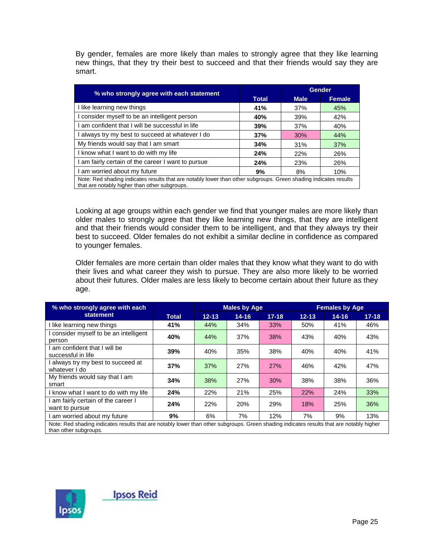By gender, females are more likely than males to strongly agree that they like learning new things, that they try their best to succeed and that their friends would say they are smart.

| % who strongly agree with each statement                                                                                                                          |              |             | Gender        |
|-------------------------------------------------------------------------------------------------------------------------------------------------------------------|--------------|-------------|---------------|
|                                                                                                                                                                   | <b>Total</b> | <b>Male</b> | <b>Female</b> |
| I like learning new things                                                                                                                                        | 41%          | 37%         | 45%           |
| consider myself to be an intelligent person                                                                                                                       | 40%          | 39%         | 42%           |
| am confident that I will be successful in life                                                                                                                    | 39%          | 37%         | 40%           |
| always try my best to succeed at whatever I do                                                                                                                    | 37%          | 30%         | 44%           |
| My friends would say that I am smart                                                                                                                              | 34%          | 31%         | 37%           |
| I know what I want to do with my life                                                                                                                             | 24%          | 22%         | 26%           |
| am fairly certain of the career I want to pursue                                                                                                                  | 24%          | 23%         | 26%           |
| am worried about my future                                                                                                                                        | 9%           | 8%          | 10%           |
| Note: Red shading indicates results that are notably lower than other subgroups. Green shading indicates results<br>that are notably higher than other subgroups. |              |             |               |

Looking at age groups within each gender we find that younger males are more likely than older males to strongly agree that they like learning new things, that they are intelligent and that their friends would consider them to be intelligent, and that they always try their best to succeed. Older females do not exhibit a similar decline in confidence as compared to younger females.

Older females are more certain than older males that they know what they want to do with their lives and what career they wish to pursue. They are also more likely to be worried about their futures. Older males are less likely to become certain about their future as they age.

| % who strongly agree with each                                                                                                                                    |       | <b>Males by Age</b> |           |           | <b>Females by Age</b> |           |           |  |  |  |
|-------------------------------------------------------------------------------------------------------------------------------------------------------------------|-------|---------------------|-----------|-----------|-----------------------|-----------|-----------|--|--|--|
| statement                                                                                                                                                         | Total | $12 - 13$           | $14 - 16$ | $17 - 18$ | $12 - 13$             | $14 - 16$ | $17 - 18$ |  |  |  |
| I like learning new things                                                                                                                                        | 41%   | 44%                 | 34%       | 33%       | 50%                   | 41%       | 46%       |  |  |  |
| consider myself to be an intelligent<br>person                                                                                                                    | 40%   | 44%                 | 37%       | 38%       | 43%                   | 40%       | 43%       |  |  |  |
| am confident that I will be<br>successful in life                                                                                                                 | 39%   | 40%                 | 35%       | 38%       | 40%                   | 40%       | 41%       |  |  |  |
| always try my best to succeed at<br>whatever I do                                                                                                                 | 37%   | 37%                 | 27%       | 27%       | 46%                   | 42%       | 47%       |  |  |  |
| My friends would say that I am<br>smart                                                                                                                           | 34%   | 38%                 | 27%       | 30%       | 38%                   | 38%       | 36%       |  |  |  |
| I know what I want to do with my life                                                                                                                             | 24%   | 22%                 | 21%       | 25%       | 22%                   | 24%       | 33%       |  |  |  |
| am fairly certain of the career I<br>want to pursue                                                                                                               | 24%   | 22%                 | 20%       | 29%       | 18%                   | 25%       | 36%       |  |  |  |
| am worried about my future                                                                                                                                        | 9%    | 6%                  | 7%        | 12%       | 7%                    | 9%        | 13%       |  |  |  |
| Note: Red shading indicates results that are notably lower than other subgroups. Green shading indicates results that are notably higher<br>than other subgroups. |       |                     |           |           |                       |           |           |  |  |  |

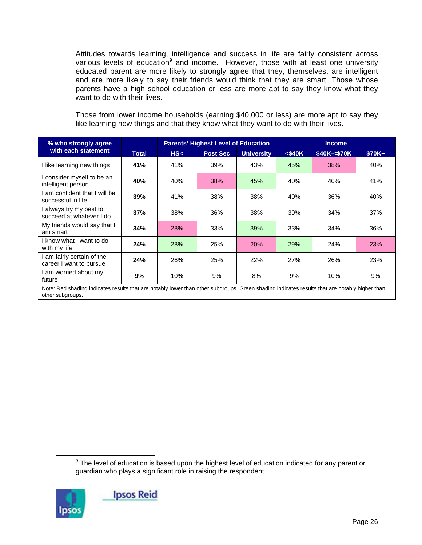Attitudes towards learning, intelligence and success in life are fairly consistent across various levels of education<sup>9</sup> and income. However, those with at least one university educated parent are more likely to strongly agree that they, themselves, are intelligent and are more likely to say their friends would think that they are smart. Those whose parents have a high school education or less are more apt to say they know what they want to do with their lives.

Those from lower income households (earning \$40,000 or less) are more apt to say they like learning new things and that they know what they want to do with their lives.

| % who strongly agree                                |                                                                                                                                               |     | <b>Parents' Highest Level of Education</b><br><b>Income</b> |                   |           |              |        |  |  |  |  |
|-----------------------------------------------------|-----------------------------------------------------------------------------------------------------------------------------------------------|-----|-------------------------------------------------------------|-------------------|-----------|--------------|--------|--|--|--|--|
| with each statement                                 | <b>Total</b>                                                                                                                                  | HS< | <b>Post Sec</b>                                             | <b>University</b> | $<$ \$40K | \$40K-<\$70K | \$70K+ |  |  |  |  |
| I like learning new things                          | 41%                                                                                                                                           | 41% | 39%                                                         | 43%               | 45%       | 38%          | 40%    |  |  |  |  |
| consider myself to be an<br>intelligent person      | 40%                                                                                                                                           | 40% | 38%                                                         | 45%               | 40%       | 40%          | 41%    |  |  |  |  |
| am confident that I will be<br>successful in life   | 39%                                                                                                                                           | 41% | 38%                                                         | 38%               | 40%       | 36%          | 40%    |  |  |  |  |
| I always try my best to<br>succeed at whatever I do | 37%                                                                                                                                           | 38% | 36%                                                         | 38%               | 39%       | 34%          | 37%    |  |  |  |  |
| My friends would say that I<br>am smart             | 34%                                                                                                                                           | 28% | 33%                                                         | 39%               | 33%       | 34%          | 36%    |  |  |  |  |
| I know what I want to do<br>with my life            | 24%                                                                                                                                           | 28% | 25%                                                         | 20%               | 29%       | 24%          | 23%    |  |  |  |  |
| am fairly certain of the<br>career I want to pursue | 24%                                                                                                                                           | 26% | 25%                                                         | 22%               | 27%       | 26%          | 23%    |  |  |  |  |
| I am worried about my<br>future                     | 9%                                                                                                                                            | 10% | 9%                                                          | 8%                | 9%        | 10%          | 9%     |  |  |  |  |
| other subgroups.                                    | Note: Red shading indicates results that are notably lower than other subgroups. Green shading indicates results that are notably higher than |     |                                                             |                   |           |              |        |  |  |  |  |

 <sup>9</sup>  $9$  The level of education is based upon the highest level of education indicated for any parent or guardian who plays a significant role in raising the respondent.

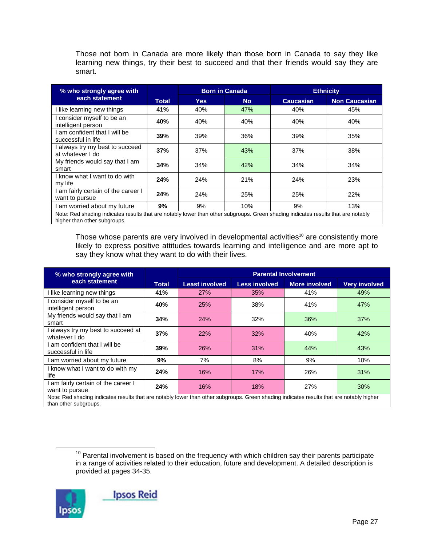Those not born in Canada are more likely than those born in Canada to say they like learning new things, try their best to succeed and that their friends would say they are smart.

| % who strongly agree with                                                                                                                                         |              | <b>Born in Canada</b> |           | <b>Ethnicity</b> |                      |  |  |
|-------------------------------------------------------------------------------------------------------------------------------------------------------------------|--------------|-----------------------|-----------|------------------|----------------------|--|--|
| each statement                                                                                                                                                    | <b>Total</b> | Yes                   | <b>No</b> | <b>Caucasian</b> | <b>Non Caucasian</b> |  |  |
| like learning new things                                                                                                                                          | 41%          | 40%                   | 47%       | 40%              | 45%                  |  |  |
| consider myself to be an<br>intelligent person                                                                                                                    | 40%          | 40%                   | 40%       | 40%              | 40%                  |  |  |
| am confident that I will be<br>successful in life                                                                                                                 | 39%          | 39%                   | 36%       | 39%              | 35%                  |  |  |
| always try my best to succeed<br>at whatever I do                                                                                                                 | 37%          | 37%                   | 43%       | 37%              | 38%                  |  |  |
| My friends would say that I am<br>smart                                                                                                                           | 34%          | 34%                   | 42%       | 34%              | 34%                  |  |  |
| I know what I want to do with<br>my life                                                                                                                          | 24%          | 24%                   | 21%       | 24%              | 23%                  |  |  |
| I am fairly certain of the career I<br>want to pursue                                                                                                             | 24%          | 24%                   | 25%       | 25%              | 22%                  |  |  |
| am worried about my future                                                                                                                                        | 9%           | 9%                    | 10%       | 9%               | 13%                  |  |  |
| Note: Red shading indicates results that are notably lower than other subgroups. Green shading indicates results that are notably<br>higher than other subgroups. |              |                       |           |                  |                      |  |  |

Those whose parents are very involved in developmental activities**<sup>10</sup>** are consistently more likely to express positive attitudes towards learning and intelligence and are more apt to say they know what they want to do with their lives.

| % who strongly agree with                                                                                                                                         |              | <b>Parental Involvement</b> |                      |                      |                      |  |  |  |
|-------------------------------------------------------------------------------------------------------------------------------------------------------------------|--------------|-----------------------------|----------------------|----------------------|----------------------|--|--|--|
| each statement                                                                                                                                                    | <b>Total</b> | <b>Least involved</b>       | <b>Less involved</b> | <b>More involved</b> | <b>Very involved</b> |  |  |  |
| I like learning new things                                                                                                                                        | 41%          | 27%                         | 35%                  | 41%                  | 49%                  |  |  |  |
| I consider myself to be an<br>intelligent person                                                                                                                  | 40%          | <b>25%</b>                  | 38%                  | 41%                  | 47%                  |  |  |  |
| My friends would say that I am<br>smart                                                                                                                           | 34%          | 24%                         | 32%                  | 36%                  | 37%                  |  |  |  |
| always try my best to succeed at<br>whatever I do                                                                                                                 | 37%          | 22%                         | 32%                  | 40%                  | 42%                  |  |  |  |
| am confident that I will be<br>successful in life                                                                                                                 | 39%          | 26%                         | 31%                  | 44%                  | 43%                  |  |  |  |
| am worried about my future                                                                                                                                        | 9%           | 7%                          | 8%                   | 9%                   | 10%                  |  |  |  |
| I know what I want to do with my<br>life                                                                                                                          | 24%          | 16%                         | 17%                  | 26%                  | 31%                  |  |  |  |
| am fairly certain of the career I<br>want to pursue                                                                                                               | 24%          | 16%                         | 18%                  | 27%                  | 30%                  |  |  |  |
| Note: Red shading indicates results that are notably lower than other subgroups. Green shading indicates results that are notably higher<br>than other subgroups. |              |                             |                      |                      |                      |  |  |  |

 $10$  Parental involvement is based on the frequency with which children say their parents participate in a range of activities related to their education, future and development. A detailed description is provided at pages 34-35.

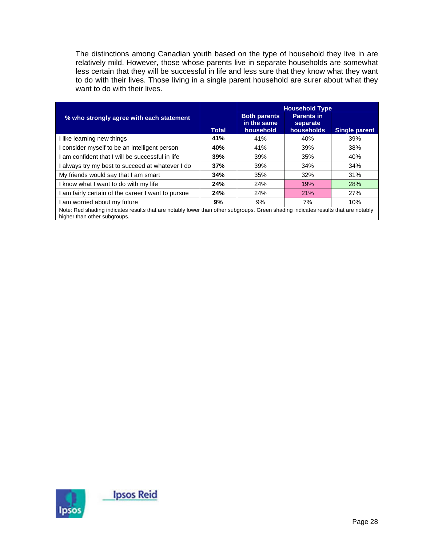The distinctions among Canadian youth based on the type of household they live in are relatively mild. However, those whose parents live in separate households are somewhat less certain that they will be successful in life and less sure that they know what they want to do with their lives. Those living in a single parent household are surer about what they want to do with their lives.

|                                                                                                                                                                   |              | <b>Household Type</b>                           |                                             |               |  |  |  |
|-------------------------------------------------------------------------------------------------------------------------------------------------------------------|--------------|-------------------------------------------------|---------------------------------------------|---------------|--|--|--|
| % who strongly agree with each statement                                                                                                                          | <b>Total</b> | <b>Both parents</b><br>in the same<br>household | <b>Parents in</b><br>separate<br>households | Single parent |  |  |  |
| like learning new things                                                                                                                                          | 41%          | 41%                                             | 40%                                         | 39%           |  |  |  |
| consider myself to be an intelligent person                                                                                                                       | 40%          | 41%                                             | 39%                                         | 38%           |  |  |  |
| am confident that I will be successful in life                                                                                                                    | 39%          | 39%                                             | 35%                                         | 40%           |  |  |  |
| always try my best to succeed at whatever I do                                                                                                                    | 37%          | 39%                                             | 34%                                         | 34%           |  |  |  |
| My friends would say that I am smart                                                                                                                              | 34%          | 35%                                             | 32%                                         | 31%           |  |  |  |
| know what I want to do with my life                                                                                                                               | 24%          | 24%                                             | 19%                                         | 28%           |  |  |  |
| am fairly certain of the career I want to pursue                                                                                                                  | 24%          | 24%                                             | 21%                                         | 27%           |  |  |  |
| am worried about my future                                                                                                                                        | 9%           | 9%                                              | 7%                                          | 10%           |  |  |  |
| Note: Red shading indicates results that are notably lower than other subgroups. Green shading indicates results that are notably<br>higher than other subgroups. |              |                                                 |                                             |               |  |  |  |

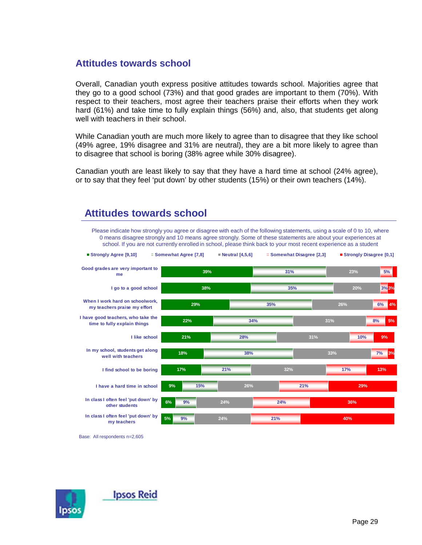### **Attitudes towards school**

Overall, Canadian youth express positive attitudes towards school. Majorities agree that they go to a good school (73%) and that good grades are important to them (70%). With respect to their teachers, most agree their teachers praise their efforts when they work hard (61%) and take time to fully explain things (56%) and, also, that students get along well with teachers in their school.

While Canadian youth are much more likely to agree than to disagree that they like school (49% agree, 19% disagree and 31% are neutral), they are a bit more likely to agree than to disagree that school is boring (38% agree while 30% disagree).

Canadian youth are least likely to say that they have a hard time at school (24% agree), or to say that they feel 'put down' by other students (15%) or their own teachers (14%).

Please indicate how strongly you agree or disagree with each of the following statements, using a scale of 0 to 10, where



### **Attitudes towards school**

Base: All respondents n=2,605

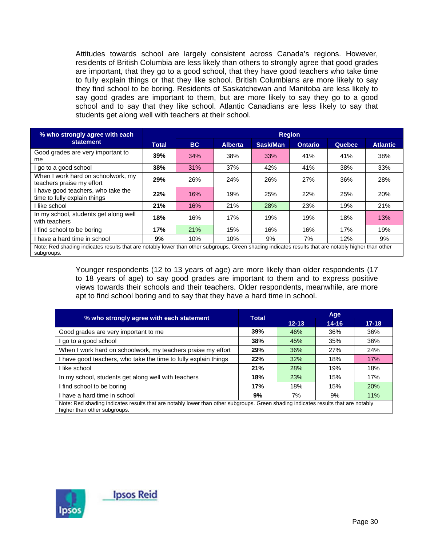Attitudes towards school are largely consistent across Canada's regions. However, residents of British Columbia are less likely than others to strongly agree that good grades are important, that they go to a good school, that they have good teachers who take time to fully explain things or that they like school. British Columbians are more likely to say they find school to be boring. Residents of Saskatchewan and Manitoba are less likely to say good grades are important to them, but are more likely to say they go to a good school and to say that they like school. Atlantic Canadians are less likely to say that students get along well with teachers at their school.

| % who strongly agree with each                                                                                                                                    |              | <b>Region</b> |                |          |                |               |                 |  |
|-------------------------------------------------------------------------------------------------------------------------------------------------------------------|--------------|---------------|----------------|----------|----------------|---------------|-----------------|--|
| statement                                                                                                                                                         | <b>Total</b> | <b>BC</b>     | <b>Alberta</b> | Sask/Man | <b>Ontario</b> | <b>Quebec</b> | <b>Atlantic</b> |  |
| Good grades are very important to<br>me                                                                                                                           | 39%          | 34%           | 38%            | 33%      | 41%            | 41%           | 38%             |  |
| go to a good school                                                                                                                                               | 38%          | 31%           | 37%            | 42%      | 41%            | 38%           | 33%             |  |
| When I work hard on schoolwork, my<br>teachers praise my effort                                                                                                   | 29%          | 26%           | 24%            | 26%      | 27%            | 36%           | 28%             |  |
| I have good teachers, who take the<br>time to fully explain things                                                                                                | 22%          | 16%           | 19%            | 25%      | 22%            | 25%           | 20%             |  |
| I like school                                                                                                                                                     | 21%          | 16%           | 21%            | 28%      | 23%            | 19%           | 21%             |  |
| In my school, students get along well<br>with teachers                                                                                                            | 18%          | 16%           | 17%            | 19%      | 19%            | 18%           | 13%             |  |
| I find school to be boring                                                                                                                                        | 17%          | 21%           | 15%            | 16%      | 16%            | 17%           | 19%             |  |
| I have a hard time in school                                                                                                                                      | 9%           | 10%           | 10%            | 9%       | 7%             | 12%           | 9%              |  |
| Note: Red shading indicates results that are notably lower than other subgroups. Green shading indicates results that are notably higher than other<br>subgroups. |              |               |                |          |                |               |                 |  |

Younger respondents (12 to 13 years of age) are more likely than older respondents (17 to 18 years of age) to say good grades are important to them and to express positive views towards their schools and their teachers. Older respondents, meanwhile, are more apt to find school boring and to say that they have a hard time in school.

|                                                                                                                                                                   | <b>Total</b> | Age       |           |           |  |  |  |
|-------------------------------------------------------------------------------------------------------------------------------------------------------------------|--------------|-----------|-----------|-----------|--|--|--|
| % who strongly agree with each statement                                                                                                                          |              | $12 - 13$ | $14 - 16$ | $17 - 18$ |  |  |  |
| Good grades are very important to me                                                                                                                              | 39%          | 46%       | 36%       | 36%       |  |  |  |
| go to a good school                                                                                                                                               | 38%          | 45%       | 35%       | 36%       |  |  |  |
| When I work hard on schoolwork, my teachers praise my effort                                                                                                      | 29%          | 36%       | 27%       | 24%       |  |  |  |
| have good teachers, who take the time to fully explain things                                                                                                     | 22%          | 32%       | 18%       | 17%       |  |  |  |
| like school                                                                                                                                                       | 21%          | 28%       | 19%       | 18%       |  |  |  |
| In my school, students get along well with teachers                                                                                                               | 18%          | 23%       | 15%       | 17%       |  |  |  |
| I find school to be boring                                                                                                                                        | 17%          | 18%       | 15%       | 20%       |  |  |  |
| I have a hard time in school                                                                                                                                      | 9%           | 7%        | 9%        | 11%       |  |  |  |
| Note: Red shading indicates results that are notably lower than other subgroups. Green shading indicates results that are notably<br>higher than other subgroups. |              |           |           |           |  |  |  |

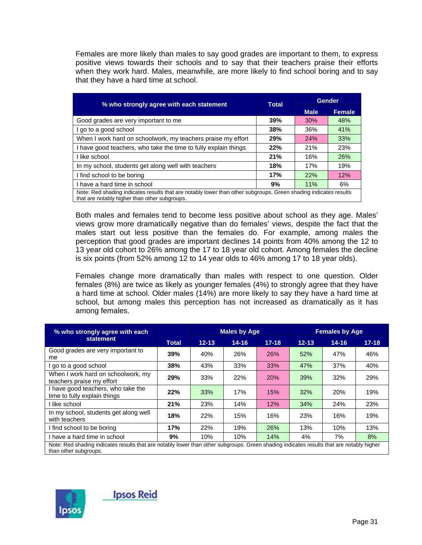Females are more likely than males to say good grades are important to them, to express positive views towards their schools and to say that their teachers praise their efforts when they work hard. Males, meanwhile, are more likely to find school boring and to say that they have a hard time at school.

| % who strongly agree with each statement                                                                                                                          | Total | <b>Gender</b> |               |  |  |  |  |
|-------------------------------------------------------------------------------------------------------------------------------------------------------------------|-------|---------------|---------------|--|--|--|--|
|                                                                                                                                                                   |       | <b>Male</b>   | <b>Female</b> |  |  |  |  |
| Good grades are very important to me                                                                                                                              | 39%   | 30%           | 48%           |  |  |  |  |
| I go to a good school                                                                                                                                             | 38%   | 36%           | 41%           |  |  |  |  |
| When I work hard on schoolwork, my teachers praise my effort                                                                                                      | 29%   | 24%           | 33%           |  |  |  |  |
| I have good teachers, who take the time to fully explain things                                                                                                   | 22%   | 21%           | 23%           |  |  |  |  |
| I like school                                                                                                                                                     | 21%   | 16%           | <b>26%</b>    |  |  |  |  |
| In my school, students get along well with teachers                                                                                                               | 18%   | 17%           | 19%           |  |  |  |  |
| I find school to be boring                                                                                                                                        | 17%   | 22%           | 12%           |  |  |  |  |
| I have a hard time in school                                                                                                                                      | 9%    | 11%           | 6%            |  |  |  |  |
| Note: Red shading indicates results that are notably lower than other subgroups. Green shading indicates results<br>that are notably higher than other subgroups. |       |               |               |  |  |  |  |

Both males and females tend to become less positive about school as they age. Males' views grow more dramatically negative than do females' views, despite the fact that the males start out less positive than the females do. For example, among males the perception that good grades are important declines 14 points from 40% among the 12 to 13 year old cohort to 26% among the 17 to 18 year old cohort. Among females the decline is six points (from 52% among 12 to 14 year olds to 46% among 17 to 18 year olds).

Females change more dramatically than males with respect to one question. Older females (8%) are twice as likely as younger females (4%) to strongly agree that they have a hard time at school. Older males (14%) are more likely to say they have a hard time at school, but among males this perception has not increased as dramatically as it has among females.

| % who strongly agree with each                                                                                                                                    |              |           | <b>Males by Age</b> |            | <b>Females by Age</b> |            |           |  |
|-------------------------------------------------------------------------------------------------------------------------------------------------------------------|--------------|-----------|---------------------|------------|-----------------------|------------|-----------|--|
| statement                                                                                                                                                         | <b>Total</b> | $12 - 13$ | $14 - 16$           | $17 - 18$  | $12 - 13$             | $14 - 16$  | $17 - 18$ |  |
| Good grades are very important to<br>me                                                                                                                           | 39%          | 40%       | 26%                 | <b>26%</b> | 52%                   | 47%        | 46%       |  |
| I go to a good school                                                                                                                                             | 38%          | 43%       | 33%                 | 33%        | 47%                   | 37%        | 40%       |  |
| When I work hard on schoolwork, my<br>teachers praise my effort                                                                                                   | 29%          | 33%       | 22%                 | 20%        | 39%                   | 32%        | 29%       |  |
| I have good teachers, who take the<br>time to fully explain things                                                                                                | 22%          | 33%       | 17%                 | 15%        | 32%                   | <b>20%</b> | 19%       |  |
| I like school                                                                                                                                                     | 21%          | 23%       | 14%                 | 12%        | 34%                   | 24%        | 23%       |  |
| In my school, students get along well<br>with teachers                                                                                                            | 18%          | 22%       | 15%                 | 16%        | 23%                   | 16%        | 19%       |  |
| I find school to be boring                                                                                                                                        | 17%          | 22%       | 19%                 | 26%        | 13%                   | 10%        | 13%       |  |
| I have a hard time in school                                                                                                                                      | 9%           | 10%       | 10%                 | 14%        | 4%                    | 7%         | 8%        |  |
| Note: Red shading indicates results that are notably lower than other subgroups. Green shading indicates results that are notably higher<br>than other subgroups. |              |           |                     |            |                       |            |           |  |

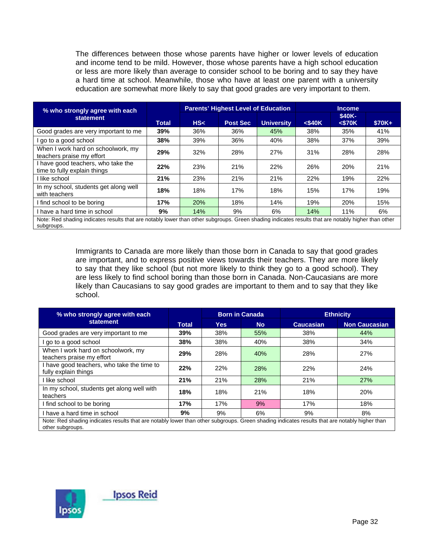The differences between those whose parents have higher or lower levels of education and income tend to be mild. However, those whose parents have a high school education or less are more likely than average to consider school to be boring and to say they have a hard time at school. Meanwhile, those who have at least one parent with a university education are somewhat more likely to say that good grades are very important to them.

| % who strongly agree with each                                                                                                                                    |              | <b>Parents' Highest Level of Education</b> |                 |                   | <b>Income</b> |                        |         |  |
|-------------------------------------------------------------------------------------------------------------------------------------------------------------------|--------------|--------------------------------------------|-----------------|-------------------|---------------|------------------------|---------|--|
| statement                                                                                                                                                         | <b>Total</b> | HS<                                        | <b>Post Sec</b> | <b>University</b> | $<$ \$40 $K$  | \$40K-<br>$<$ \$70 $K$ | $$70K+$ |  |
| Good grades are very important to me                                                                                                                              | 39%          | 36%                                        | 36%             | 45%               | 38%           | 35%                    | 41%     |  |
| I go to a good school                                                                                                                                             | 38%          | 39%                                        | 36%             | 40%               | 38%           | 37%                    | 39%     |  |
| When I work hard on schoolwork, my<br>teachers praise my effort                                                                                                   | 29%          | 32%                                        | 28%             | 27%               | 31%           | 28%                    | 28%     |  |
| I have good teachers, who take the<br>time to fully explain things                                                                                                | 22%          | 23%                                        | 21%             | 22%               | 26%           | 20%                    | 21%     |  |
| I like school                                                                                                                                                     | 21%          | 23%                                        | 21%             | 21%               | 22%           | 19%                    | 22%     |  |
| In my school, students get along well<br>with teachers                                                                                                            | 18%          | 18%                                        | 17%             | 18%               | 15%           | 17%                    | 19%     |  |
| I find school to be boring                                                                                                                                        | 17%          | 20%                                        | 18%             | 14%               | 19%           | 20%                    | 15%     |  |
| I have a hard time in school                                                                                                                                      | 9%           | 14%                                        | 9%              | 6%                | 14%           | 11%                    | 6%      |  |
| Note: Red shading indicates results that are notably lower than other subgroups. Green shading indicates results that are notably higher than other<br>subgroups. |              |                                            |                 |                   |               |                        |         |  |

Immigrants to Canada are more likely than those born in Canada to say that good grades are important, and to express positive views towards their teachers. They are more likely to say that they like school (but not more likely to think they go to a good school). They are less likely to find school boring than those born in Canada. Non-Caucasians are more likely than Caucasians to say good grades are important to them and to say that they like school.

| % who strongly agree with each                                                                                                                                    |       |            | <b>Born in Canada</b> | <b>Ethnicity</b> |                      |  |  |
|-------------------------------------------------------------------------------------------------------------------------------------------------------------------|-------|------------|-----------------------|------------------|----------------------|--|--|
| statement                                                                                                                                                         | Total | <b>Yes</b> | <b>No</b>             | <b>Caucasian</b> | <b>Non Caucasian</b> |  |  |
| Good grades are very important to me                                                                                                                              | 39%   | 38%        | 55%                   | 38%              | 44%                  |  |  |
| go to a good school                                                                                                                                               | 38%   | 38%        | 40%                   | 38%              | 34%                  |  |  |
| When I work hard on schoolwork, my<br>teachers praise my effort                                                                                                   | 29%   | 28%        | 40%                   | 28%              | 27%                  |  |  |
| I have good teachers, who take the time to<br>fully explain things                                                                                                | 22%   | 22%        | 28%                   | 22%              | 24%                  |  |  |
| l like school                                                                                                                                                     | 21%   | 21%        | 28%                   | 21%              | 27%                  |  |  |
| In my school, students get along well with<br>teachers                                                                                                            | 18%   | 18%        | <b>21%</b>            | 18%              | 20%                  |  |  |
| I find school to be boring                                                                                                                                        | 17%   | 17%        | 9%                    | 17%              | 18%                  |  |  |
| I have a hard time in school                                                                                                                                      | 9%    | 9%         | 6%                    | 9%               | 8%                   |  |  |
| Note: Red shading indicates results that are notably lower than other subgroups. Green shading indicates results that are notably higher than<br>other subgroups. |       |            |                       |                  |                      |  |  |

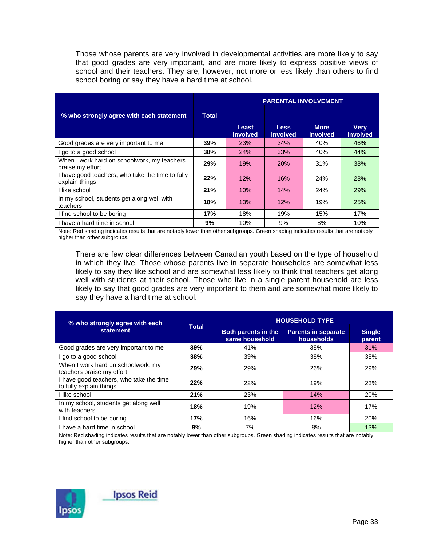Those whose parents are very involved in developmental activities are more likely to say that good grades are very important, and are more likely to express positive views of school and their teachers. They are, however, not more or less likely than others to find school boring or say they have a hard time at school.

|                                                                                                                                                                   |              | <b>PARENTAL INVOLVEMENT</b> |                         |                                |                         |  |  |  |
|-------------------------------------------------------------------------------------------------------------------------------------------------------------------|--------------|-----------------------------|-------------------------|--------------------------------|-------------------------|--|--|--|
| % who strongly agree with each statement                                                                                                                          | <b>Total</b> | Least<br>involved           | <b>Less</b><br>involved | <b>More</b><br><i>involved</i> | <b>Very</b><br>involved |  |  |  |
| Good grades are very important to me                                                                                                                              | 39%          | 23%                         | 34%                     | 40%                            | 46%                     |  |  |  |
| go to a good school                                                                                                                                               | 38%          | 24%                         | 33%                     | 40%                            | 44%                     |  |  |  |
| When I work hard on schoolwork, my teachers<br>praise my effort                                                                                                   | 29%          | 19%                         | <b>20%</b>              | 31%                            | 38%                     |  |  |  |
| I have good teachers, who take the time to fully<br>explain things                                                                                                | 22%          | 12%                         | 16%                     | 24%                            | 28%                     |  |  |  |
| I like school                                                                                                                                                     | 21%          | 10%                         | 14%                     | 24%                            | 29%                     |  |  |  |
| In my school, students get along well with<br>teachers                                                                                                            | 18%          | 13%                         | 12%                     | 19%                            | 25%                     |  |  |  |
| I find school to be boring                                                                                                                                        | 17%          | 18%                         | 19%                     | 15%                            | 17%                     |  |  |  |
| I have a hard time in school                                                                                                                                      | 9%           | 10%                         | 9%                      | 8%                             | 10%                     |  |  |  |
| Note: Red shading indicates results that are notably lower than other subgroups. Green shading indicates results that are notably<br>higher than other subgroups. |              |                             |                         |                                |                         |  |  |  |

There are few clear differences between Canadian youth based on the type of household in which they live. Those whose parents live in separate households are somewhat less likely to say they like school and are somewhat less likely to think that teachers get along well with students at their school. Those who live in a single parent household are less likely to say that good grades are very important to them and are somewhat more likely to say they have a hard time at school.

| % who strongly agree with each                                                                                                                                    |       | <b>HOUSEHOLD TYPE</b>                        |                                          |                         |  |  |  |  |
|-------------------------------------------------------------------------------------------------------------------------------------------------------------------|-------|----------------------------------------------|------------------------------------------|-------------------------|--|--|--|--|
| statement                                                                                                                                                         | Total | <b>Both parents in the</b><br>same household | <b>Parents in separate</b><br>households | <b>Single</b><br>parent |  |  |  |  |
| Good grades are very important to me                                                                                                                              | 39%   | 41%                                          | 38%                                      | 31%                     |  |  |  |  |
| go to a good school                                                                                                                                               | 38%   | 39%                                          | 38%                                      | 38%                     |  |  |  |  |
| When I work hard on schoolwork, my<br>teachers praise my effort                                                                                                   | 29%   | 29%                                          | 26%                                      | 29%                     |  |  |  |  |
| I have good teachers, who take the time<br>to fully explain things                                                                                                | 22%   | 22%                                          | 19%                                      | 23%                     |  |  |  |  |
| I like school                                                                                                                                                     | 21%   | 23%                                          | 14%                                      | 20%                     |  |  |  |  |
| In my school, students get along well<br>with teachers                                                                                                            | 18%   | 19%                                          | 12%                                      | 17%                     |  |  |  |  |
| I find school to be boring                                                                                                                                        | 17%   | 16%                                          | 16%                                      | 20%                     |  |  |  |  |
| I have a hard time in school                                                                                                                                      | 9%    | 7%                                           | 8%                                       | 13%                     |  |  |  |  |
| Note: Red shading indicates results that are notably lower than other subgroups. Green shading indicates results that are notably<br>higher than other subgroups. |       |                                              |                                          |                         |  |  |  |  |

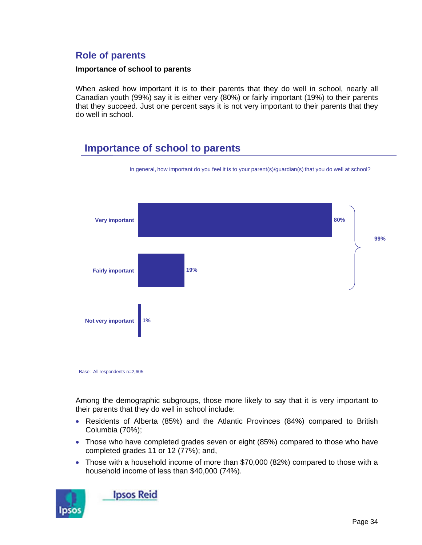### **Role of parents**

#### **Importance of school to parents**

When asked how important it is to their parents that they do well in school, nearly all Canadian youth (99%) say it is either very (80%) or fairly important (19%) to their parents that they succeed. Just one percent says it is not very important to their parents that they do well in school.

# **Importance of school to parents**



In general, how important do you feel it is to your parent(s)/guardian(s) that you do well at school?

Base: All respondents n=2,605

Among the demographic subgroups, those more likely to say that it is very important to their parents that they do well in school include:

- Residents of Alberta (85%) and the Atlantic Provinces (84%) compared to British Columbia (70%);
- Those who have completed grades seven or eight (85%) compared to those who have completed grades 11 or 12 (77%); and,
- Those with a household income of more than \$70,000 (82%) compared to those with a household income of less than \$40,000 (74%).



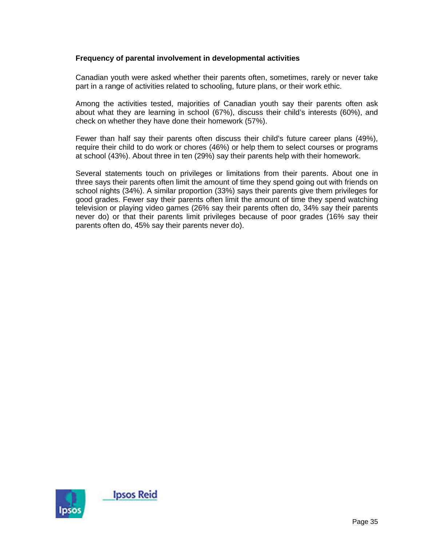### **Frequency of parental involvement in developmental activities**

Canadian youth were asked whether their parents often, sometimes, rarely or never take part in a range of activities related to schooling, future plans, or their work ethic.

Among the activities tested, majorities of Canadian youth say their parents often ask about what they are learning in school (67%), discuss their child's interests (60%), and check on whether they have done their homework (57%).

Fewer than half say their parents often discuss their child's future career plans (49%), require their child to do work or chores (46%) or help them to select courses or programs at school (43%). About three in ten (29%) say their parents help with their homework.

Several statements touch on privileges or limitations from their parents. About one in three says their parents often limit the amount of time they spend going out with friends on school nights (34%). A similar proportion (33%) says their parents give them privileges for good grades. Fewer say their parents often limit the amount of time they spend watching television or playing video games (26% say their parents often do, 34% say their parents never do) or that their parents limit privileges because of poor grades (16% say their parents often do, 45% say their parents never do).

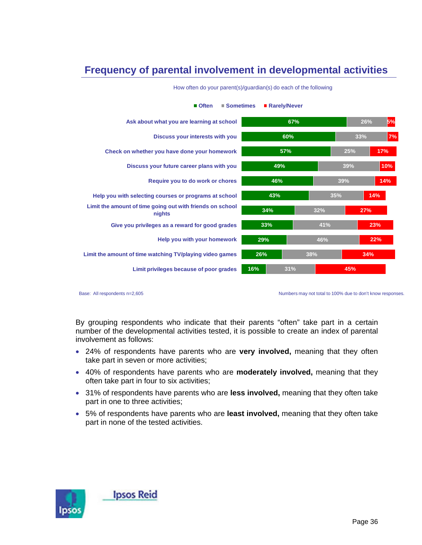# **Frequency of parental involvement in developmental activities**

| Ask about what you are learning at school                           |     | 67% |     | 26% | 5%  |
|---------------------------------------------------------------------|-----|-----|-----|-----|-----|
| Discuss your interests with you                                     | 60% |     | 33% |     | 7%  |
| Check on whether you have done your homework                        | 57% |     |     | 25% | 17% |
| Discuss your future career plans with you                           | 49% |     |     | 39% | 10% |
| Require you to do work or chores                                    | 46% |     | 39% |     | 14% |
| Help you with selecting courses or programs at school               | 43% |     | 35% |     | 14% |
| Limit the amount of time going out with friends on school<br>nights | 34% |     | 32% | 27% |     |
| Give you privileges as a reward for good grades                     | 33% |     | 41% |     | 23% |
| Help you with your homework                                         | 29% |     | 46% |     | 22% |
| Limit the amount of time watching TV/playing video games            | 26% | 38% |     | 34% |     |
| Limit privileges because of poor grades                             | 16% | 31% |     | 45% |     |

How often do your parent(s)/guardian(s) do each of the following

**Often Sometimes Rarely/Never**

Base: All respondents n=2,605 Numbers may not total to 100% due to don't know responses.

By grouping respondents who indicate that their parents "often" take part in a certain number of the developmental activities tested, it is possible to create an index of parental involvement as follows:

- 24% of respondents have parents who are **very involved,** meaning that they often take part in seven or more activities;
- 40% of respondents have parents who are **moderately involved,** meaning that they often take part in four to six activities;
- 31% of respondents have parents who are **less involved,** meaning that they often take part in one to three activities;
- 5% of respondents have parents who are **least involved,** meaning that they often take part in none of the tested activities.

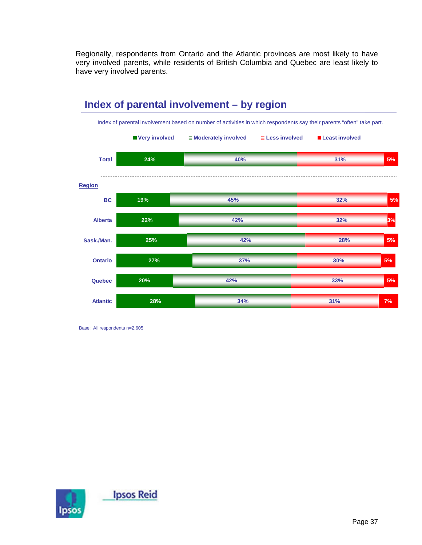Regionally, respondents from Ontario and the Atlantic provinces are most likely to have very involved parents, while residents of British Columbia and Quebec are least likely to have very involved parents.



**Index of parental involvement – by region**

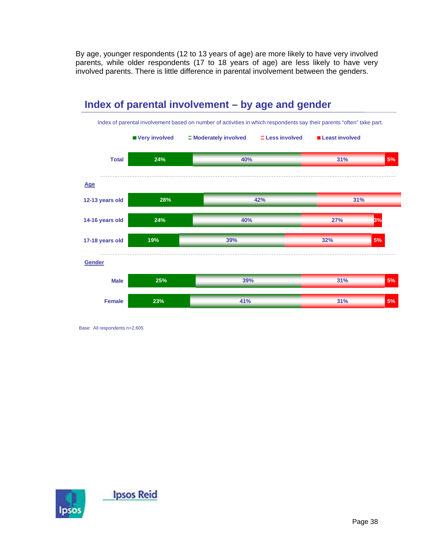By age, younger respondents (12 to 13 years of age) are more likely to have very involved parents, while older respondents (17 to 18 years of age) are less likely to have very involved parents. There is little difference in parental involvement between the genders.



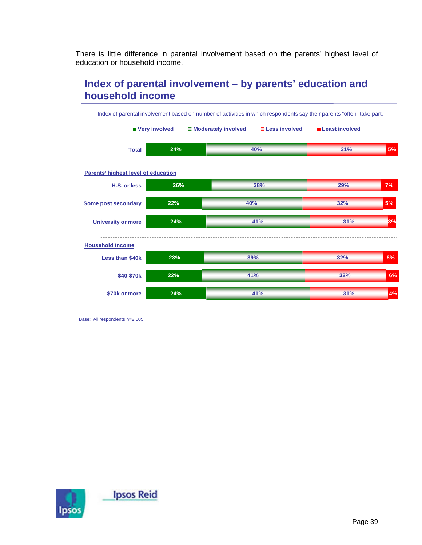There is little difference in parental involvement based on the parents' highest level of education or household income.

# **Index of parental involvement – by parents' education and household income**



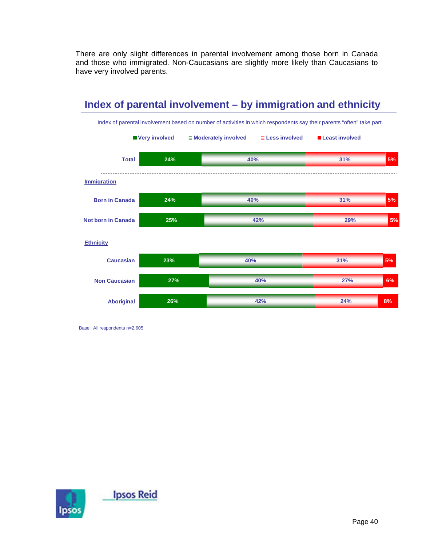There are only slight differences in parental involvement among those born in Canada and those who immigrated. Non-Caucasians are slightly more likely than Caucasians to have very involved parents.



**Index of parental involvement – by immigration and ethnicity**

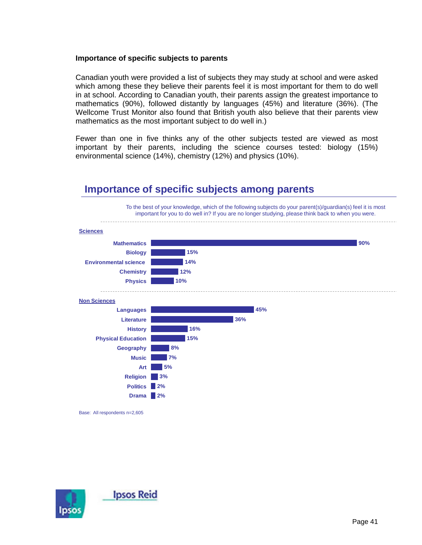#### **Importance of specific subjects to parents**

Canadian youth were provided a list of subjects they may study at school and were asked which among these they believe their parents feel it is most important for them to do well in at school. According to Canadian youth, their parents assign the greatest importance to mathematics (90%), followed distantly by languages (45%) and literature (36%). (The Wellcome Trust Monitor also found that British youth also believe that their parents view mathematics as the most important subject to do well in.)

Fewer than one in five thinks any of the other subjects tested are viewed as most important by their parents, including the science courses tested: biology (15%) environmental science (14%), chemistry (12%) and physics (10%).



### **Importance of specific subjects among parents**

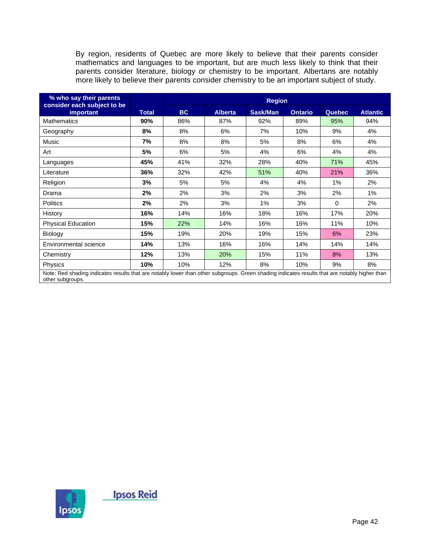By region, residents of Quebec are more likely to believe that their parents consider mathematics and languages to be important, but are much less likely to think that their parents consider literature, biology or chemistry to be important. Albertans are notably more likely to believe their parents consider chemistry to be an important subject of study.

| % who say their parents                                                                                                                                           |              | <b>Region</b> |                |          |                |               |                 |
|-------------------------------------------------------------------------------------------------------------------------------------------------------------------|--------------|---------------|----------------|----------|----------------|---------------|-----------------|
| consider each subject to be<br>important                                                                                                                          | <b>Total</b> | BC            | <b>Alberta</b> | Sask/Man | <b>Ontario</b> | <b>Quebec</b> | <b>Atlantic</b> |
| <b>Mathematics</b>                                                                                                                                                | 90%          | 86%           | 87%            | 92%      | 89%            | 95%           | 94%             |
| Geography                                                                                                                                                         | 8%           | 8%            | 6%             | 7%       | 10%            | 9%            | 4%              |
| Music                                                                                                                                                             | 7%           | 8%            | 8%             | 5%       | 8%             | 6%            | 4%              |
| Art                                                                                                                                                               | 5%           | 6%            | 5%             | 4%       | 6%             | 4%            | 4%              |
| Languages                                                                                                                                                         | 45%          | 41%           | 32%            | 28%      | 40%            | 71%           | 45%             |
| Literature                                                                                                                                                        | 36%          | 32%           | 42%            | 51%      | 40%            | 21%           | 36%             |
| Religion                                                                                                                                                          | 3%           | 5%            | 5%             | 4%       | 4%             | 1%            | 2%              |
| Drama                                                                                                                                                             | 2%           | 2%            | 3%             | 2%       | 3%             | 2%            | 1%              |
| <b>Politics</b>                                                                                                                                                   | 2%           | 2%            | 3%             | 1%       | 3%             | 0             | 2%              |
| History                                                                                                                                                           | 16%          | 14%           | 16%            | 18%      | 16%            | 17%           | 20%             |
| <b>Physical Education</b>                                                                                                                                         | 15%          | 22%           | 14%            | 16%      | 16%            | 11%           | 10%             |
| Biology                                                                                                                                                           | 15%          | 19%           | 20%            | 19%      | 15%            | 6%            | 23%             |
| Environmental science                                                                                                                                             | 14%          | 13%           | 16%            | 16%      | 14%            | 14%           | 14%             |
| Chemistry                                                                                                                                                         | 12%          | 13%           | 20%            | 15%      | 11%            | 8%            | 13%             |
| Physics                                                                                                                                                           | 10%          | 10%           | 12%            | 8%       | 10%            | 9%            | 8%              |
| Note: Red shading indicates results that are notably lower than other subgroups. Green shading indicates results that are notably higher than<br>other subgroups. |              |               |                |          |                |               |                 |

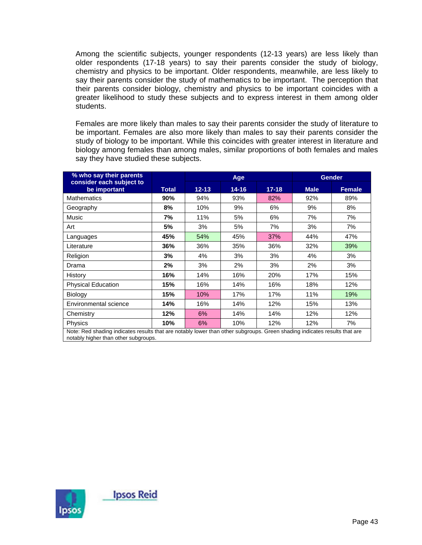Among the scientific subjects, younger respondents (12-13 years) are less likely than older respondents (17-18 years) to say their parents consider the study of biology, chemistry and physics to be important. Older respondents, meanwhile, are less likely to say their parents consider the study of mathematics to be important. The perception that their parents consider biology, chemistry and physics to be important coincides with a greater likelihood to study these subjects and to express interest in them among older students.

Females are more likely than males to say their parents consider the study of literature to be important. Females are also more likely than males to say their parents consider the study of biology to be important. While this coincides with greater interest in literature and biology among females than among males, similar proportions of both females and males say they have studied these subjects.

| % who say their parents                                                                                                                                           |              | Age       |           |           |             | <b>Gender</b> |
|-------------------------------------------------------------------------------------------------------------------------------------------------------------------|--------------|-----------|-----------|-----------|-------------|---------------|
| consider each subject to<br>be important                                                                                                                          | <b>Total</b> | $12 - 13$ | $14 - 16$ | $17 - 18$ | <b>Male</b> | <b>Female</b> |
| <b>Mathematics</b>                                                                                                                                                | 90%          | 94%       | 93%       | 82%       | 92%         | 89%           |
| Geography                                                                                                                                                         | 8%           | 10%       | 9%        | 6%        | 9%          | 8%            |
| Music                                                                                                                                                             | 7%           | 11%       | 5%        | 6%        | 7%          | 7%            |
| Art                                                                                                                                                               | 5%           | 3%        | 5%        | 7%        | 3%          | 7%            |
| Languages                                                                                                                                                         | 45%          | 54%       | 45%       | 37%       | 44%         | 47%           |
| Literature                                                                                                                                                        | 36%          | 36%       | 35%       | 36%       | 32%         | 39%           |
| Religion                                                                                                                                                          | 3%           | 4%        | 3%        | 3%        | 4%          | 3%            |
| Drama                                                                                                                                                             | 2%           | 3%        | 2%        | 3%        | 2%          | 3%            |
| History                                                                                                                                                           | 16%          | 14%       | 16%       | 20%       | 17%         | 15%           |
| <b>Physical Education</b>                                                                                                                                         | 15%          | 16%       | 14%       | 16%       | 18%         | 12%           |
| Biology                                                                                                                                                           | 15%          | 10%       | 17%       | 17%       | 11%         | 19%           |
| Environmental science                                                                                                                                             | 14%          | 16%       | 14%       | 12%       | 15%         | 13%           |
| Chemistry                                                                                                                                                         | 12%          | 6%        | 14%       | 14%       | 12%         | 12%           |
| <b>Physics</b>                                                                                                                                                    | 10%          | 6%        | 10%       | 12%       | 12%         | 7%            |
| Note: Red shading indicates results that are notably lower than other subgroups. Green shading indicates results that are<br>notably higher than other subgroups. |              |           |           |           |             |               |

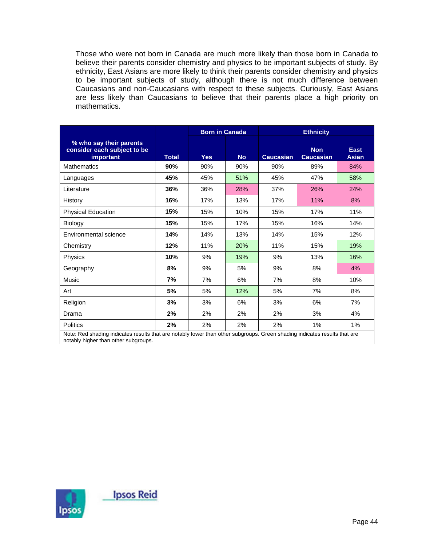Those who were not born in Canada are much more likely than those born in Canada to believe their parents consider chemistry and physics to be important subjects of study. By ethnicity, East Asians are more likely to think their parents consider chemistry and physics to be important subjects of study, although there is not much difference between Caucasians and non-Caucasians with respect to these subjects. Curiously, East Asians are less likely than Caucasians to believe that their parents place a high priority on mathematics.

|                                                                                                                                                                   |              | <b>Born in Canada</b> |           | <b>Ethnicity</b> |                                |                             |
|-------------------------------------------------------------------------------------------------------------------------------------------------------------------|--------------|-----------------------|-----------|------------------|--------------------------------|-----------------------------|
| % who say their parents<br>consider each subject to be<br>important                                                                                               | <b>Total</b> | <b>Yes</b>            | <b>No</b> | <b>Caucasian</b> | <b>Non</b><br><b>Caucasian</b> | <b>East</b><br><b>Asian</b> |
| <b>Mathematics</b>                                                                                                                                                | 90%          | 90%                   | 90%       | 90%              | 89%                            | 84%                         |
| Languages                                                                                                                                                         | 45%          | 45%                   | 51%       | 45%              | 47%                            | 58%                         |
| Literature                                                                                                                                                        | 36%          | 36%                   | 28%       | 37%              | 26%                            | 24%                         |
| History                                                                                                                                                           | 16%          | 17%                   | 13%       | 17%              | 11%                            | 8%                          |
| <b>Physical Education</b>                                                                                                                                         | 15%          | 15%                   | 10%       | 15%              | 17%                            | 11%                         |
| Biology                                                                                                                                                           | 15%          | 15%                   | 17%       | 15%              | 16%                            | 14%                         |
| Environmental science                                                                                                                                             | 14%          | 14%                   | 13%       | 14%              | 15%                            | 12%                         |
| Chemistry                                                                                                                                                         | 12%          | 11%                   | 20%       | 11%              | 15%                            | 19%                         |
| Physics                                                                                                                                                           | 10%          | 9%                    | 19%       | 9%               | 13%                            | 16%                         |
| Geography                                                                                                                                                         | 8%           | 9%                    | 5%        | 9%               | 8%                             | 4%                          |
| Music                                                                                                                                                             | 7%           | 7%                    | 6%        | 7%               | 8%                             | 10%                         |
| Art                                                                                                                                                               | 5%           | 5%                    | 12%       | 5%               | 7%                             | 8%                          |
| Religion                                                                                                                                                          | 3%           | 3%                    | 6%        | 3%               | 6%                             | 7%                          |
| Drama                                                                                                                                                             | 2%           | 2%                    | 2%        | 2%               | 3%                             | 4%                          |
| <b>Politics</b>                                                                                                                                                   | 2%           | 2%                    | 2%        | 2%               | 1%                             | $1\%$                       |
| Note: Red shading indicates results that are notably lower than other subgroups. Green shading indicates results that are<br>notably higher than other subgroups. |              |                       |           |                  |                                |                             |

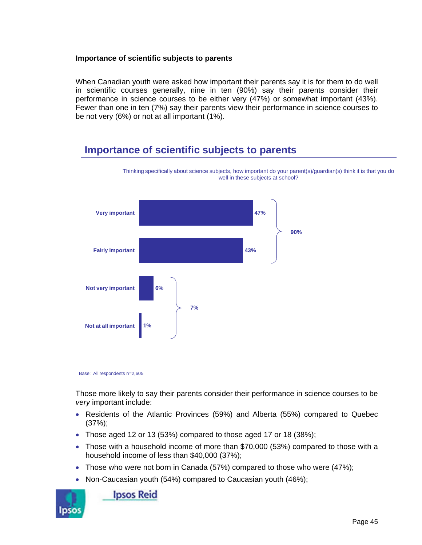### **Importance of scientific subjects to parents**

When Canadian youth were asked how important their parents say it is for them to do well in scientific courses generally, nine in ten (90%) say their parents consider their performance in science courses to be either very (47%) or somewhat important (43%). Fewer than one in ten (7%) say their parents view their performance in science courses to be not very (6%) or not at all important (1%).

# **Importance of scientific subjects to parents**



Thinking specifically about science subjects, how important do your parent(s)/guardian(s) think it is that you do well in these subjects at school?

Those more likely to say their parents consider their performance in science courses to be *very* important include:

- Residents of the Atlantic Provinces (59%) and Alberta (55%) compared to Quebec (37%);
- Those aged 12 or 13 (53%) compared to those aged 17 or 18 (38%);
- Those with a household income of more than \$70,000 (53%) compared to those with a household income of less than \$40,000 (37%);
- Those who were not born in Canada (57%) compared to those who were (47%);
- Non-Caucasian youth (54%) compared to Caucasian youth (46%);



**Ipsos Reid** 

Base: All respondents n=2,605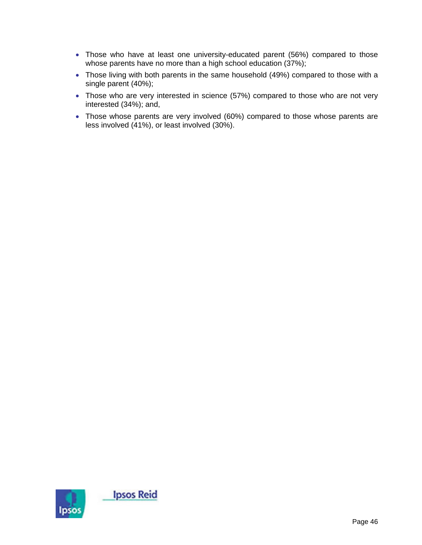- Those who have at least one university-educated parent (56%) compared to those whose parents have no more than a high school education (37%);
- Those living with both parents in the same household (49%) compared to those with a single parent (40%);
- Those who are very interested in science (57%) compared to those who are not very interested (34%); and,
- Those whose parents are very involved (60%) compared to those whose parents are less involved (41%), or least involved (30%).

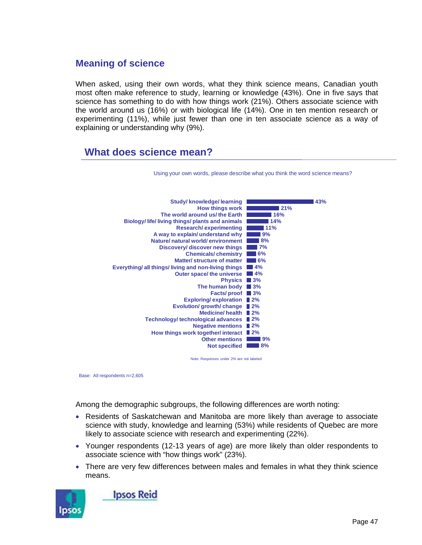### **Meaning of science**

When asked, using their own words, what they think science means, Canadian youth most often make reference to study, learning or knowledge (43%). One in five says that science has something to do with how things work (21%). Others associate science with the world around us (16%) or with biological life (14%). One in ten mention research or experimenting (11%), while just fewer than one in ten associate science as a way of explaining or understanding why (9%).

### **What does science mean?**



Using your own words, please describe what you think the word science means?

Note: Responses under 2% are not labeled

Base: All respondents n=2,605

Among the demographic subgroups, the following differences are worth noting:

- Residents of Saskatchewan and Manitoba are more likely than average to associate science with study, knowledge and learning (53%) while residents of Quebec are more likely to associate science with research and experimenting (22%).
- Younger respondents (12-13 years of age) are more likely than older respondents to associate science with "how things work" (23%).
- There are very few differences between males and females in what they think science means.

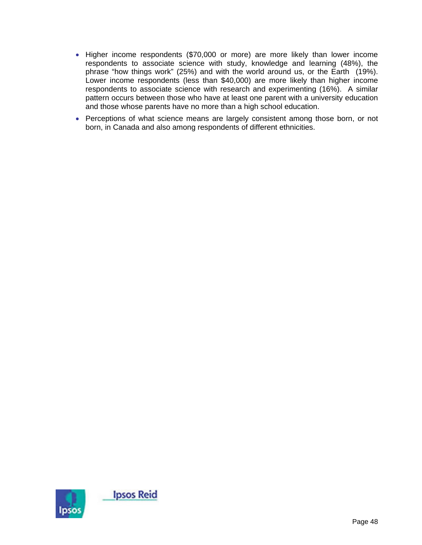- Higher income respondents (\$70,000 or more) are more likely than lower income respondents to associate science with study, knowledge and learning (48%), the phrase "how things work" (25%) and with the world around us, or the Earth (19%). Lower income respondents (less than \$40,000) are more likely than higher income respondents to associate science with research and experimenting (16%). A similar pattern occurs between those who have at least one parent with a university education and those whose parents have no more than a high school education.
- Perceptions of what science means are largely consistent among those born, or not born, in Canada and also among respondents of different ethnicities.

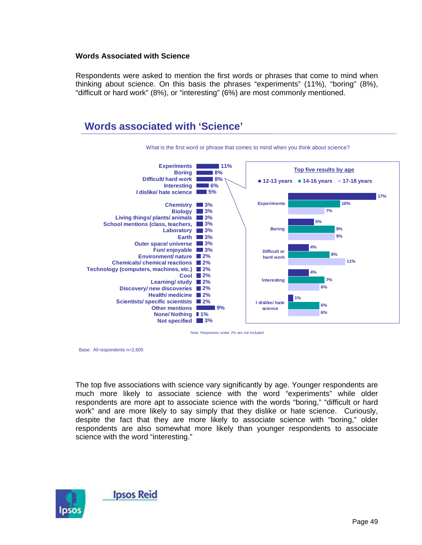#### **Words Associated with Science**

Respondents were asked to mention the first words or phrases that come to mind when thinking about science. On this basis the phrases "experiments" (11%), "boring" (8%), "difficult or hard work" (8%), or "interesting" (6%) are most commonly mentioned.



Note: Responses under 2% are not included

Base: All respondents n=2,605

The top five associations with science vary significantly by age. Younger respondents are much more likely to associate science with the word "experiments" while older respondents are more apt to associate science with the words "boring," "difficult or hard work" and are more likely to say simply that they dislike or hate science. Curiously, despite the fact that they are more likely to associate science with "boring," older respondents are also somewhat more likely than younger respondents to associate science with the word "interesting."

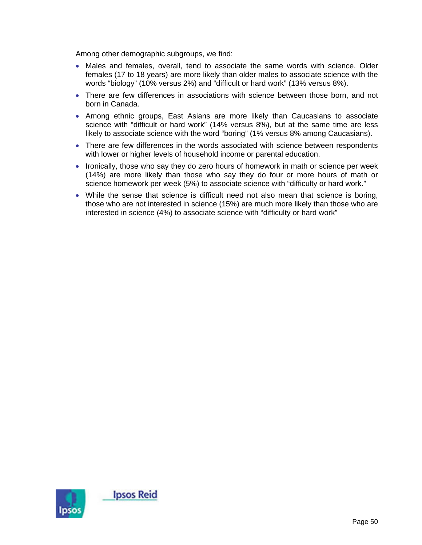Among other demographic subgroups, we find:

- Males and females, overall, tend to associate the same words with science. Older females (17 to 18 years) are more likely than older males to associate science with the words "biology" (10% versus 2%) and "difficult or hard work" (13% versus 8%).
- There are few differences in associations with science between those born, and not born in Canada.
- Among ethnic groups, East Asians are more likely than Caucasians to associate science with "difficult or hard work" (14% versus 8%), but at the same time are less likely to associate science with the word "boring" (1% versus 8% among Caucasians).
- There are few differences in the words associated with science between respondents with lower or higher levels of household income or parental education.
- Ironically, those who say they do zero hours of homework in math or science per week (14%) are more likely than those who say they do four or more hours of math or science homework per week (5%) to associate science with "difficulty or hard work."
- While the sense that science is difficult need not also mean that science is boring, those who are not interested in science (15%) are much more likely than those who are interested in science (4%) to associate science with "difficulty or hard work"

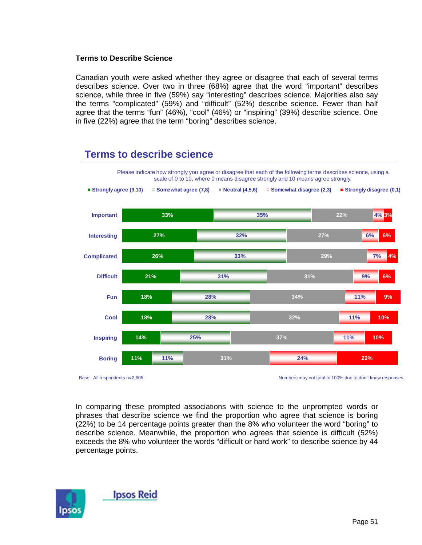#### **Terms to Describe Science**

Canadian youth were asked whether they agree or disagree that each of several terms describes science. Over two in three (68%) agree that the word "important" describes science, while three in five (59%) say "interesting" describes science. Majorities also say the terms "complicated" (59%) and "difficult" (52%) describe science. Fewer than half agree that the terms "fun" (46%), "cool" (46%) or "inspiring" (39%) describe science. One in five (22%) agree that the term "boring" describes science.

### **Terms to describe science**



Base: All respondents n=2,605 Numbers may not total to 100% due to don't know responses.

In comparing these prompted associations with science to the unprompted words or phrases that describe science we find the proportion who agree that science is boring (22%) to be 14 percentage points greater than the 8% who volunteer the word "boring" to describe science. Meanwhile, the proportion who agrees that science is difficult (52%) exceeds the 8% who volunteer the words "difficult or hard work" to describe science by 44 percentage points.

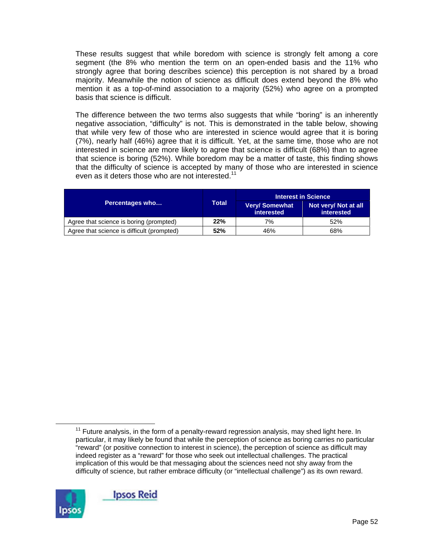These results suggest that while boredom with science is strongly felt among a core segment (the 8% who mention the term on an open-ended basis and the 11% who strongly agree that boring describes science) this perception is not shared by a broad majority. Meanwhile the notion of science as difficult does extend beyond the 8% who mention it as a top-of-mind association to a majority (52%) who agree on a prompted basis that science is difficult.

The difference between the two terms also suggests that while "boring" is an inherently negative association, "difficulty" is not. This is demonstrated in the table below, showing that while very few of those who are interested in science would agree that it is boring (7%), nearly half (46%) agree that it is difficult. Yet, at the same time, those who are not interested in science are more likely to agree that science is difficult (68%) than to agree that science is boring (52%). While boredom may be a matter of taste, this finding shows that the difficulty of science is accepted by many of those who are interested in science even as it deters those who are not interested.<sup>11</sup>

|                                            |       |                                    | <b>Interest in Science</b>                |  |
|--------------------------------------------|-------|------------------------------------|-------------------------------------------|--|
| <b>Percentages who</b>                     | Total | <b>Very/Somewhat</b><br>interested | Not very/ Not at all<br><b>interested</b> |  |
| Agree that science is boring (prompted)    | 22%   | 7%                                 | 52%                                       |  |
| Agree that science is difficult (prompted) | 52%   | 46%                                | 68%                                       |  |

 $11$  Future analysis, in the form of a penalty-reward regression analysis, may shed light here. In particular, it may likely be found that while the perception of science as boring carries no particular "reward" (or positive connection to interest in science), the perception of science as difficult may indeed register as a "reward" for those who seek out intellectual challenges. The practical implication of this would be that messaging about the sciences need not shy away from the difficulty of science, but rather embrace difficulty (or "intellectual challenge") as its own reward.

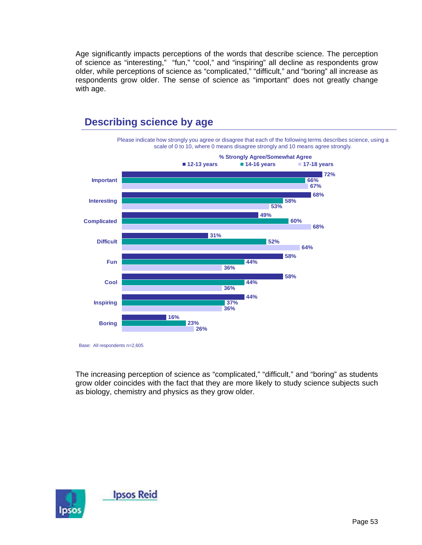Age significantly impacts perceptions of the words that describe science. The perception of science as "interesting," "fun," "cool," and "inspiring" all decline as respondents grow older, while perceptions of science as "complicated," "difficult," and "boring" all increase as respondents grow older. The sense of science as "important" does not greatly change with age.



# **Describing science by age**

The increasing perception of science as "complicated," "difficult," and "boring" as students grow older coincides with the fact that they are more likely to study science subjects such as biology, chemistry and physics as they grow older.



Base: All respondents n=2,605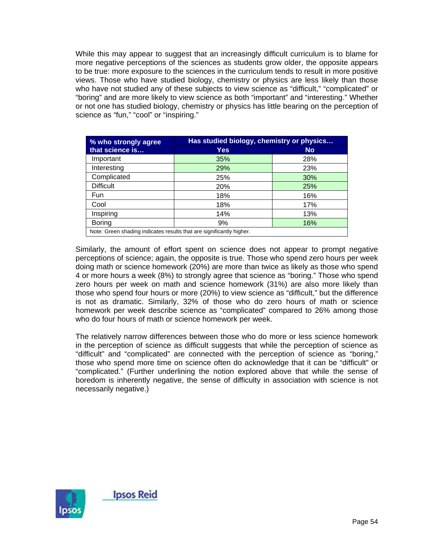While this may appear to suggest that an increasingly difficult curriculum is to blame for more negative perceptions of the sciences as students grow older, the opposite appears to be true: more exposure to the sciences in the curriculum tends to result in more positive views. Those who have studied biology, chemistry or physics are less likely than those who have not studied any of these subjects to view science as "difficult," "complicated" or "boring" and are more likely to view science as both "important" and "interesting." Whether or not one has studied biology, chemistry or physics has little bearing on the perception of science as "fun," "cool" or "inspiring."

| % who strongly agree                                                 | Has studied biology, chemistry or physics |     |  |  |
|----------------------------------------------------------------------|-------------------------------------------|-----|--|--|
| that science is                                                      | Yes                                       | No  |  |  |
| Important                                                            | 35%                                       | 28% |  |  |
| Interesting                                                          | 29%                                       | 23% |  |  |
| Complicated                                                          | 25%                                       | 30% |  |  |
| <b>Difficult</b>                                                     | 20%                                       | 25% |  |  |
| Fun                                                                  | 18%                                       | 16% |  |  |
| Cool                                                                 | 18%                                       | 17% |  |  |
| Inspiring                                                            | 14%                                       | 13% |  |  |
| <b>Boring</b>                                                        | 9%                                        | 16% |  |  |
| Note: Green shading indicates results that are significantly higher. |                                           |     |  |  |

Similarly, the amount of effort spent on science does not appear to prompt negative perceptions of science; again, the opposite is true. Those who spend zero hours per week doing math or science homework (20%) are more than twice as likely as those who spend 4 or more hours a week (8%) to strongly agree that science as "boring." Those who spend zero hours per week on math and science homework (31%) are also more likely than those who spend four hours or more (20%) to view science as "difficult," but the difference is not as dramatic. Similarly, 32% of those who do zero hours of math or science homework per week describe science as "complicated" compared to 26% among those who do four hours of math or science homework per week.

The relatively narrow differences between those who do more or less science homework in the perception of science as difficult suggests that while the perception of science as "difficult" and "complicated" are connected with the perception of science as "boring," those who spend more time on science often do acknowledge that it can be "difficult" or "complicated." (Further underlining the notion explored above that while the sense of boredom is inherently negative, the sense of difficulty in association with science is not necessarily negative.)

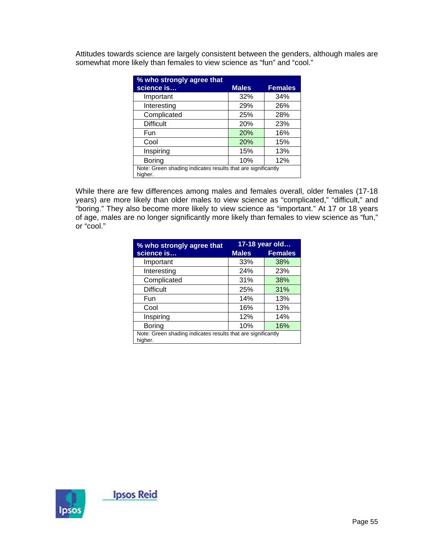Attitudes towards science are largely consistent between the genders, although males are somewhat more likely than females to view science as "fun" and "cool."

| % who strongly agree that                                               |              |                |  |  |
|-------------------------------------------------------------------------|--------------|----------------|--|--|
| science is                                                              | <b>Males</b> | <b>Females</b> |  |  |
| Important                                                               | 32%          | 34%            |  |  |
| Interesting                                                             | 29%          | 26%            |  |  |
| Complicated                                                             | 25%          | 28%            |  |  |
| <b>Difficult</b>                                                        | 20%          | 23%            |  |  |
| Fun                                                                     | 20%          | 16%            |  |  |
| Cool                                                                    | <b>20%</b>   | 15%            |  |  |
| Inspiring                                                               | 15%          | 13%            |  |  |
| Boring                                                                  | 10%          | 12%            |  |  |
| Note: Green shading indicates results that are significantly<br>higher. |              |                |  |  |

While there are few differences among males and females overall, older females (17-18 years) are more likely than older males to view science as "complicated," "difficult," and "boring." They also become more likely to view science as "important." At 17 or 18 years of age, males are no longer significantly more likely than females to view science as "fun," or "cool."

| % who strongly agree that                                               | 17-18 year old |                |  |  |
|-------------------------------------------------------------------------|----------------|----------------|--|--|
| science is                                                              | <b>Males</b>   | <b>Females</b> |  |  |
| Important                                                               | 33%            | 38%            |  |  |
| Interesting                                                             | 24%            | 23%            |  |  |
| Complicated                                                             | 31%            | 38%            |  |  |
| <b>Difficult</b>                                                        | 25%            | 31%            |  |  |
| Fun                                                                     | 14%            | 13%            |  |  |
| Cool                                                                    | 16%            | 13%            |  |  |
| Inspiring                                                               | 12%            | 14%            |  |  |
| Boring                                                                  | 10%            | 16%            |  |  |
| Note: Green shading indicates results that are significantly<br>higher. |                |                |  |  |

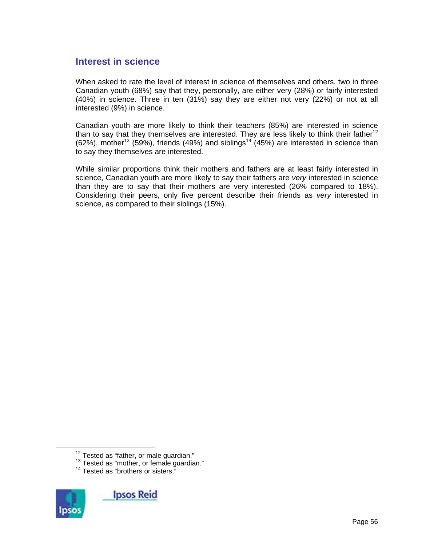### **Interest in science**

When asked to rate the level of interest in science of themselves and others, two in three Canadian youth (68%) say that they, personally, are either very (28%) or fairly interested (40%) in science. Three in ten (31%) say they are either not very (22%) or not at all interested (9%) in science.

Canadian youth are more likely to think their teachers (85%) are interested in science than to say that they themselves are interested. They are less likely to think their father<sup>12</sup>  $(62%)$ , mother<sup>13</sup> (59%), friends (49%) and siblings<sup>14</sup> (45%) are interested in science than to say they themselves are interested.

While similar proportions think their mothers and fathers are at least fairly interested in science, Canadian youth are more likely to say their fathers are *very* interested in science than they are to say that their mothers are very interested (26% compared to 18%). Considering their peers, only five percent describe their friends as *very* interested in science, as compared to their siblings (15%).



<sup>&</sup>lt;sup>12</sup> Tested as "father, or male guardian."<br><sup>13</sup> Tested as "mother, or female guardian."<br><sup>14</sup> Tested as "brothers or sisters."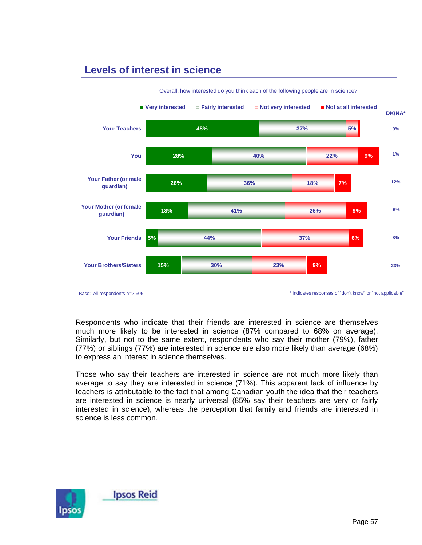## **Levels of interest in science**



Overall, how interested do you think each of the following people are in science?

Base: All respondents n=2,605

\* Indicates responses of "don't know" or "not applicable"

Respondents who indicate that their friends are interested in science are themselves much more likely to be interested in science (87% compared to 68% on average). Similarly, but not to the same extent, respondents who say their mother (79%), father (77%) or siblings (77%) are interested in science are also more likely than average (68%) to express an interest in science themselves.

Those who say their teachers are interested in science are not much more likely than average to say they are interested in science (71%). This apparent lack of influence by teachers is attributable to the fact that among Canadian youth the idea that their teachers are interested in science is nearly universal (85% say their teachers are very or fairly interested in science), whereas the perception that family and friends are interested in science is less common.

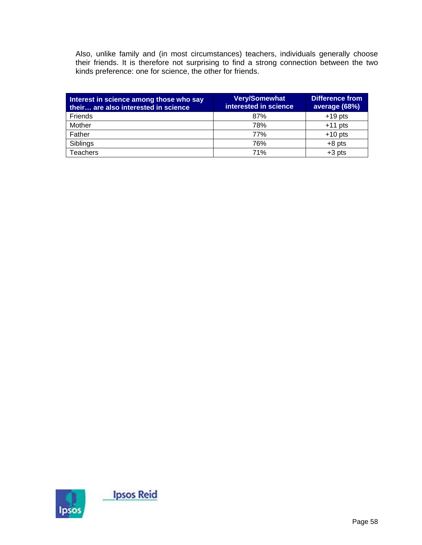Also, unlike family and (in most circumstances) teachers, individuals generally choose their friends. It is therefore not surprising to find a strong connection between the two kinds preference: one for science, the other for friends.

| Interest in science among those who say<br>their are also interested in science | <b>Very/Somewhat</b><br>interested in science | <b>Difference from</b><br>average (68%) |
|---------------------------------------------------------------------------------|-----------------------------------------------|-----------------------------------------|
| <b>Friends</b>                                                                  | 87%                                           | $+19$ pts                               |
| Mother                                                                          | 78%                                           | $+11$ pts                               |
| Father                                                                          | 77%                                           | $+10$ pts                               |
| Siblings                                                                        | 76%                                           | $+8$ pts                                |
| <b>Teachers</b>                                                                 | 71%                                           | $+3$ pts                                |

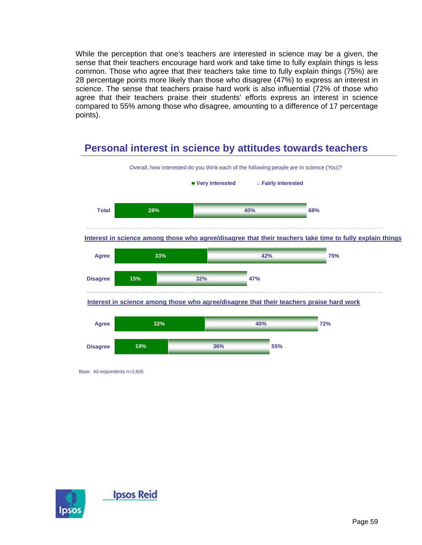While the perception that one's teachers are interested in science may be a given, the sense that their teachers encourage hard work and take time to fully explain things is less common. Those who agree that their teachers take time to fully explain things (75%) are 28 percentage points more likely than those who disagree (47%) to express an interest in science. The sense that teachers praise hard work is also influential (72% of those who agree that their teachers praise their students' efforts express an interest in science compared to 55% among those who disagree, amounting to a difference of 17 percentage points).

# **Personal interest in science by attitudes towards teachers**



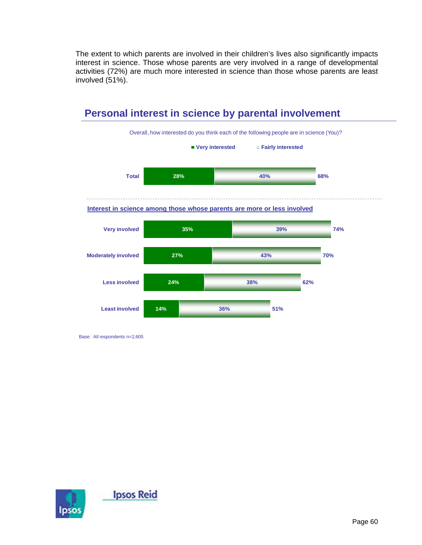The extent to which parents are involved in their children's lives also significantly impacts interest in science. Those whose parents are very involved in a range of developmental activities (72%) are much more interested in science than those whose parents are least involved (51%).



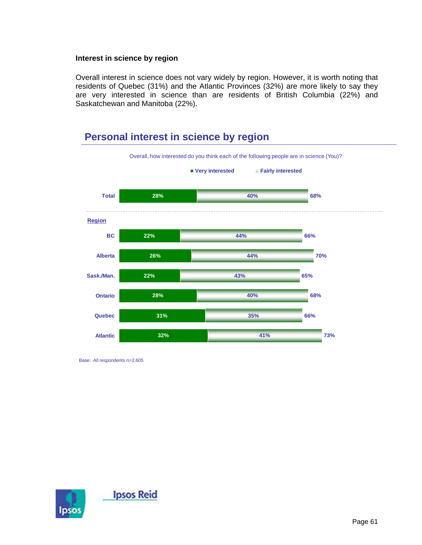#### **Interest in science by region**

Overall interest in science does not vary widely by region. However, it is worth noting that residents of Quebec (31%) and the Atlantic Provinces (32%) are more likely to say they are very interested in science than are residents of British Columbia (22%) and Saskatchewan and Manitoba (22%).

# **Personal interest in science by region**



Base: All respondents n=2,605

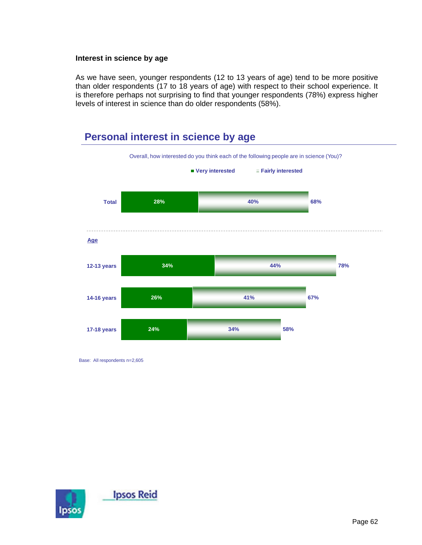#### **Interest in science by age**

As we have seen, younger respondents (12 to 13 years of age) tend to be more positive than older respondents (17 to 18 years of age) with respect to their school experience. It is therefore perhaps not surprising to find that younger respondents (78%) express higher levels of interest in science than do older respondents (58%).

# **Personal interest in science by age**



Base: All respondents n=2,605

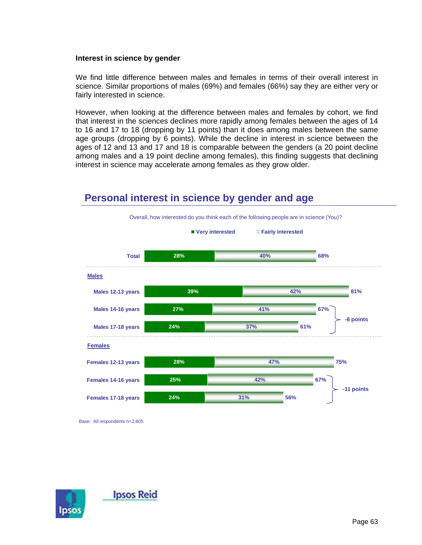#### **Interest in science by gender**

We find little difference between males and females in terms of their overall interest in science. Similar proportions of males (69%) and females (66%) say they are either very or fairly interested in science.

However, when looking at the difference between males and females by cohort, we find that interest in the sciences declines more rapidly among females between the ages of 14 to 16 and 17 to 18 (dropping by 11 points) than it does among males between the same age groups (dropping by 6 points). While the decline in interest in science between the ages of 12 and 13 and 17 and 18 is comparable between the genders (a 20 point decline among males and a 19 point decline among females), this finding suggests that declining interest in science may accelerate among females as they grow older.

#### **28% 39% 27% 24% 28% 25% 24% 40% 42% 41% 37% 47% 42% 31% 68% 81% 67% 61% 75% 67% 56% Total Males 12-13 years Males 14-16 years Males 17-18 years Females 12-13 years Females 14-16 years Females 17-18 years** ■ Very interested **Fairly interested Males** Overall, how interested do you think each of the following people are in science (You)? **Females -6 points -11 points**

## **Personal interest in science by gender and age**

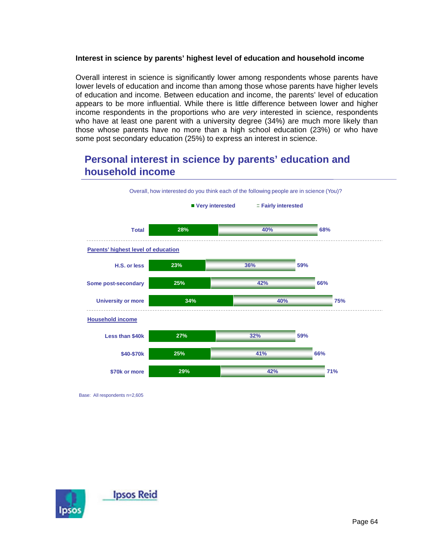### **Interest in science by parents' highest level of education and household income**

Overall interest in science is significantly lower among respondents whose parents have lower levels of education and income than among those whose parents have higher levels of education and income. Between education and income, the parents' level of education appears to be more influential. While there is little difference between lower and higher income respondents in the proportions who are *very* interested in science, respondents who have at least one parent with a university degree (34%) are much more likely than those whose parents have no more than a high school education (23%) or who have some post secondary education (25%) to express an interest in science.

# **Personal interest in science by parents' education and household income**



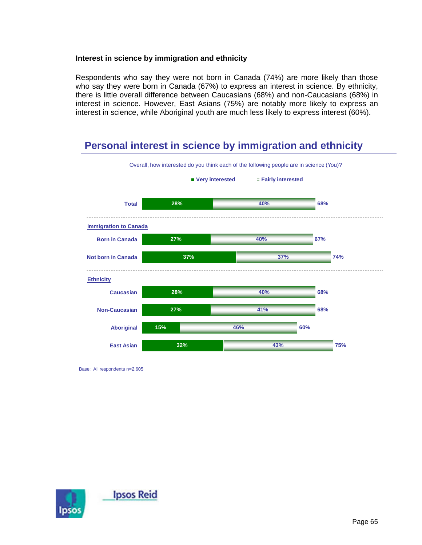### **Interest in science by immigration and ethnicity**

Respondents who say they were not born in Canada (74%) are more likely than those who say they were born in Canada (67%) to express an interest in science. By ethnicity, there is little overall difference between Caucasians (68%) and non-Caucasians (68%) in interest in science. However, East Asians (75%) are notably more likely to express an interest in science, while Aboriginal youth are much less likely to express interest (60%).

## **Personal interest in science by immigration and ethnicity**



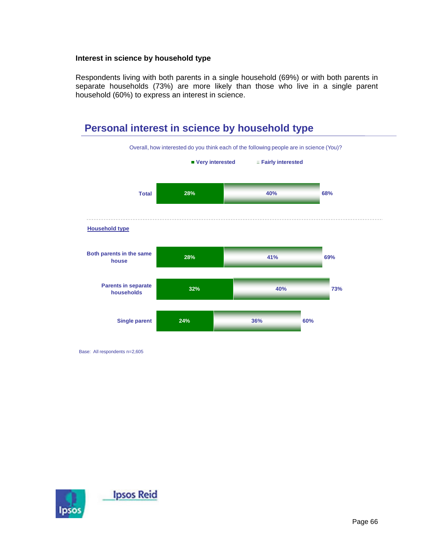#### **Interest in science by household type**

Respondents living with both parents in a single household (69%) or with both parents in separate households (73%) are more likely than those who live in a single parent household (60%) to express an interest in science.



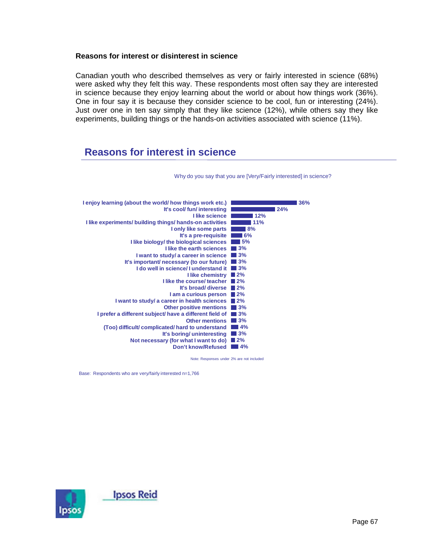#### **Reasons for interest or disinterest in science**

Canadian youth who described themselves as very or fairly interested in science (68%) were asked why they felt this way. These respondents most often say they are interested in science because they enjoy learning about the world or about how things work (36%). One in four say it is because they consider science to be cool, fun or interesting (24%). Just over one in ten say simply that they like science (12%), while others say they like experiments, building things or the hands-on activities associated with science (11%).

### **Reasons for interest in science**



Why do you say that you are [Very/Fairly interested] in science?

Note: Responses under 2% are not included

Base: Respondents who are very/fairly interested n=1,766

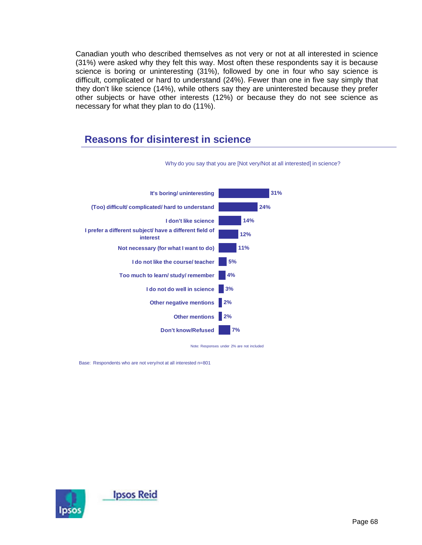Canadian youth who described themselves as not very or not at all interested in science (31%) were asked why they felt this way. Most often these respondents say it is because science is boring or uninteresting (31%), followed by one in four who say science is difficult, complicated or hard to understand (24%). Fewer than one in five say simply that they don't like science (14%), while others say they are uninterested because they prefer other subjects or have other interests (12%) or because they do not see science as necessary for what they plan to do (11%).

## **Reasons for disinterest in science**



Why do you say that you are [Not very/Not at all interested] in science?

Note: Responses under 2% are not included

Base: Respondents who are not very/not at all interested n=801

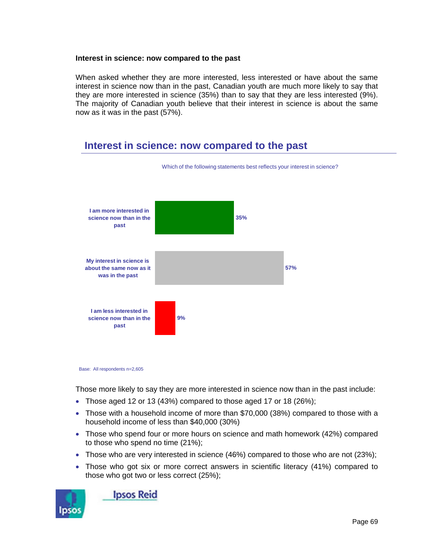#### **Interest in science: now compared to the past**

When asked whether they are more interested, less interested or have about the same interest in science now than in the past, Canadian youth are much more likely to say that they are more interested in science (35%) than to say that they are less interested (9%). The majority of Canadian youth believe that their interest in science is about the same now as it was in the past (57%).

### **Interest in science: now compared to the past**



#### Base: All respondents n=2,605

Those more likely to say they are more interested in science now than in the past include:

- Those aged 12 or 13 (43%) compared to those aged 17 or 18 (26%);
- Those with a household income of more than \$70,000 (38%) compared to those with a household income of less than \$40,000 (30%)
- Those who spend four or more hours on science and math homework (42%) compared to those who spend no time (21%);
- Those who are very interested in science (46%) compared to those who are not (23%);
- Those who got six or more correct answers in scientific literacy (41%) compared to those who got two or less correct (25%);



**Ipsos Reid**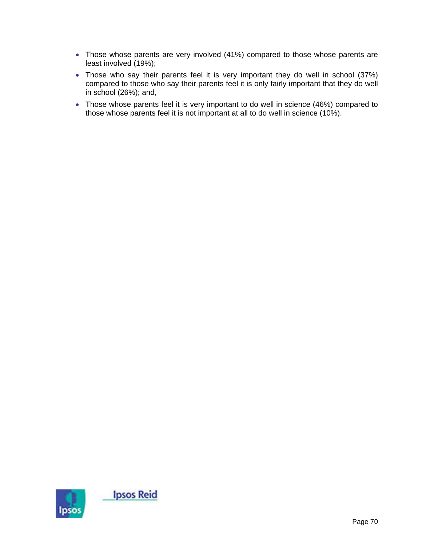- Those whose parents are very involved (41%) compared to those whose parents are least involved (19%);
- Those who say their parents feel it is very important they do well in school (37%) compared to those who say their parents feel it is only fairly important that they do well in school (26%); and,
- Those whose parents feel it is very important to do well in science (46%) compared to those whose parents feel it is not important at all to do well in science (10%).

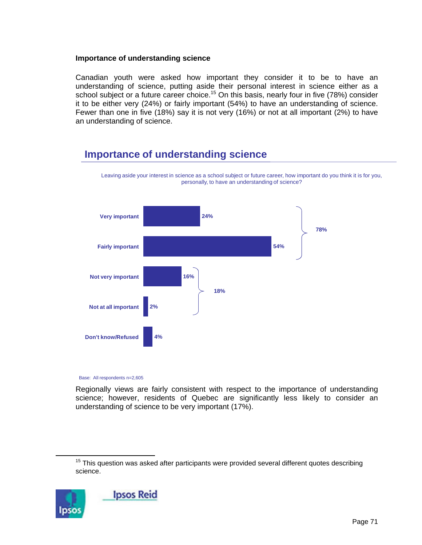### **Importance of understanding science**

Canadian youth were asked how important they consider it to be to have an understanding of science, putting aside their personal interest in science either as a school subject or a future career choice.<sup>15</sup> On this basis, nearly four in five (78%) consider it to be either very (24%) or fairly important (54%) to have an understanding of science. Fewer than one in five (18%) say it is not very (16%) or not at all important (2%) to have an understanding of science.

Leaving aside your interest in science as a school subject or future career, how important do you think it is for you,

## **Importance of understanding science**



Base: All respondents n=2,605

Regionally views are fairly consistent with respect to the importance of understanding science; however, residents of Quebec are significantly less likely to consider an understanding of science to be very important (17%).

 $15$  This question was asked after participants were provided several different quotes describing science.

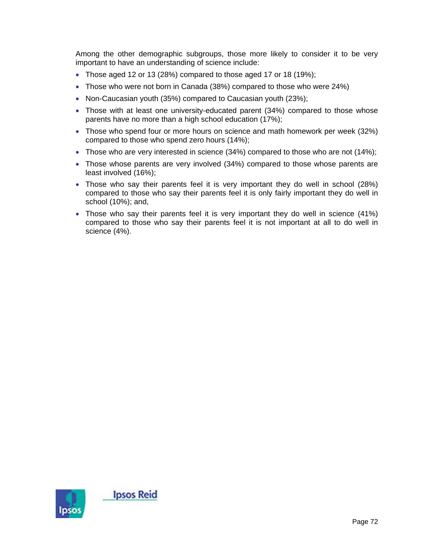Among the other demographic subgroups, those more likely to consider it to be very important to have an understanding of science include:

- Those aged 12 or 13 (28%) compared to those aged 17 or 18 (19%);
- Those who were not born in Canada (38%) compared to those who were 24%)
- Non-Caucasian youth (35%) compared to Caucasian youth (23%);
- Those with at least one university-educated parent (34%) compared to those whose parents have no more than a high school education (17%);
- Those who spend four or more hours on science and math homework per week (32%) compared to those who spend zero hours (14%);
- Those who are very interested in science (34%) compared to those who are not (14%);
- Those whose parents are very involved (34%) compared to those whose parents are least involved (16%);
- Those who say their parents feel it is very important they do well in school (28%) compared to those who say their parents feel it is only fairly important they do well in school (10%); and,
- Those who say their parents feel it is very important they do well in science (41%) compared to those who say their parents feel it is not important at all to do well in science (4%).

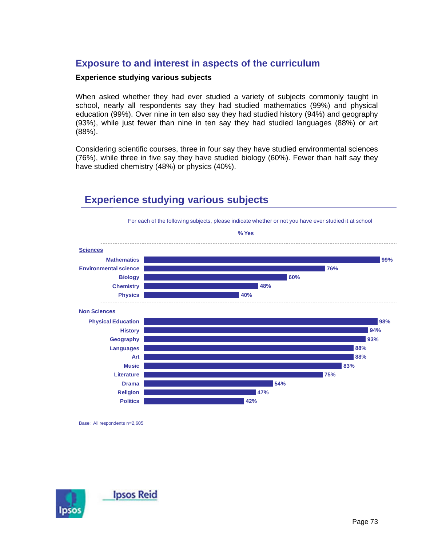## **Exposure to and interest in aspects of the curriculum**

### **Experience studying various subjects**

When asked whether they had ever studied a variety of subjects commonly taught in school, nearly all respondents say they had studied mathematics (99%) and physical education (99%). Over nine in ten also say they had studied history (94%) and geography (93%), while just fewer than nine in ten say they had studied languages (88%) or art (88%).

Considering scientific courses, three in four say they have studied environmental sciences (76%), while three in five say they have studied biology (60%). Fewer than half say they have studied chemistry (48%) or physics (40%).



## **Experience studying various subjects**

Base: All respondents n=2,605

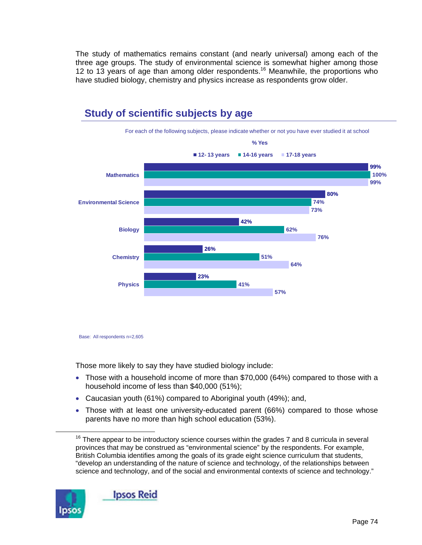The study of mathematics remains constant (and nearly universal) among each of the three age groups. The study of environmental science is somewhat higher among those 12 to 13 years of age than among older respondents.<sup>16</sup> Meanwhile, the proportions who have studied biology, chemistry and physics increase as respondents grow older.



# **Study of scientific subjects by age**

Base: All respondents n=2,605

Those more likely to say they have studied biology include:

- Those with a household income of more than \$70,000 (64%) compared to those with a household income of less than \$40,000 (51%);
- Caucasian youth (61%) compared to Aboriginal youth (49%); and,
- Those with at least one university-educated parent (66%) compared to those whose parents have no more than high school education (53%).

 $16$  There appear to be introductory science courses within the grades 7 and 8 curricula in several provinces that may be construed as "environmental science" by the respondents. For example, British Columbia identifies among the goals of its grade eight science curriculum that students, "develop an understanding of the nature of science and technology, of the relationships between science and technology, and of the social and environmental contexts of science and technology."

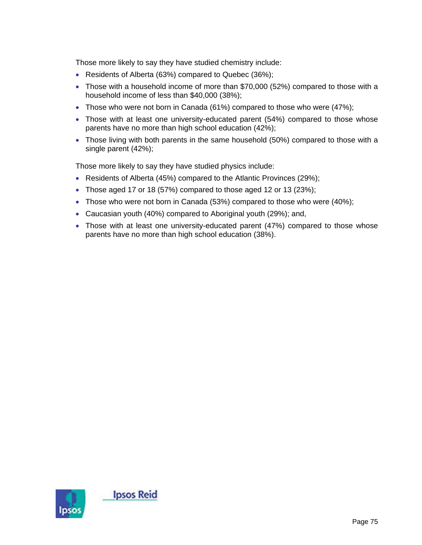Those more likely to say they have studied chemistry include:

- Residents of Alberta (63%) compared to Quebec (36%);
- Those with a household income of more than \$70,000 (52%) compared to those with a household income of less than \$40,000 (38%);
- Those who were not born in Canada (61%) compared to those who were (47%);
- Those with at least one university-educated parent (54%) compared to those whose parents have no more than high school education (42%);
- Those living with both parents in the same household (50%) compared to those with a single parent (42%);

Those more likely to say they have studied physics include:

- Residents of Alberta (45%) compared to the Atlantic Provinces (29%);
- Those aged 17 or 18 (57%) compared to those aged 12 or 13 (23%);
- Those who were not born in Canada (53%) compared to those who were (40%);
- Caucasian youth (40%) compared to Aboriginal youth (29%); and,
- Those with at least one university-educated parent (47%) compared to those whose parents have no more than high school education (38%).

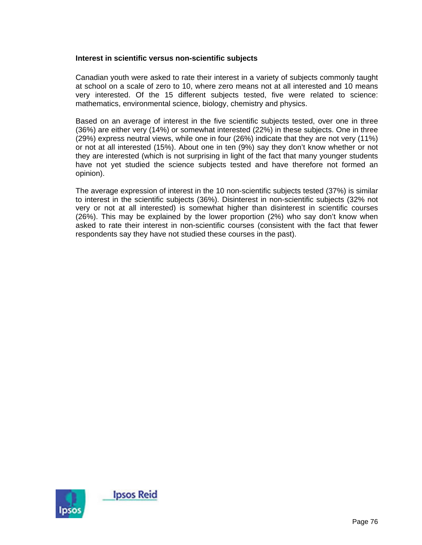### **Interest in scientific versus non-scientific subjects**

Canadian youth were asked to rate their interest in a variety of subjects commonly taught at school on a scale of zero to 10, where zero means not at all interested and 10 means very interested. Of the 15 different subjects tested, five were related to science: mathematics, environmental science, biology, chemistry and physics.

Based on an average of interest in the five scientific subjects tested, over one in three (36%) are either very (14%) or somewhat interested (22%) in these subjects. One in three (29%) express neutral views, while one in four (26%) indicate that they are not very (11%) or not at all interested (15%). About one in ten (9%) say they don't know whether or not they are interested (which is not surprising in light of the fact that many younger students have not yet studied the science subjects tested and have therefore not formed an opinion).

The average expression of interest in the 10 non-scientific subjects tested (37%) is similar to interest in the scientific subjects (36%). Disinterest in non-scientific subjects (32% not very or not at all interested) is somewhat higher than disinterest in scientific courses (26%). This may be explained by the lower proportion (2%) who say don't know when asked to rate their interest in non-scientific courses (consistent with the fact that fewer respondents say they have not studied these courses in the past).

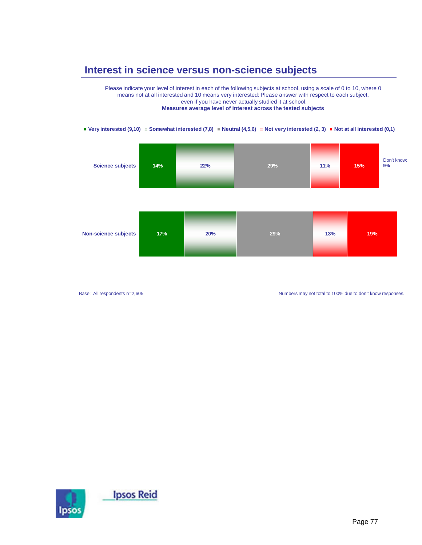## **Interest in science versus non-science subjects**

Please indicate your level of interest in each of the following subjects at school, using a scale of 0 to 10, where 0 means not at all interested and 10 means very interested: Please answer with respect to each subject, even if you have never actually studied it at school. **Measures average level of interest across the tested subjects**

#### **Very interested (9,10)**  $\equiv$  Somewhat interested (7,8) **Neutral (4,5,6)**  $\equiv$  Not very interested (2, 3) **Not at all interested (0,1)**

| <b>Science subjects</b> | 14% | 22% | 29% | 11% | 15% | Don't know:<br>9% |
|-------------------------|-----|-----|-----|-----|-----|-------------------|
|                         |     |     |     |     |     |                   |

| <b>Non-science subjects</b> | 17% | 20% | 29% | 13% | 19% |
|-----------------------------|-----|-----|-----|-----|-----|
|                             |     |     |     |     |     |

Base: All respondents n=2,605

Numbers may not total to 100% due to don't know responses.

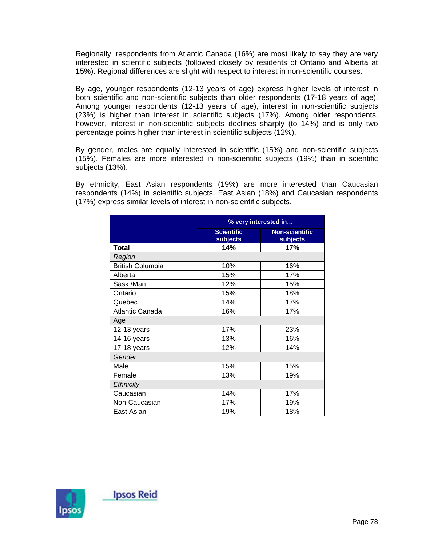Regionally, respondents from Atlantic Canada (16%) are most likely to say they are very interested in scientific subjects (followed closely by residents of Ontario and Alberta at 15%). Regional differences are slight with respect to interest in non-scientific courses.

By age, younger respondents (12-13 years of age) express higher levels of interest in both scientific and non-scientific subjects than older respondents (17-18 years of age). Among younger respondents (12-13 years of age), interest in non-scientific subjects (23%) is higher than interest in scientific subjects (17%). Among older respondents, however, interest in non-scientific subjects declines sharply (to 14%) and is only two percentage points higher than interest in scientific subjects (12%).

By gender, males are equally interested in scientific (15%) and non-scientific subjects (15%). Females are more interested in non-scientific subjects (19%) than in scientific subjects (13%).

By ethnicity, East Asian respondents (19%) are more interested than Caucasian respondents (14%) in scientific subjects. East Asian (18%) and Caucasian respondents (17%) express similar levels of interest in non-scientific subjects.

|                         |                               | % very interested in              |
|-------------------------|-------------------------------|-----------------------------------|
|                         | <b>Scientific</b><br>subjects | <b>Non-scientific</b><br>subjects |
| Total                   | 14%                           | 17%                               |
| Region                  |                               |                                   |
| <b>British Columbia</b> | 10%                           | 16%                               |
| Alberta                 | 15%                           | 17%                               |
| Sask./Man.              | 12%                           | 15%                               |
| Ontario                 | 15%                           | 18%                               |
| Quebec                  | 14%                           | 17%                               |
| Atlantic Canada         | 16%                           | 17%                               |
| Age                     |                               |                                   |
| 12-13 years             | 17%                           | 23%                               |
| 14-16 years             | 13%                           | 16%                               |
| 17-18 years             | 12%                           | 14%                               |
| Gender                  |                               |                                   |
| Male                    | 15%                           | 15%                               |
| Female                  | 13%                           | 19%                               |
| Ethnicity               |                               |                                   |
| Caucasian               | 14%                           | 17%                               |
| Non-Caucasian           | 17%                           | 19%                               |
| East Asian              | 19%                           | 18%                               |

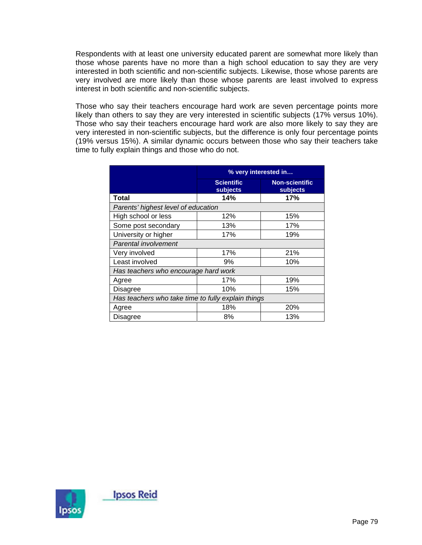Respondents with at least one university educated parent are somewhat more likely than those whose parents have no more than a high school education to say they are very interested in both scientific and non-scientific subjects. Likewise, those whose parents are very involved are more likely than those whose parents are least involved to express interest in both scientific and non-scientific subjects.

Those who say their teachers encourage hard work are seven percentage points more likely than others to say they are very interested in scientific subjects (17% versus 10%). Those who say their teachers encourage hard work are also more likely to say they are very interested in non-scientific subjects, but the difference is only four percentage points (19% versus 15%). A similar dynamic occurs between those who say their teachers take time to fully explain things and those who do not.

|                                                    | % very interested in          |                                   |
|----------------------------------------------------|-------------------------------|-----------------------------------|
|                                                    | <b>Scientific</b><br>subjects | <b>Non-scientific</b><br>subjects |
| Total                                              | 14%                           | 17%                               |
| Parents' highest level of education                |                               |                                   |
| High school or less                                | 12%                           | 15%                               |
| Some post secondary                                | 13%                           | 17%                               |
| University or higher                               | 17%                           | 19%                               |
| Parental involvement                               |                               |                                   |
| Very involved                                      | 17%                           | 21%                               |
| Least involved                                     | 9%                            | 10%                               |
| Has teachers who encourage hard work               |                               |                                   |
| Agree                                              | 17%                           | 19%                               |
| Disagree                                           | 10%                           | 15%                               |
| Has teachers who take time to fully explain things |                               |                                   |
| Agree                                              | 18%                           | 20%                               |
| Disagree                                           | 8%                            | 13%                               |

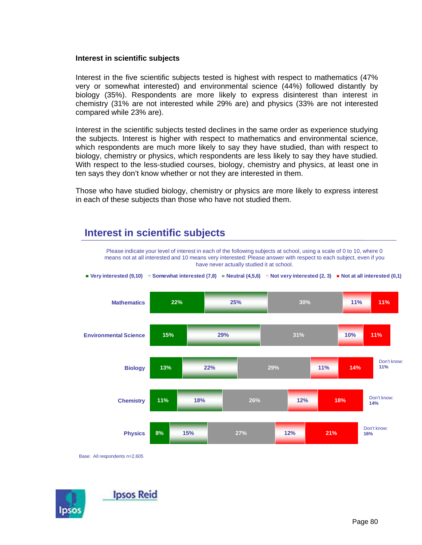#### **Interest in scientific subjects**

Interest in the five scientific subjects tested is highest with respect to mathematics (47% very or somewhat interested) and environmental science (44%) followed distantly by biology (35%). Respondents are more likely to express disinterest than interest in chemistry (31% are not interested while 29% are) and physics (33% are not interested compared while 23% are).

Interest in the scientific subjects tested declines in the same order as experience studying the subjects. Interest is higher with respect to mathematics and environmental science, which respondents are much more likely to say they have studied, than with respect to biology, chemistry or physics, which respondents are less likely to say they have studied. With respect to the less-studied courses, biology, chemistry and physics, at least one in ten says they don't know whether or not they are interested in them.

Those who have studied biology, chemistry or physics are more likely to express interest in each of these subjects than those who have not studied them.

## **Interest in scientific subjects**

**22% 15% 13% 11% 8% 25% 29% 22% 18% 15% 30% 31% 29% 26% 27% 11% 10% 11% 12% 12% 11% 11% 14% 18% 21% Mathematics Environmental Science Biology Chemistry Physics Very interested (9,10)**  $\equiv$  Somewhat interested (7,8) **Neutral (4,5,6)**  $\equiv$  Not very interested (2, 3) **Not at all interested (0,1)** means not at all interested and 10 means very interested: Please answer with respect to each subject, even if you have never actually studied it at school. Don't know: **11%** Don't know: **14%** Don't know: **16%**

Please indicate your level of interest in each of the following subjects at school, using a scale of 0 to 10, where 0

Base: All respondents n=2,605

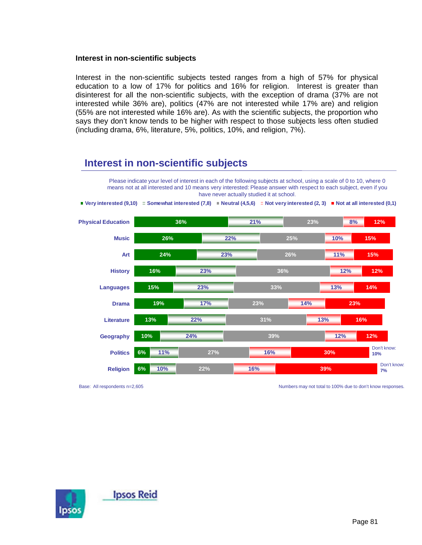### **Interest in non-scientific subjects**

Interest in the non-scientific subjects tested ranges from a high of 57% for physical education to a low of 17% for politics and 16% for religion. Interest is greater than disinterest for all the non-scientific subjects, with the exception of drama (37% are not interested while 36% are), politics (47% are not interested while 17% are) and religion (55% are not interested while 16% are). As with the scientific subjects, the proportion who says they don't know tends to be higher with respect to those subjects less often studied (including drama, 6%, literature, 5%, politics, 10%, and religion, 7%).

### **Interest in non-scientific subjects**



**Very interested (9,10)**  $\equiv$  Somewhat interested (7,8) **Neutral (4,5,6)**  $\equiv$  Not very interested (2, 3) **Not** at all interested (0,1)



Base: All respondents n=2,605

Numbers may not total to 100% due to don't know responses.

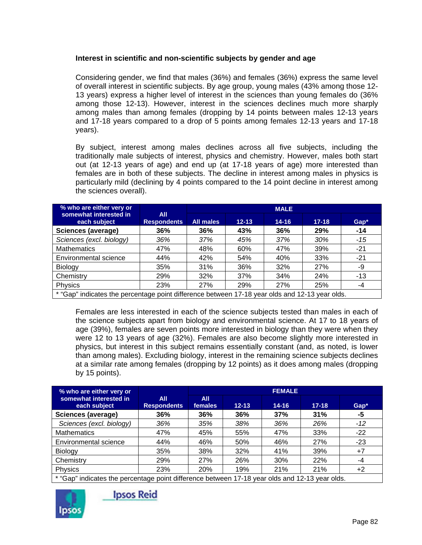### **Interest in scientific and non-scientific subjects by gender and age**

Considering gender, we find that males (36%) and females (36%) express the same level of overall interest in scientific subjects. By age group, young males (43% among those 12- 13 years) express a higher level of interest in the sciences than young females do (36% among those 12-13). However, interest in the sciences declines much more sharply among males than among females (dropping by 14 points between males 12-13 years and 17-18 years compared to a drop of 5 points among females 12-13 years and 17-18 years).

By subject, interest among males declines across all five subjects, including the traditionally male subjects of interest, physics and chemistry. However, males both start out (at 12-13 years of age) and end up (at 17-18 years of age) more interested than females are in both of these subjects. The decline in interest among males in physics is particularly mild (declining by 4 points compared to the 14 point decline in interest among the sciences overall).

| % who are either very or                                                                       |                           | <b>MALE</b>      |           |           |           |       |  |  |
|------------------------------------------------------------------------------------------------|---------------------------|------------------|-----------|-----------|-----------|-------|--|--|
| somewhat interested in<br>each subject                                                         | All<br><b>Respondents</b> | <b>All males</b> | $12 - 13$ | $14 - 16$ | $17 - 18$ | Gap*  |  |  |
| Sciences (average)                                                                             | 36%                       | 36%              | 43%       | 36%       | 29%       | $-14$ |  |  |
| Sciences (excl. biology)                                                                       | 36%                       | 37%              | 45%       | 37%       | 30%       | $-15$ |  |  |
| <b>Mathematics</b>                                                                             | 47%                       | 48%              | 60%       | 47%       | 39%       | $-21$ |  |  |
| Environmental science                                                                          | 44%                       | 42%              | 54%       | 40%       | 33%       | $-21$ |  |  |
| Biology                                                                                        | 35%                       | 31%              | 36%       | 32%       | 27%       | -9    |  |  |
| Chemistry                                                                                      | 29%                       | 32%              | 37%       | 34%       | 24%       | $-13$ |  |  |
| Physics                                                                                        | 23%                       | 27%              | 29%       | 27%       | 25%       | -4    |  |  |
| * "Gap" indicates the percentage point difference between 17-18 year olds and 12-13 year olds. |                           |                  |           |           |           |       |  |  |

Females are less interested in each of the science subjects tested than males in each of the science subjects apart from biology and environmental science. At 17 to 18 years of age (39%), females are seven points more interested in biology than they were when they were 12 to 13 years of age (32%). Females are also become slightly more interested in physics, but interest in this subject remains essentially constant (and, as noted, is lower than among males). Excluding biology, interest in the remaining science subjects declines at a similar rate among females (dropping by 12 points) as it does among males (dropping by 15 points).

| % who are either very or                                                                       |                           | <b>FEMALE</b>                |           |           |           |        |  |  |
|------------------------------------------------------------------------------------------------|---------------------------|------------------------------|-----------|-----------|-----------|--------|--|--|
| somewhat interested in<br>each subject                                                         | All<br><b>Respondents</b> | <b>All</b><br><b>females</b> | $12 - 13$ | $14 - 16$ | $17 - 18$ | $Gap*$ |  |  |
| Sciences (average)                                                                             | 36%                       | 36%                          | 36%       | 37%       | 31%       | -5     |  |  |
| Sciences (excl. biology)                                                                       | 36%                       | 35%                          | 38%       | 36%       | 26%       | $-12$  |  |  |
| <b>Mathematics</b>                                                                             | 47%                       | 45%                          | 55%       | 47%       | 33%       | $-22$  |  |  |
| Environmental science                                                                          | 44%                       | 46%                          | 50%       | 46%       | 27%       | $-23$  |  |  |
| Biology                                                                                        | 35%                       | 38%                          | 32%       | 41%       | 39%       | $+7$   |  |  |
| Chemistry                                                                                      | 29%                       | 27%                          | 26%       | 30%       | 22%       | -4     |  |  |
| Physics                                                                                        | 23%                       | 20%                          | 19%       | 21%       | 21%       | +2     |  |  |
| * "Can" indicates the persentage point difference between 17,10 year alde and 19,12 year alder |                           |                              |           |           |           |        |  |  |

Gap" indicates the percentage point difference between 17-18 year olds and 12-13 year olds.



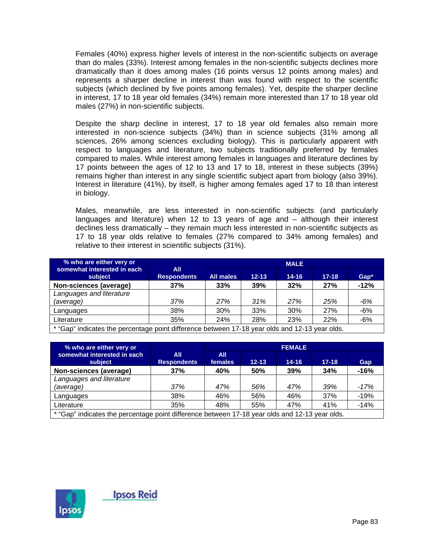Females (40%) express higher levels of interest in the non-scientific subjects on average than do males (33%). Interest among females in the non-scientific subjects declines more dramatically than it does among males (16 points versus 12 points among males) and represents a sharper decline in interest than was found with respect to the scientific subjects (which declined by five points among females). Yet, despite the sharper decline in interest, 17 to 18 year old females (34%) remain more interested than 17 to 18 year old males (27%) in non-scientific subjects.

Despite the sharp decline in interest, 17 to 18 year old females also remain more interested in non-science subjects (34%) than in science subjects (31% among all sciences, 26% among sciences excluding biology). This is particularly apparent with respect to languages and literature, two subjects traditionally preferred by females compared to males. While interest among females in languages and literature declines by 17 points between the ages of 12 to 13 and 17 to 18, interest in these subjects (39%) remains higher than interest in any single scientific subject apart from biology (also 39%). Interest in literature (41%), by itself, is higher among females aged 17 to 18 than interest in biology.

Males, meanwhile, are less interested in non-scientific subjects (and particularly languages and literature) when 12 to 13 years of age and – although their interest declines less dramatically – they remain much less interested in non-scientific subjects as 17 to 18 year olds relative to females (27% compared to 34% among females) and relative to their interest in scientific subjects (31%).

| % who are either very or                                                                       |                           | <b>MALE</b>      |           |           |            |        |  |
|------------------------------------------------------------------------------------------------|---------------------------|------------------|-----------|-----------|------------|--------|--|
| somewhat interested in each<br>subject                                                         | All<br><b>Respondents</b> | <b>All males</b> | $12 - 13$ | $14 - 16$ | $17 - 18$  | $Gap*$ |  |
| Non-sciences (average)                                                                         | 37%                       | 33%              | 39%       | 32%       | 27%        | $-12%$ |  |
| Languages and literature                                                                       |                           |                  |           |           |            |        |  |
| (average)                                                                                      | 37%                       | 27%              | 31%       | 27%       | 25%        | -6%    |  |
| Languages                                                                                      | 38%                       | 30%              | 33%       | 30%       | <b>27%</b> | $-6%$  |  |
| Literature                                                                                     | 35%                       | 24%              | 28%       | 23%       | 22%        | $-6%$  |  |
| * "Gap" indicates the percentage point difference between 17-18 year olds and 12-13 year olds. |                           |                  |           |           |            |        |  |

| % who are either very or                                                                       |                           | <b>FEMALE</b>  |           |           |           |        |  |
|------------------------------------------------------------------------------------------------|---------------------------|----------------|-----------|-----------|-----------|--------|--|
| somewhat interested in each<br>subject                                                         | All<br><b>Respondents</b> | All<br>females | $12 - 13$ | $14 - 16$ | $17 - 18$ | Gap    |  |
| Non-sciences (average)                                                                         | 37%                       | 40%            | 50%       | 39%       | 34%       | $-16%$ |  |
| Languages and literature                                                                       |                           |                |           |           |           |        |  |
| (average)                                                                                      | 37%                       | 47%            | 56%       | 47%       | 39%       | $-17%$ |  |
| Languages                                                                                      | 38%                       | 46%            | 56%       | 46%       | 37%       | $-19%$ |  |
| Literature                                                                                     | 35%                       | 48%            | 55%       | 47%       | 41%       | $-14%$ |  |
| * "Gap" indicates the percentage point difference between 17-18 year olds and 12-13 year olds. |                           |                |           |           |           |        |  |

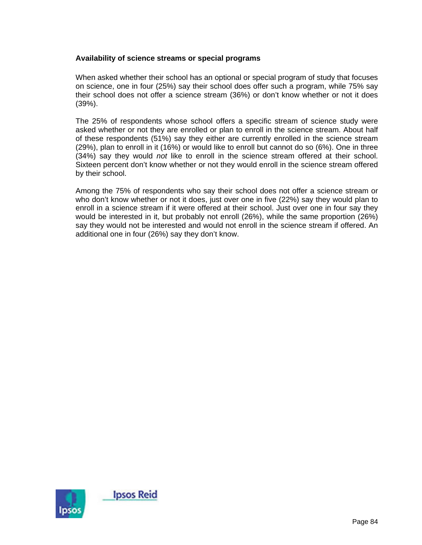### **Availability of science streams or special programs**

When asked whether their school has an optional or special program of study that focuses on science, one in four (25%) say their school does offer such a program, while 75% say their school does not offer a science stream (36%) or don't know whether or not it does (39%).

The 25% of respondents whose school offers a specific stream of science study were asked whether or not they are enrolled or plan to enroll in the science stream. About half of these respondents (51%) say they either are currently enrolled in the science stream (29%), plan to enroll in it (16%) or would like to enroll but cannot do so (6%). One in three (34%) say they would *not* like to enroll in the science stream offered at their school. Sixteen percent don't know whether or not they would enroll in the science stream offered by their school.

Among the 75% of respondents who say their school does not offer a science stream or who don't know whether or not it does, just over one in five (22%) say they would plan to enroll in a science stream if it were offered at their school. Just over one in four say they would be interested in it, but probably not enroll (26%), while the same proportion (26%) say they would not be interested and would not enroll in the science stream if offered. An additional one in four (26%) say they don't know.

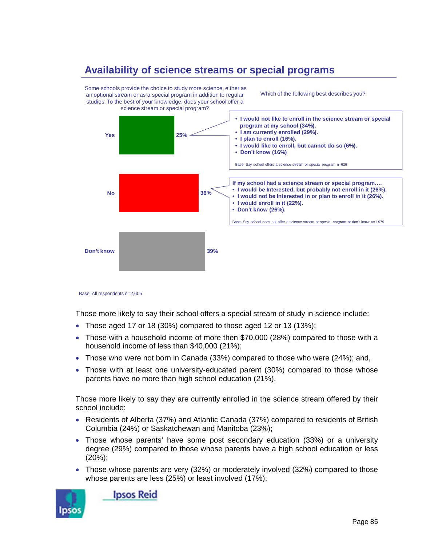## **Availability of science streams or special programs**



Base: All respondents n=2,605

Those more likely to say their school offers a special stream of study in science include:

- Those aged 17 or 18 (30%) compared to those aged 12 or 13 (13%);
- Those with a household income of more then \$70,000 (28%) compared to those with a household income of less than \$40,000 (21%);
- Those who were not born in Canada (33%) compared to those who were (24%); and,
- Those with at least one university-educated parent (30%) compared to those whose parents have no more than high school education (21%).

Those more likely to say they are currently enrolled in the science stream offered by their school include:

- Residents of Alberta (37%) and Atlantic Canada (37%) compared to residents of British Columbia (24%) or Saskatchewan and Manitoba (23%);
- Those whose parents' have some post secondary education (33%) or a university degree (29%) compared to those whose parents have a high school education or less (20%);
- Those whose parents are very (32%) or moderately involved (32%) compared to those whose parents are less (25%) or least involved (17%);



**Ipsos Reid**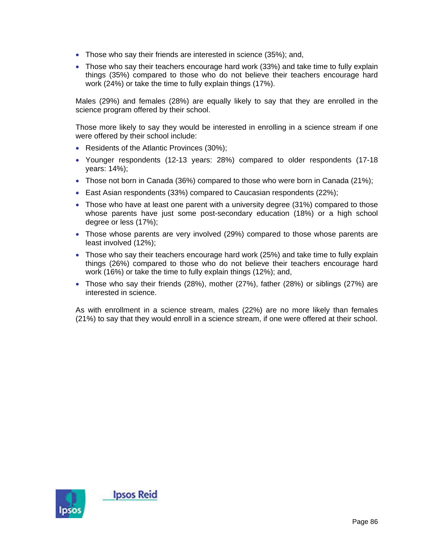- Those who say their friends are interested in science (35%); and,
- Those who say their teachers encourage hard work (33%) and take time to fully explain things (35%) compared to those who do not believe their teachers encourage hard work (24%) or take the time to fully explain things (17%).

Males (29%) and females (28%) are equally likely to say that they are enrolled in the science program offered by their school.

Those more likely to say they would be interested in enrolling in a science stream if one were offered by their school include:

- Residents of the Atlantic Provinces (30%);
- Younger respondents (12-13 years: 28%) compared to older respondents (17-18 years: 14%);
- Those not born in Canada (36%) compared to those who were born in Canada (21%);
- East Asian respondents (33%) compared to Caucasian respondents (22%);
- Those who have at least one parent with a university degree (31%) compared to those whose parents have just some post-secondary education (18%) or a high school degree or less (17%);
- Those whose parents are very involved (29%) compared to those whose parents are least involved (12%);
- Those who say their teachers encourage hard work (25%) and take time to fully explain things (26%) compared to those who do not believe their teachers encourage hard work (16%) or take the time to fully explain things (12%); and,
- Those who say their friends (28%), mother (27%), father (28%) or siblings (27%) are interested in science.

As with enrollment in a science stream, males (22%) are no more likely than females (21%) to say that they would enroll in a science stream, if one were offered at their school.

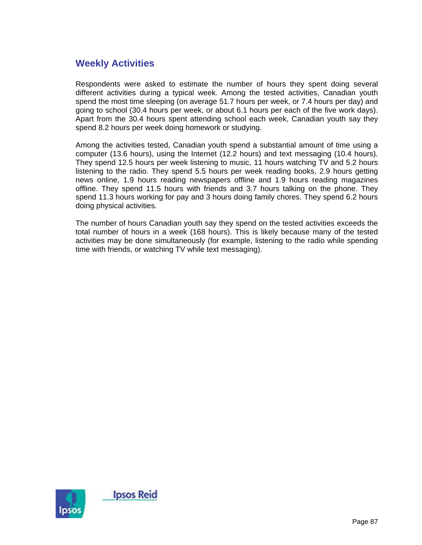## **Weekly Activities**

Respondents were asked to estimate the number of hours they spent doing several different activities during a typical week. Among the tested activities, Canadian youth spend the most time sleeping (on average 51.7 hours per week, or 7.4 hours per day) and going to school (30.4 hours per week, or about 6.1 hours per each of the five work days). Apart from the 30.4 hours spent attending school each week, Canadian youth say they spend 8.2 hours per week doing homework or studying.

Among the activities tested, Canadian youth spend a substantial amount of time using a computer (13.6 hours), using the Internet (12.2 hours) and text messaging (10.4 hours). They spend 12.5 hours per week listening to music, 11 hours watching TV and 5.2 hours listening to the radio. They spend 5.5 hours per week reading books, 2.9 hours getting news online, 1.9 hours reading newspapers offline and 1.9 hours reading magazines offline. They spend 11.5 hours with friends and 3.7 hours talking on the phone. They spend 11.3 hours working for pay and 3 hours doing family chores. They spend 6.2 hours doing physical activities.

The number of hours Canadian youth say they spend on the tested activities exceeds the total number of hours in a week (168 hours). This is likely because many of the tested activities may be done simultaneously (for example, listening to the radio while spending time with friends, or watching TV while text messaging).

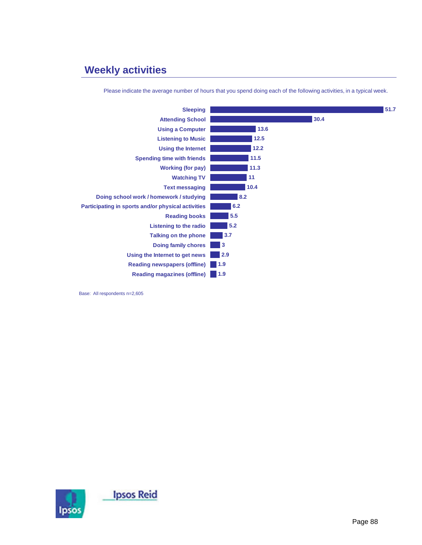# **Weekly activities**

| <b>Sleeping</b>                                    |        |      | 51.7 |
|----------------------------------------------------|--------|------|------|
| <b>Attending School</b>                            |        | 30.4 |      |
| <b>Using a Computer</b>                            | 13.6   |      |      |
| <b>Listening to Music</b>                          | $12.5$ |      |      |
| <b>Using the Internet</b>                          | 12.2   |      |      |
| <b>Spending time with friends</b>                  | 11.5   |      |      |
| <b>Working (for pay)</b>                           | 11.3   |      |      |
| <b>Watching TV</b>                                 | 11     |      |      |
| <b>Text messaging</b>                              | 10.4   |      |      |
| Doing school work / homework / studying            | 8.2    |      |      |
| Participating in sports and/or physical activities | 6.2    |      |      |
| <b>Reading books</b>                               | 5.5    |      |      |
| Listening to the radio                             | 5.2    |      |      |
| <b>Talking on the phone</b>                        | 3.7    |      |      |
| <b>Doing family chores</b>                         | 3      |      |      |
| Using the Internet to get news                     | 2.9    |      |      |
| <b>Reading newspapers (offline)</b>                | 1.9    |      |      |
| <b>Reading magazines (offline)</b>                 | 1.9    |      |      |

Please indicate the average number of hours that you spend doing each of the following activities, in a typical week.

Base: All respondents n=2,605

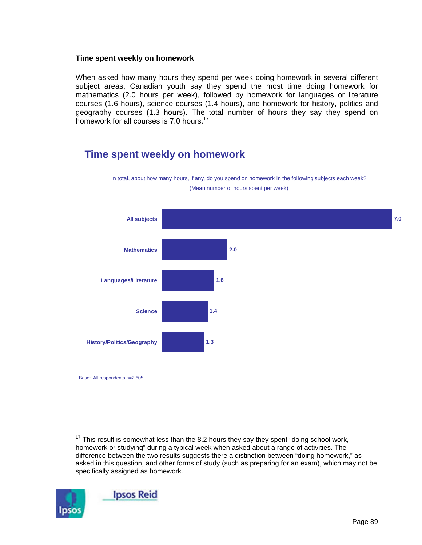### **Time spent weekly on homework**

When asked how many hours they spend per week doing homework in several different subject areas, Canadian youth say they spend the most time doing homework for mathematics (2.0 hours per week), followed by homework for languages or literature courses (1.6 hours), science courses (1.4 hours), and homework for history, politics and geography courses (1.3 hours). The total number of hours they say they spend on homework for all courses is 7.0 hours.<sup>17</sup>

## **Time spent weekly on homework**



In total, about how many hours, if any, do you spend on homework in the following subjects each week? (Mean number of hours spent per week)

 $17$  This result is somewhat less than the 8.2 hours they say they spent "doing school work, homework or studying" during a typical week when asked about a range of activities. The difference between the two results suggests there a distinction between "doing homework," as asked in this question, and other forms of study (such as preparing for an exam), which may not be specifically assigned as homework.

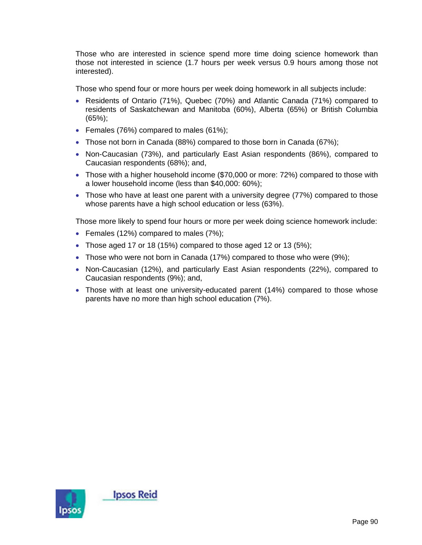Those who are interested in science spend more time doing science homework than those not interested in science (1.7 hours per week versus 0.9 hours among those not interested).

Those who spend four or more hours per week doing homework in all subjects include:

- Residents of Ontario (71%), Quebec (70%) and Atlantic Canada (71%) compared to residents of Saskatchewan and Manitoba (60%), Alberta (65%) or British Columbia (65%);
- Females (76%) compared to males (61%);
- Those not born in Canada (88%) compared to those born in Canada (67%);
- Non-Caucasian (73%), and particularly East Asian respondents (86%), compared to Caucasian respondents (68%); and,
- Those with a higher household income (\$70,000 or more: 72%) compared to those with a lower household income (less than \$40,000: 60%);
- Those who have at least one parent with a university degree (77%) compared to those whose parents have a high school education or less (63%).

Those more likely to spend four hours or more per week doing science homework include:

- Females (12%) compared to males (7%);
- Those aged 17 or 18 (15%) compared to those aged 12 or 13 (5%);
- Those who were not born in Canada (17%) compared to those who were (9%);
- Non-Caucasian (12%), and particularly East Asian respondents (22%), compared to Caucasian respondents (9%); and,
- Those with at least one university-educated parent (14%) compared to those whose parents have no more than high school education (7%).

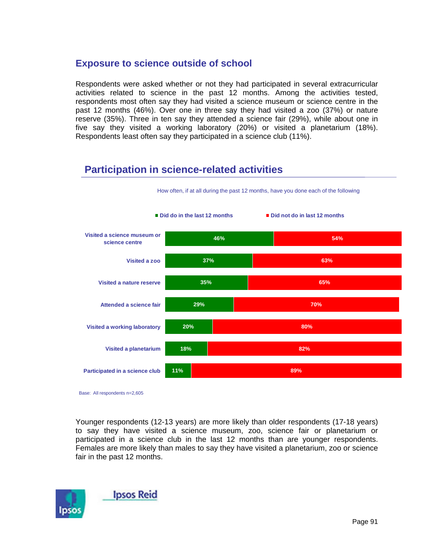### **Exposure to science outside of school**

Respondents were asked whether or not they had participated in several extracurricular activities related to science in the past 12 months. Among the activities tested, respondents most often say they had visited a science museum or science centre in the past 12 months (46%). Over one in three say they had visited a zoo (37%) or nature reserve (35%). Three in ten say they attended a science fair (29%), while about one in five say they visited a working laboratory (20%) or visited a planetarium (18%). Respondents least often say they participated in a science club (11%).

## **Participation in science-related activities**



How often, if at all during the past 12 months, have you done each of the following

Base: All respondents n=2,605

Younger respondents (12-13 years) are more likely than older respondents (17-18 years) to say they have visited a science museum, zoo, science fair or planetarium or participated in a science club in the last 12 months than are younger respondents. Females are more likely than males to say they have visited a planetarium, zoo or science fair in the past 12 months.

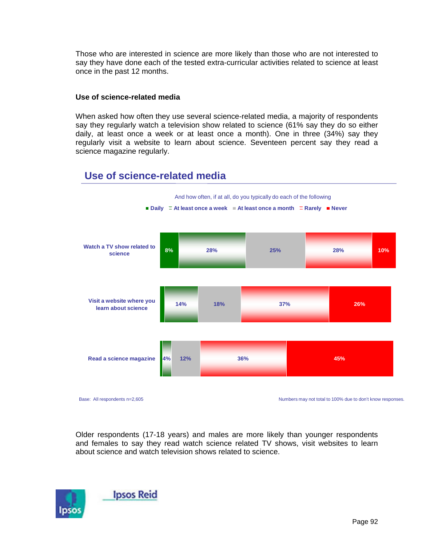Those who are interested in science are more likely than those who are not interested to say they have done each of the tested extra-curricular activities related to science at least once in the past 12 months.

### **Use of science-related media**

When asked how often they use several science-related media, a majority of respondents say they regularly watch a television show related to science (61% say they do so either daily, at least once a week or at least once a month). One in three (34%) say they regularly visit a website to learn about science. Seventeen percent say they read a science magazine regularly.



## **Use of science-related media**

Older respondents (17-18 years) and males are more likely than younger respondents and females to say they read watch science related TV shows, visit websites to learn about science and watch television shows related to science.

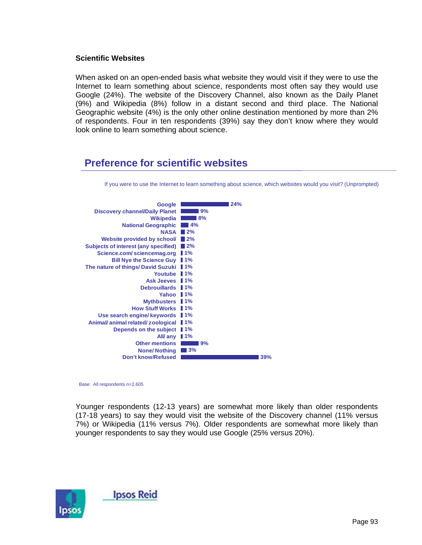### **Scientific Websites**

When asked on an open-ended basis what website they would visit if they were to use the Internet to learn something about science, respondents most often say they would use Google (24%). The website of the Discovery Channel, also known as the Daily Planet (9%) and Wikipedia (8%) follow in a distant second and third place. The National Geographic website (4%) is the only other online destination mentioned by more than 2% of respondents. Four in ten respondents (39%) say they don't know where they would look online to learn something about science.

### **Preference for scientific websites**



If you were to use the Internet to learn something about science, which websites would you visit? (Unprompted)

Base: All respondents n=2,605

Younger respondents (12-13 years) are somewhat more likely than older respondents (17-18 years) to say they would visit the website of the Discovery channel (11% versus 7%) or Wikipedia (11% versus 7%). Older respondents are somewhat more likely than younger respondents to say they would use Google (25% versus 20%).

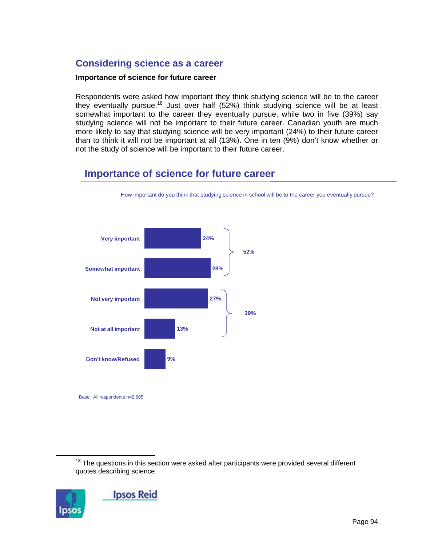## **Considering science as a career**

### **Importance of science for future career**

Respondents were asked how important they think studying science will be to the career they eventually pursue.18 Just over half (52%) think studying science will be at least somewhat important to the career they eventually pursue, while two in five (39%) say studying science will not be important to their future career. Canadian youth are much more likely to say that studying science will be very important (24%) to their future career than to think it will not be important at all (13%). One in ten (9%) don't know whether or not the study of science will be important to their future career.

## **Importance of science for future career**



How important do you think that studying science in school will be to the career you eventually pursue?

 $18$  The questions in this section were asked after participants were provided several different quotes describing science.

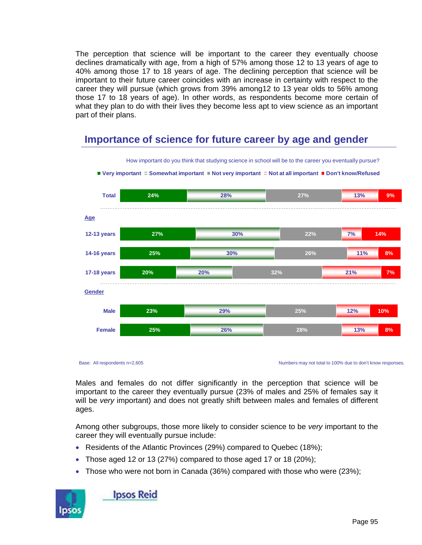The perception that science will be important to the career they eventually choose declines dramatically with age, from a high of 57% among those 12 to 13 years of age to 40% among those 17 to 18 years of age. The declining perception that science will be important to their future career coincides with an increase in certainty with respect to the career they will pursue (which grows from 39% among12 to 13 year olds to 56% among those 17 to 18 years of age). In other words, as respondents become more certain of what they plan to do with their lives they become less apt to view science as an important part of their plans.

## **Importance of science for future career by age and gender**



How important do you think that studying science in school will be to the career you eventually pursue?

■ Very important **□ Somewhat important** ■ Not very important **□ Not at all important** ■ Don't know/Refused

Base: All respondents n=2,605

Numbers may not total to 100% due to don't know responses.

Males and females do not differ significantly in the perception that science will be important to the career they eventually pursue (23% of males and 25% of females say it will be *very* important) and does not greatly shift between males and females of different ages.

Among other subgroups, those more likely to consider science to be *very* important to the career they will eventually pursue include:

- Residents of the Atlantic Provinces (29%) compared to Quebec (18%);
- Those aged 12 or 13 (27%) compared to those aged 17 or 18 (20%);
- Those who were not born in Canada (36%) compared with those who were (23%);



**Ipsos Reid**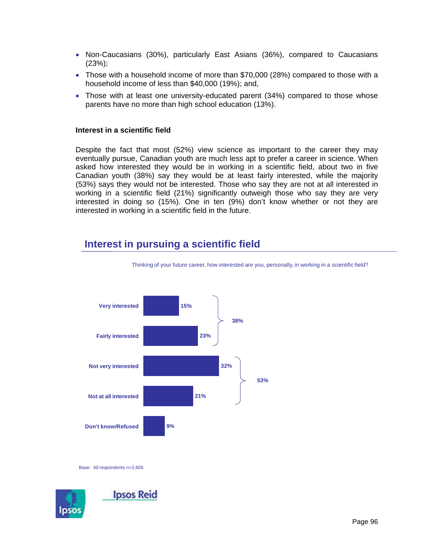- Non-Caucasians (30%), particularly East Asians (36%), compared to Caucasians (23%);
- Those with a household income of more than \$70,000 (28%) compared to those with a household income of less than \$40,000 (19%); and,
- Those with at least one university-educated parent (34%) compared to those whose parents have no more than high school education (13%).

#### **Interest in a scientific field**

Despite the fact that most (52%) view science as important to the career they may eventually pursue, Canadian youth are much less apt to prefer a career in science. When asked how interested they would be in working in a scientific field, about two in five Canadian youth (38%) say they would be at least fairly interested, while the majority (53%) says they would not be interested. Those who say they are not at all interested in working in a scientific field (21%) significantly outweigh those who say they are very interested in doing so (15%). One in ten (9%) don't know whether or not they are interested in working in a scientific field in the future.

## **Interest in pursuing a scientific field**



Thinking of your future career, how interested are you, personally, in working in a scientific field?

Base: All respondents n=2,605

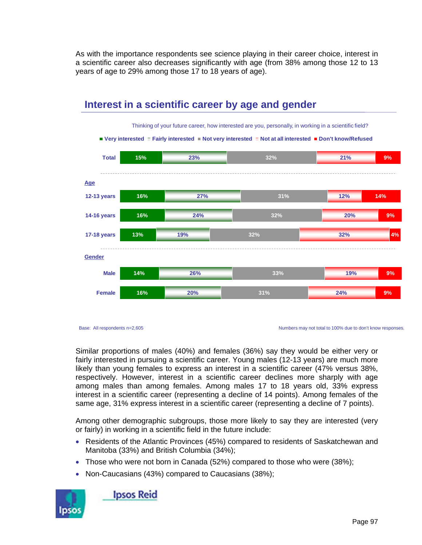As with the importance respondents see science playing in their career choice, interest in a scientific career also decreases significantly with age (from 38% among those 12 to 13 years of age to 29% among those 17 to 18 years of age).



## **Interest in a scientific career by age and gender**

Base: All respondents n=2,605

Numbers may not total to 100% due to don't know responses.

Similar proportions of males (40%) and females (36%) say they would be either very or fairly interested in pursuing a scientific career. Young males (12-13 years) are much more likely than young females to express an interest in a scientific career (47% versus 38%, respectively. However, interest in a scientific career declines more sharply with age among males than among females. Among males 17 to 18 years old, 33% express interest in a scientific career (representing a decline of 14 points). Among females of the same age, 31% express interest in a scientific career (representing a decline of 7 points).

Among other demographic subgroups, those more likely to say they are interested (very or fairly) in working in a scientific field in the future include:

- Residents of the Atlantic Provinces (45%) compared to residents of Saskatchewan and Manitoba (33%) and British Columbia (34%);
- Those who were not born in Canada (52%) compared to those who were (38%);
- Non-Caucasians (43%) compared to Caucasians (38%);



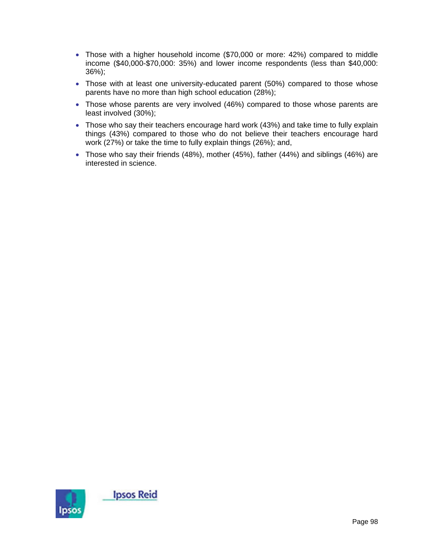- Those with a higher household income (\$70,000 or more: 42%) compared to middle income (\$40,000-\$70,000: 35%) and lower income respondents (less than \$40,000: 36%);
- Those with at least one university-educated parent (50%) compared to those whose parents have no more than high school education (28%);
- Those whose parents are very involved (46%) compared to those whose parents are least involved (30%);
- Those who say their teachers encourage hard work (43%) and take time to fully explain things (43%) compared to those who do not believe their teachers encourage hard work (27%) or take the time to fully explain things (26%); and,
- Those who say their friends (48%), mother (45%), father (44%) and siblings (46%) are interested in science.

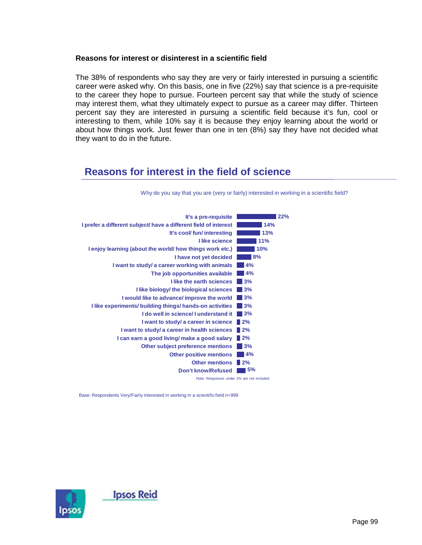### **Reasons for interest or disinterest in a scientific field**

The 38% of respondents who say they are very or fairly interested in pursuing a scientific career were asked why. On this basis, one in five (22%) say that science is a pre-requisite to the career they hope to pursue. Fourteen percent say that while the study of science may interest them, what they ultimately expect to pursue as a career may differ. Thirteen percent say they are interested in pursuing a scientific field because it's fun, cool or interesting to them, while 10% say it is because they enjoy learning about the world or about how things work. Just fewer than one in ten (8%) say they have not decided what they want to do in the future.

## **Reasons for interest in the field of science**



Why do you say that you are (very or fairly) interested in working in a scientific field?

Base: Respondents Very/Fairly interested in working in a scientific field n=999

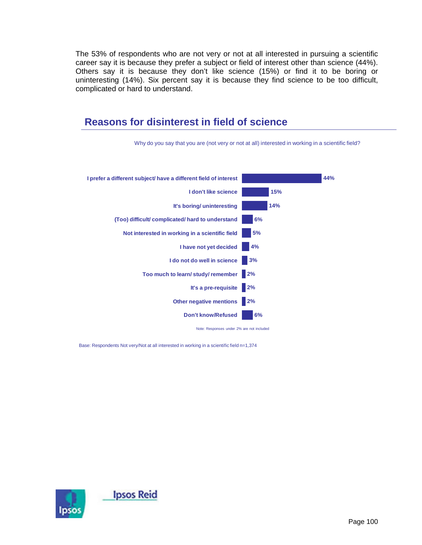The 53% of respondents who are not very or not at all interested in pursuing a scientific career say it is because they prefer a subject or field of interest other than science (44%). Others say it is because they don't like science (15%) or find it to be boring or uninteresting (14%). Six percent say it is because they find science to be too difficult, complicated or hard to understand.



Base: Respondents Not very/Not at all interested in working in a scientific field n=1,374

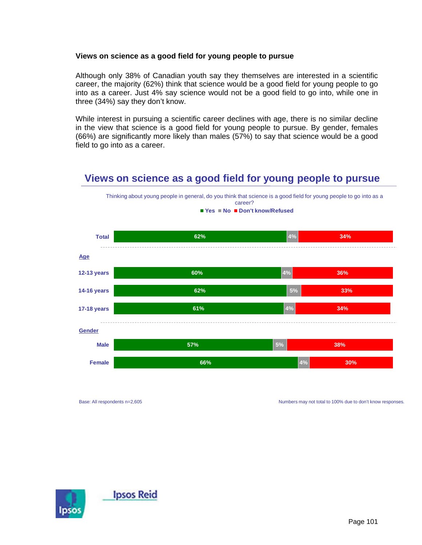### **Views on science as a good field for young people to pursue**

Although only 38% of Canadian youth say they themselves are interested in a scientific career, the majority (62%) think that science would be a good field for young people to go into as a career. Just 4% say science would not be a good field to go into, while one in three (34%) say they don't know.

While interest in pursuing a scientific career declines with age, there is no similar decline in the view that science is a good field for young people to pursue. By gender, females (66%) are significantly more likely than males (57%) to say that science would be a good field to go into as a career.

## **Views on science as a good field for young people to pursue**



Base: All respondents n=2,605

Numbers may not total to 100% due to don't know responses.

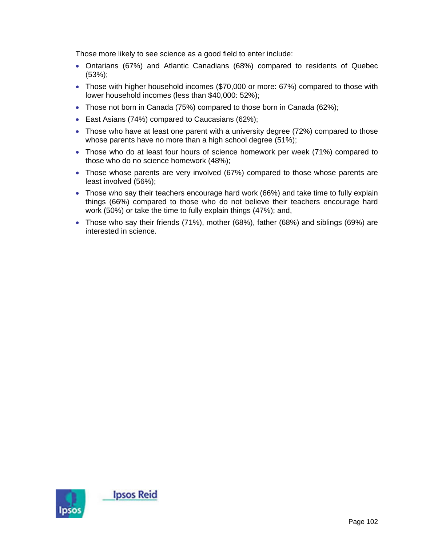Those more likely to see science as a good field to enter include:

- Ontarians (67%) and Atlantic Canadians (68%) compared to residents of Quebec (53%);
- Those with higher household incomes (\$70,000 or more: 67%) compared to those with lower household incomes (less than \$40,000: 52%);
- Those not born in Canada (75%) compared to those born in Canada (62%);
- East Asians (74%) compared to Caucasians (62%);
- Those who have at least one parent with a university degree (72%) compared to those whose parents have no more than a high school degree (51%);
- Those who do at least four hours of science homework per week (71%) compared to those who do no science homework (48%);
- Those whose parents are very involved (67%) compared to those whose parents are least involved (56%);
- Those who say their teachers encourage hard work (66%) and take time to fully explain things (66%) compared to those who do not believe their teachers encourage hard work (50%) or take the time to fully explain things (47%); and,
- Those who say their friends (71%), mother (68%), father (68%) and siblings (69%) are interested in science.

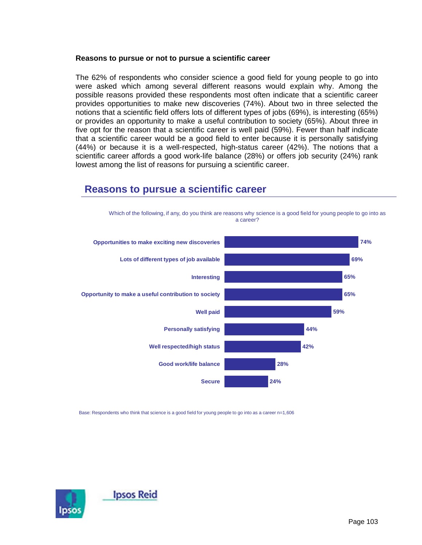#### **Reasons to pursue or not to pursue a scientific career**

The 62% of respondents who consider science a good field for young people to go into were asked which among several different reasons would explain why. Among the possible reasons provided these respondents most often indicate that a scientific career provides opportunities to make new discoveries (74%). About two in three selected the notions that a scientific field offers lots of different types of jobs (69%), is interesting (65%) or provides an opportunity to make a useful contribution to society (65%). About three in five opt for the reason that a scientific career is well paid (59%). Fewer than half indicate that a scientific career would be a good field to enter because it is personally satisfying (44%) or because it is a well-respected, high-status career (42%). The notions that a scientific career affords a good work-life balance (28%) or offers job security (24%) rank lowest among the list of reasons for pursuing a scientific career.



### **Reasons to pursue a scientific career**

Base: Respondents who think that science is a good field for young people to go into as a career n=1,606

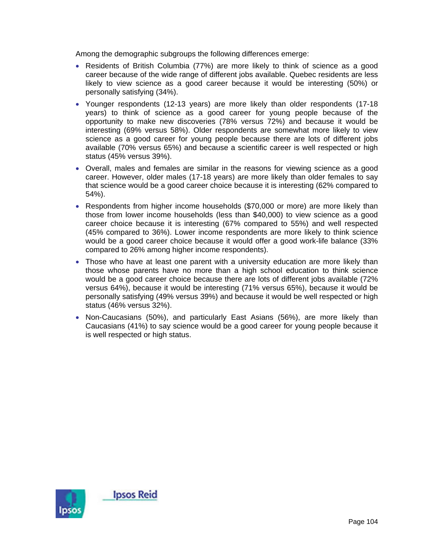Among the demographic subgroups the following differences emerge:

- Residents of British Columbia (77%) are more likely to think of science as a good career because of the wide range of different jobs available. Quebec residents are less likely to view science as a good career because it would be interesting (50%) or personally satisfying (34%).
- Younger respondents (12-13 years) are more likely than older respondents (17-18 years) to think of science as a good career for young people because of the opportunity to make new discoveries (78% versus 72%) and because it would be interesting (69% versus 58%). Older respondents are somewhat more likely to view science as a good career for young people because there are lots of different jobs available (70% versus 65%) and because a scientific career is well respected or high status (45% versus 39%).
- Overall, males and females are similar in the reasons for viewing science as a good career. However, older males (17-18 years) are more likely than older females to say that science would be a good career choice because it is interesting (62% compared to 54%).
- Respondents from higher income households (\$70,000 or more) are more likely than those from lower income households (less than \$40,000) to view science as a good career choice because it is interesting (67% compared to 55%) and well respected (45% compared to 36%). Lower income respondents are more likely to think science would be a good career choice because it would offer a good work-life balance (33% compared to 26% among higher income respondents).
- Those who have at least one parent with a university education are more likely than those whose parents have no more than a high school education to think science would be a good career choice because there are lots of different jobs available (72% versus 64%), because it would be interesting (71% versus 65%), because it would be personally satisfying (49% versus 39%) and because it would be well respected or high status (46% versus 32%).
- Non-Caucasians (50%), and particularly East Asians (56%), are more likely than Caucasians (41%) to say science would be a good career for young people because it is well respected or high status.

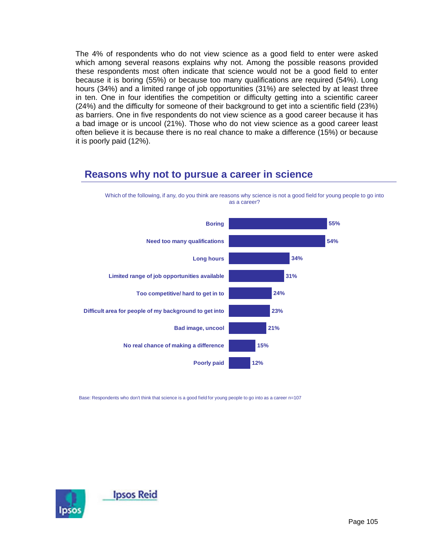The 4% of respondents who do not view science as a good field to enter were asked which among several reasons explains why not. Among the possible reasons provided these respondents most often indicate that science would not be a good field to enter because it is boring (55%) or because too many qualifications are required (54%). Long hours (34%) and a limited range of job opportunities (31%) are selected by at least three in ten. One in four identifies the competition or difficulty getting into a scientific career (24%) and the difficulty for someone of their background to get into a scientific field (23%) as barriers. One in five respondents do not view science as a good career because it has a bad image or is uncool (21%). Those who do not view science as a good career least often believe it is because there is no real chance to make a difference (15%) or because it is poorly paid (12%).

### **Reasons why not to pursue a career in science**

Which of the following, if any, do you think are reasons why science is not a good field for young people to go into as a career?



Base: Respondents who don't think that science is a good field for young people to go into as a career n=107

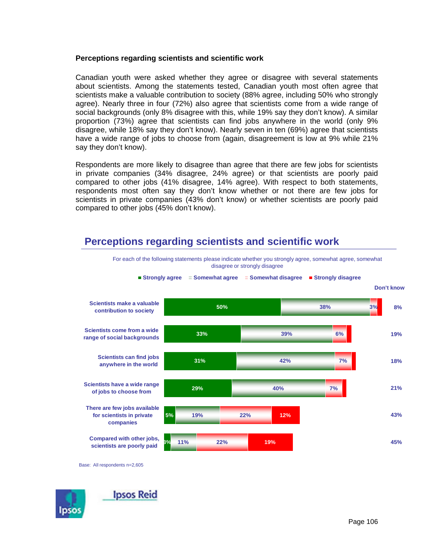### **Perceptions regarding scientists and scientific work**

Canadian youth were asked whether they agree or disagree with several statements about scientists. Among the statements tested, Canadian youth most often agree that scientists make a valuable contribution to society (88% agree, including 50% who strongly agree). Nearly three in four (72%) also agree that scientists come from a wide range of social backgrounds (only 8% disagree with this, while 19% say they don't know). A similar proportion (73%) agree that scientists can find jobs anywhere in the world (only 9% disagree, while 18% say they don't know). Nearly seven in ten (69%) agree that scientists have a wide range of jobs to choose from (again, disagreement is low at 9% while 21% say they don't know).

Respondents are more likely to disagree than agree that there are few jobs for scientists in private companies (34% disagree, 24% agree) or that scientists are poorly paid compared to other jobs (41% disagree, 14% agree). With respect to both statements, respondents most often say they don't know whether or not there are few jobs for scientists in private companies (43% don't know) or whether scientists are poorly paid compared to other jobs (45% don't know).

# **Perceptions regarding scientists and scientific work**



For each of the following statements please indicate whether you strongly agree, somewhat agree, somewhat disagree or strongly disagree

Base: All respondents n=2,605

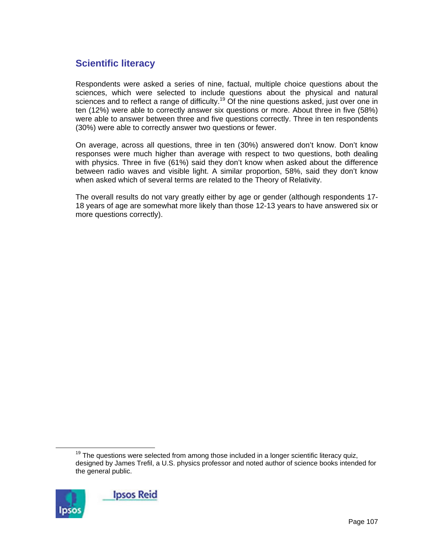## **Scientific literacy**

Respondents were asked a series of nine, factual, multiple choice questions about the sciences, which were selected to include questions about the physical and natural sciences and to reflect a range of difficulty.<sup>19</sup> Of the nine questions asked, just over one in ten (12%) were able to correctly answer six questions or more. About three in five (58%) were able to answer between three and five questions correctly. Three in ten respondents (30%) were able to correctly answer two questions or fewer.

On average, across all questions, three in ten (30%) answered don't know. Don't know responses were much higher than average with respect to two questions, both dealing with physics. Three in five (61%) said they don't know when asked about the difference between radio waves and visible light. A similar proportion, 58%, said they don't know when asked which of several terms are related to the Theory of Relativity.

The overall results do not vary greatly either by age or gender (although respondents 17- 18 years of age are somewhat more likely than those 12-13 years to have answered six or more questions correctly).

 $19$  The questions were selected from among those included in a longer scientific literacy quiz, designed by James Trefil, a U.S. physics professor and noted author of science books intended for the general public.

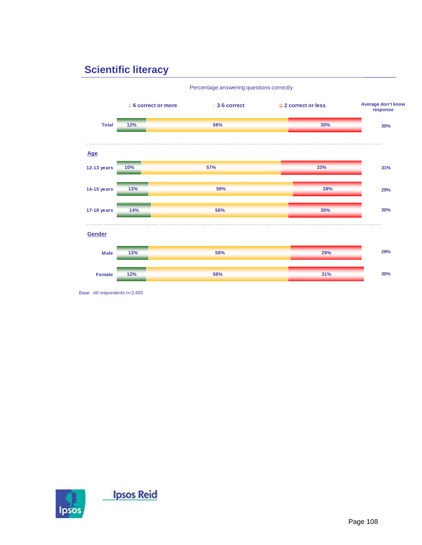# **Scientific literacy**



Base: All respondents n=2,605

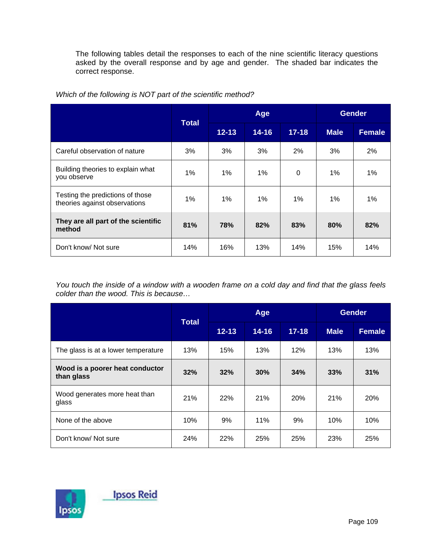The following tables detail the responses to each of the nine scientific literacy questions asked by the overall response and by age and gender. The shaded bar indicates the correct response.

|                                                                   | <b>Total</b> | Age       |           |           | <b>Gender</b> |               |
|-------------------------------------------------------------------|--------------|-----------|-----------|-----------|---------------|---------------|
|                                                                   |              | $12 - 13$ | $14 - 16$ | $17 - 18$ | <b>Male</b>   | <b>Female</b> |
| Careful observation of nature                                     | 3%           | 3%        | 3%        | 2%        | 3%            | 2%            |
| Building theories to explain what<br>you observe                  | 1%           | 1%        | 1%        | 0         | $1\%$         | $1\%$         |
| Testing the predictions of those<br>theories against observations | 1%           | 1%        | 1%        | 1%        | 1%            | 1%            |
| They are all part of the scientific<br>method                     | 81%          | 78%       | 82%       | 83%       | 80%           | 82%           |
| Don't know/ Not sure                                              | 14%          | 16%       | 13%       | 14%       | 15%           | 14%           |

*Which of the following is NOT part of the scientific method?* 

*You touch the inside of a window with a wooden frame on a cold day and find that the glass feels colder than the wood. This is because…* 

|                                               | <b>Total</b> | Age       |           |            | <b>Gender</b> |               |  |
|-----------------------------------------------|--------------|-----------|-----------|------------|---------------|---------------|--|
|                                               |              | $12 - 13$ | $14 - 16$ | $17 - 18$  | <b>Male</b>   | <b>Female</b> |  |
| The glass is at a lower temperature           | 13%          | 15%       | 13%       | 12%        | 13%           | 13%           |  |
| Wood is a poorer heat conductor<br>than glass | 32%          | 32%       | 30%       | 34%        | 33%           | 31%           |  |
| Wood generates more heat than<br>glass        | 21%          | 22%       | 21%       | <b>20%</b> | 21%           | 20%           |  |
| None of the above                             | 10%          | 9%        | 11%       | 9%         | 10%           | 10%           |  |
| Don't know/ Not sure                          | 24%          | 22%       | 25%       | 25%        | 23%           | 25%           |  |

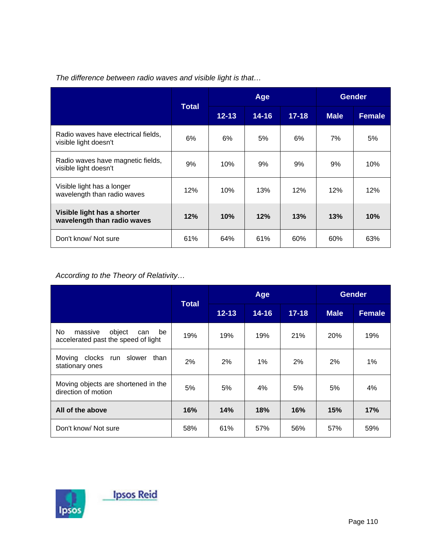|                                                              | Total | Age       |           |           | <b>Gender</b> |               |
|--------------------------------------------------------------|-------|-----------|-----------|-----------|---------------|---------------|
|                                                              |       | $12 - 13$ | $14 - 16$ | $17 - 18$ | <b>Male</b>   | <b>Female</b> |
| Radio waves have electrical fields,<br>visible light doesn't | 6%    | 6%        | 5%        | 6%        | 7%            | 5%            |
| Radio waves have magnetic fields,<br>visible light doesn't   | 9%    | 10%       | 9%        | 9%        | 9%            | 10%           |
| Visible light has a longer<br>wavelength than radio waves    | 12%   | 10%       | 13%       | 12%       | 12%           | 12%           |
| Visible light has a shorter<br>wavelength than radio waves   | 12%   | 10%       | 12%       | 13%       | 13%           | 10%           |
| Don't know/ Not sure                                         | 61%   | 64%       | 61%       | 60%       | 60%           | 63%           |

*The difference between radio waves and visible light is that…* 

*According to the Theory of Relativity…* 

|                                                                              | <b>Total</b> | Age       |           |           | <b>Gender</b> |               |
|------------------------------------------------------------------------------|--------------|-----------|-----------|-----------|---------------|---------------|
|                                                                              |              | $12 - 13$ | $14 - 16$ | $17 - 18$ | <b>Male</b>   | <b>Female</b> |
| No.<br>object<br>massive<br>be<br>can<br>accelerated past the speed of light | 19%          | 19%       | 19%       | 21%       | 20%           | 19%           |
| Moving clocks<br>run slower<br>than<br>stationary ones                       | 2%           | $2\%$     | $1\%$     | 2%        | 2%            | $1\%$         |
| Moving objects are shortened in the<br>direction of motion                   | 5%           | 5%        | 4%        | 5%        | 5%            | 4%            |
| All of the above                                                             | 16%          | 14%       | 18%       | 16%       | 15%           | 17%           |
| Don't know/ Not sure                                                         | 58%          | 61%       | 57%       | 56%       | 57%           | 59%           |

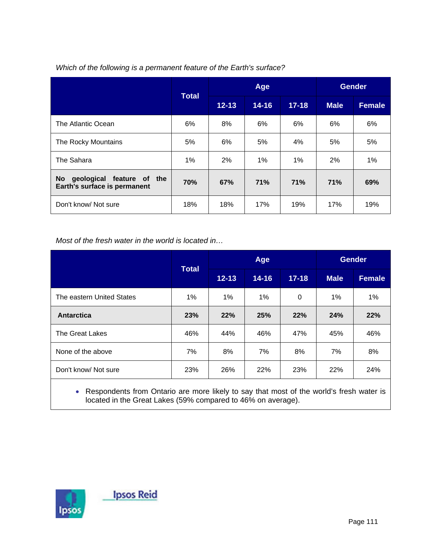|                                                                              | <b>Total</b> |           | Age       |           | <b>Gender</b> |               |
|------------------------------------------------------------------------------|--------------|-----------|-----------|-----------|---------------|---------------|
|                                                                              |              | $12 - 13$ | $14 - 16$ | $17 - 18$ | <b>Male</b>   | <b>Female</b> |
| The Atlantic Ocean                                                           | 6%           | 8%        | 6%        | 6%        | 6%            | 6%            |
| The Rocky Mountains                                                          | 5%           | 6%        | 5%        | 4%        | 5%            | 5%            |
| The Sahara                                                                   | 1%           | 2%        | $1\%$     | $1\%$     | 2%            | $1\%$         |
| geological<br>feature of<br><b>No</b><br>the<br>Earth's surface is permanent | 70%          | 67%       | 71%       | 71%       | 71%           | 69%           |
| Don't know/ Not sure                                                         | 18%          | 18%       | 17%       | 19%       | 17%           | 19%           |

### *Which of the following is a permanent feature of the Earth's surface?*

*Most of the fresh water in the world is located in…* 

|                           | <b>Total</b> |           | Age       |           | <b>Gender</b> |               |
|---------------------------|--------------|-----------|-----------|-----------|---------------|---------------|
|                           |              | $12 - 13$ | $14 - 16$ | $17 - 18$ | <b>Male</b>   | <b>Female</b> |
| The eastern United States | $1\%$        | $1\%$     | $1\%$     | 0         | $1\%$         | $1\%$         |
| Antarctica                | 23%          | 22%       | 25%       | 22%       | 24%           | 22%           |
| The Great Lakes           | 46%          | 44%       | 46%       | 47%       | 45%           | 46%           |
| None of the above         | 7%           | 8%        | 7%        | 8%        | 7%            | 8%            |
| Don't know/ Not sure      | 23%          | 26%       | 22%       | 23%       | 22%           | 24%           |
|                           |              |           |           |           |               |               |

• Respondents from Ontario are more likely to say that most of the world's fresh water is located in the Great Lakes (59% compared to 46% on average).

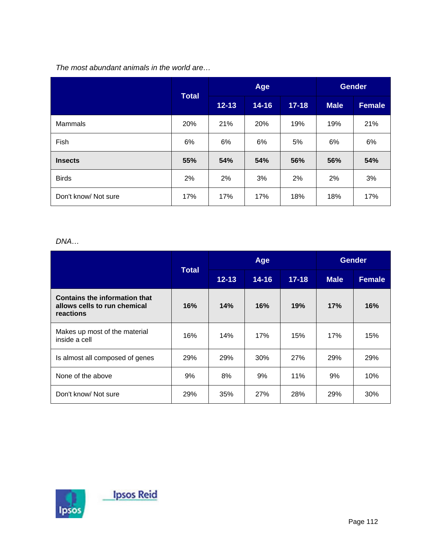## *The most abundant animals in the world are…*

|                      | Total |           | Age       |           | <b>Gender</b> |               |
|----------------------|-------|-----------|-----------|-----------|---------------|---------------|
|                      |       | $12 - 13$ | $14 - 16$ | $17 - 18$ | <b>Male</b>   | <b>Female</b> |
| Mammals              | 20%   | 21%       | 20%       | 19%       | 19%           | 21%           |
| Fish                 | 6%    | 6%        | 6%        | 5%        | 6%            | 6%            |
| <b>Insects</b>       | 55%   | 54%       | 54%       | 56%       | 56%           | 54%           |
| <b>Birds</b>         | 2%    | 2%        | 3%        | 2%        | 2%            | 3%            |
| Don't know/ Not sure | 17%   | 17%       | 17%       | 18%       | 18%           | 17%           |

### *DNA…*

|                                                                                   | <b>Total</b> |           | Age       |           | <b>Gender</b> |               |
|-----------------------------------------------------------------------------------|--------------|-----------|-----------|-----------|---------------|---------------|
|                                                                                   |              | $12 - 13$ | $14 - 16$ | $17 - 18$ | <b>Male</b>   | <b>Female</b> |
| <b>Contains the information that</b><br>allows cells to run chemical<br>reactions | 16%          | 14%       | 16%       | 19%       | 17%           | 16%           |
| Makes up most of the material<br>inside a cell                                    | 16%          | 14%       | 17%       | 15%       | 17%           | 15%           |
| Is almost all composed of genes                                                   | 29%          | 29%       | 30%       | 27%       | 29%           | 29%           |
| None of the above                                                                 | 9%           | 8%        | 9%        | 11%       | 9%            | 10%           |
| Don't know/ Not sure                                                              | 29%          | 35%       | 27%       | 28%       | 29%           | 30%           |